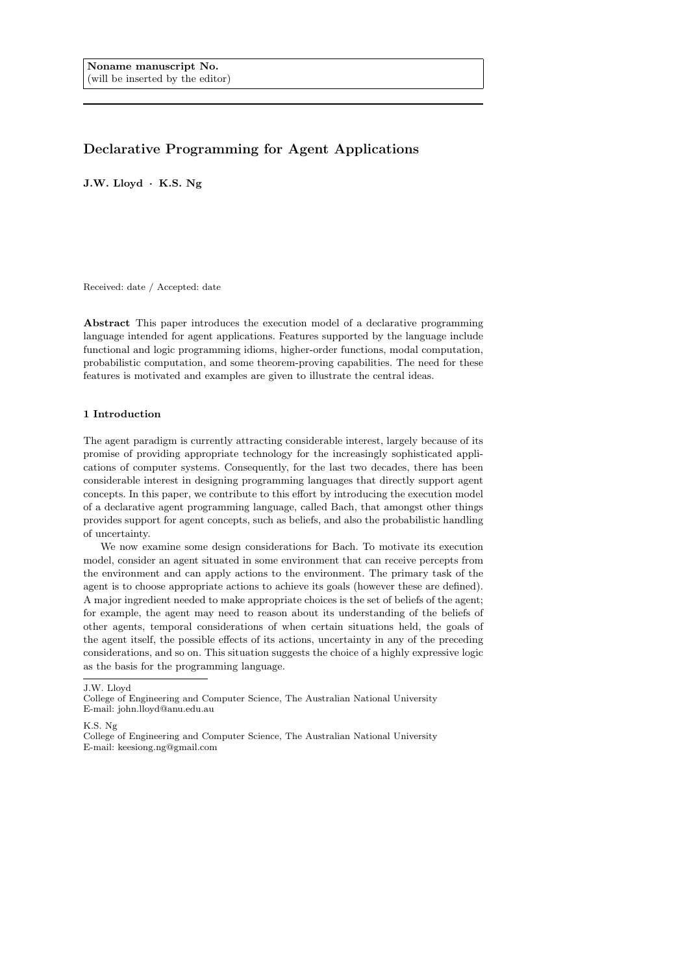# Declarative Programming for Agent Applications

J.W. Lloyd · K.S. Ng

Received: date / Accepted: date

Abstract This paper introduces the execution model of a declarative programming language intended for agent applications. Features supported by the language include functional and logic programming idioms, higher-order functions, modal computation, probabilistic computation, and some theorem-proving capabilities. The need for these features is motivated and examples are given to illustrate the central ideas.

# 1 Introduction

The agent paradigm is currently attracting considerable interest, largely because of its promise of providing appropriate technology for the increasingly sophisticated applications of computer systems. Consequently, for the last two decades, there has been considerable interest in designing programming languages that directly support agent concepts. In this paper, we contribute to this effort by introducing the execution model of a declarative agent programming language, called Bach, that amongst other things provides support for agent concepts, such as beliefs, and also the probabilistic handling of uncertainty.

We now examine some design considerations for Bach. To motivate its execution model, consider an agent situated in some environment that can receive percepts from the environment and can apply actions to the environment. The primary task of the agent is to choose appropriate actions to achieve its goals (however these are defined). A major ingredient needed to make appropriate choices is the set of beliefs of the agent; for example, the agent may need to reason about its understanding of the beliefs of other agents, temporal considerations of when certain situations held, the goals of the agent itself, the possible effects of its actions, uncertainty in any of the preceding considerations, and so on. This situation suggests the choice of a highly expressive logic as the basis for the programming language.

J.W. Lloyd

K.S.  $N_{\mathcal{P}}$ 

College of Engineering and Computer Science, The Australian National University E-mail: john.lloyd@anu.edu.au

College of Engineering and Computer Science, The Australian National University E-mail: keesiong.ng@gmail.com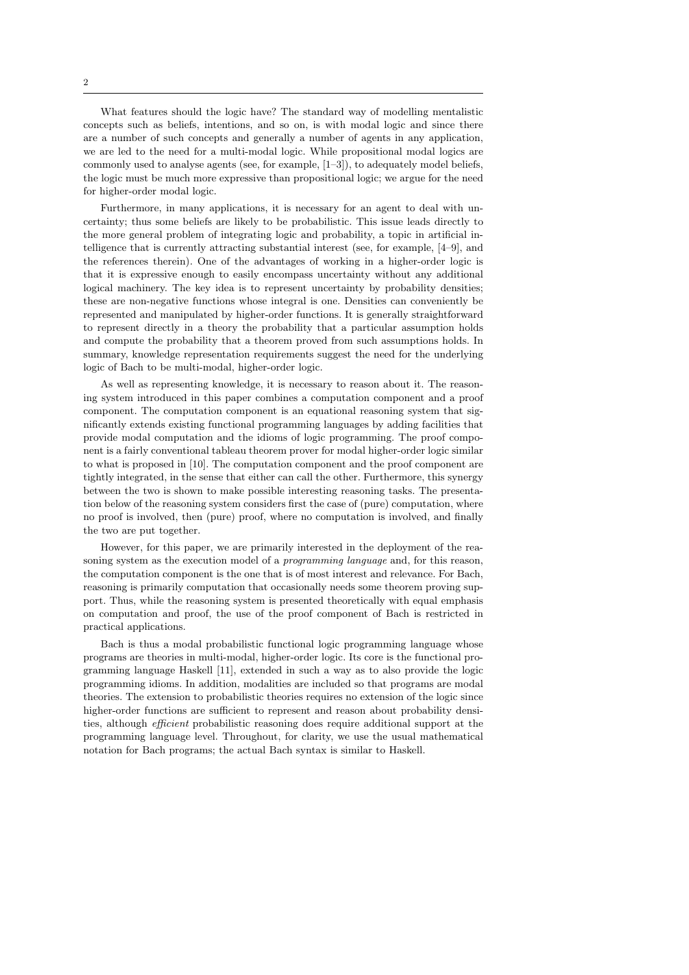What features should the logic have? The standard way of modelling mentalistic concepts such as beliefs, intentions, and so on, is with modal logic and since there are a number of such concepts and generally a number of agents in any application, we are led to the need for a multi-modal logic. While propositional modal logics are commonly used to analyse agents (see, for example, [1–3]), to adequately model beliefs, the logic must be much more expressive than propositional logic; we argue for the need for higher-order modal logic.

Furthermore, in many applications, it is necessary for an agent to deal with uncertainty; thus some beliefs are likely to be probabilistic. This issue leads directly to the more general problem of integrating logic and probability, a topic in artificial intelligence that is currently attracting substantial interest (see, for example, [4–9], and the references therein). One of the advantages of working in a higher-order logic is that it is expressive enough to easily encompass uncertainty without any additional logical machinery. The key idea is to represent uncertainty by probability densities; these are non-negative functions whose integral is one. Densities can conveniently be represented and manipulated by higher-order functions. It is generally straightforward to represent directly in a theory the probability that a particular assumption holds and compute the probability that a theorem proved from such assumptions holds. In summary, knowledge representation requirements suggest the need for the underlying logic of Bach to be multi-modal, higher-order logic.

As well as representing knowledge, it is necessary to reason about it. The reasoning system introduced in this paper combines a computation component and a proof component. The computation component is an equational reasoning system that significantly extends existing functional programming languages by adding facilities that provide modal computation and the idioms of logic programming. The proof component is a fairly conventional tableau theorem prover for modal higher-order logic similar to what is proposed in [10]. The computation component and the proof component are tightly integrated, in the sense that either can call the other. Furthermore, this synergy between the two is shown to make possible interesting reasoning tasks. The presentation below of the reasoning system considers first the case of (pure) computation, where no proof is involved, then (pure) proof, where no computation is involved, and finally the two are put together.

However, for this paper, we are primarily interested in the deployment of the reasoning system as the execution model of a *programming language* and, for this reason, the computation component is the one that is of most interest and relevance. For Bach, reasoning is primarily computation that occasionally needs some theorem proving support. Thus, while the reasoning system is presented theoretically with equal emphasis on computation and proof, the use of the proof component of Bach is restricted in practical applications.

Bach is thus a modal probabilistic functional logic programming language whose programs are theories in multi-modal, higher-order logic. Its core is the functional programming language Haskell [11], extended in such a way as to also provide the logic programming idioms. In addition, modalities are included so that programs are modal theories. The extension to probabilistic theories requires no extension of the logic since higher-order functions are sufficient to represent and reason about probability densities, although efficient probabilistic reasoning does require additional support at the programming language level. Throughout, for clarity, we use the usual mathematical notation for Bach programs; the actual Bach syntax is similar to Haskell.

# 2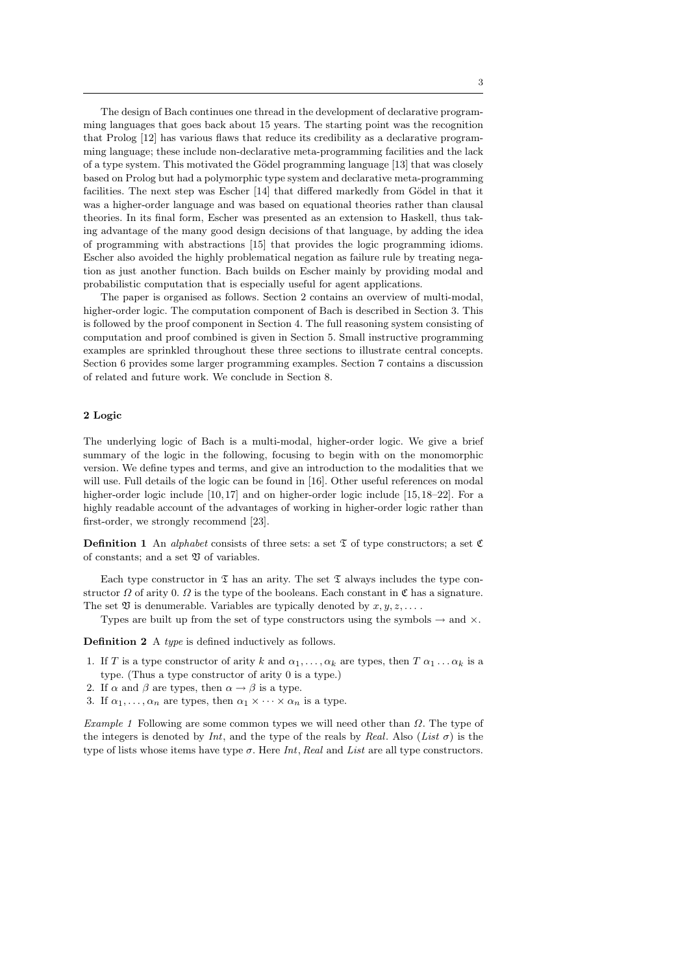The design of Bach continues one thread in the development of declarative programming languages that goes back about 15 years. The starting point was the recognition that Prolog [12] has various flaws that reduce its credibility as a declarative programming language; these include non-declarative meta-programming facilities and the lack of a type system. This motivated the Gödel programming language [13] that was closely based on Prolog but had a polymorphic type system and declarative meta-programming facilities. The next step was Escher [14] that differed markedly from Gödel in that it was a higher-order language and was based on equational theories rather than clausal theories. In its final form, Escher was presented as an extension to Haskell, thus taking advantage of the many good design decisions of that language, by adding the idea of programming with abstractions [15] that provides the logic programming idioms. Escher also avoided the highly problematical negation as failure rule by treating negation as just another function. Bach builds on Escher mainly by providing modal and probabilistic computation that is especially useful for agent applications.

The paper is organised as follows. Section 2 contains an overview of multi-modal, higher-order logic. The computation component of Bach is described in Section 3. This is followed by the proof component in Section 4. The full reasoning system consisting of computation and proof combined is given in Section 5. Small instructive programming examples are sprinkled throughout these three sections to illustrate central concepts. Section 6 provides some larger programming examples. Section 7 contains a discussion of related and future work. We conclude in Section 8.

### 2 Logic

The underlying logic of Bach is a multi-modal, higher-order logic. We give a brief summary of the logic in the following, focusing to begin with on the monomorphic version. We define types and terms, and give an introduction to the modalities that we will use. Full details of the logic can be found in [16]. Other useful references on modal higher-order logic include [10,17] and on higher-order logic include [15,18–22]. For a highly readable account of the advantages of working in higher-order logic rather than first-order, we strongly recommend [23].

**Definition 1** An *alphabet* consists of three sets: a set  $\mathfrak{T}$  of type constructors; a set  $\mathfrak{C}$ of constants; and a set  $\mathfrak V$  of variables.

Each type constructor in  $\mathfrak T$  has an arity. The set  $\mathfrak T$  always includes the type constructor  $\Omega$  of arity 0.  $\Omega$  is the type of the booleans. Each constant in  $\mathfrak C$  has a signature. The set  $\mathfrak V$  is denumerable. Variables are typically denoted by  $x, y, z, \ldots$ .

Types are built up from the set of type constructors using the symbols  $\rightarrow$  and  $\times$ .

Definition 2 A type is defined inductively as follows.

- 1. If T is a type constructor of arity k and  $\alpha_1, \ldots, \alpha_k$  are types, then  $T \alpha_1 \ldots \alpha_k$  is a type. (Thus a type constructor of arity 0 is a type.)
- 2. If  $\alpha$  and  $\beta$  are types, then  $\alpha \rightarrow \beta$  is a type.
- 3. If  $\alpha_1, \ldots, \alpha_n$  are types, then  $\alpha_1 \times \cdots \times \alpha_n$  is a type.

Example 1 Following are some common types we will need other than  $\Omega$ . The type of the integers is denoted by Int, and the type of the reals by Real. Also (List  $\sigma$ ) is the type of lists whose items have type  $\sigma$ . Here *Int*, Real and *List* are all type constructors.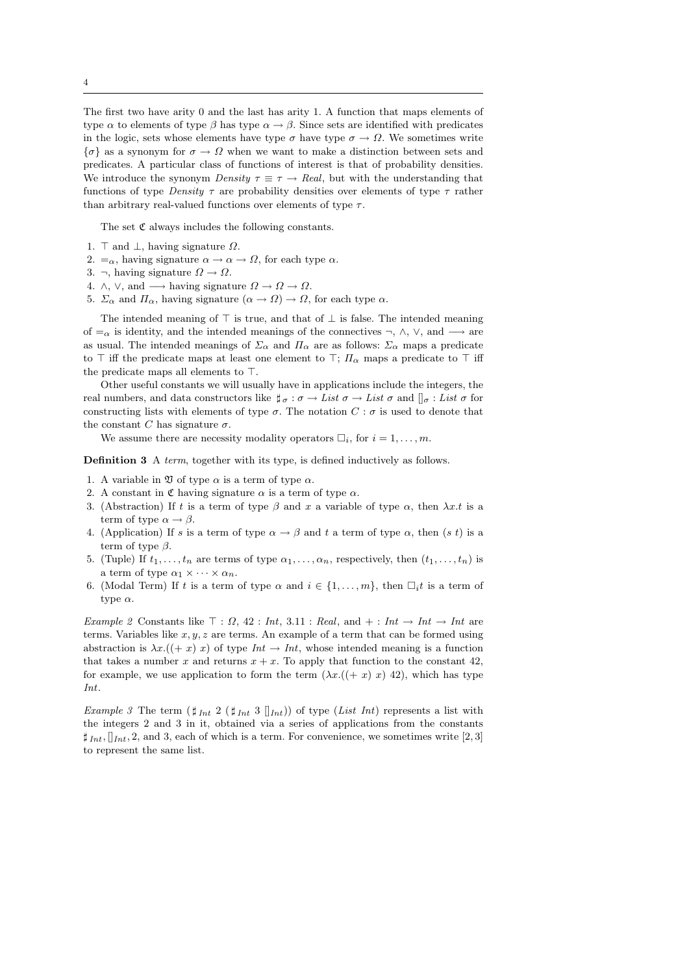The first two have arity 0 and the last has arity 1. A function that maps elements of type  $\alpha$  to elements of type  $\beta$  has type  $\alpha \rightarrow \beta$ . Since sets are identified with predicates in the logic, sets whose elements have type  $\sigma$  have type  $\sigma \to \Omega$ . We sometimes write  ${\lbrace \sigma \rbrace}$  as a synonym for  $\sigma \to \Omega$  when we want to make a distinction between sets and predicates. A particular class of functions of interest is that of probability densities. We introduce the synonym Density  $\tau \equiv \tau \rightarrow Real$ , but with the understanding that functions of type *Density*  $\tau$  are probability densities over elements of type  $\tau$  rather than arbitrary real-valued functions over elements of type  $\tau$ .

The set  $\mathfrak C$  always includes the following constants.

- 1. ⊤ and  $⊥$ , having signature  $Ω$ .
- 2.  $\equiv_{\alpha}$ , having signature  $\alpha \rightarrow \alpha \rightarrow \Omega$ , for each type  $\alpha$ .
- 3. ¬, having signature  $\Omega \rightarrow \Omega$ .
- 4.  $\wedge$ ,  $\vee$ , and  $\longrightarrow$  having signature  $\Omega \rightarrow \Omega \rightarrow \Omega$ .
- 5.  $\Sigma_{\alpha}$  and  $\Pi_{\alpha}$ , having signature  $(\alpha \rightarrow \Omega) \rightarrow \Omega$ , for each type  $\alpha$ .

The intended meaning of  $\top$  is true, and that of  $\bot$  is false. The intended meaning of  $=\alpha$  is identity, and the intended meanings of the connectives  $\neg$ ,  $\wedge$ ,  $\vee$ , and  $\longrightarrow$  are as usual. The intended meanings of  $\Sigma_{\alpha}$  and  $\Pi_{\alpha}$  are as follows:  $\Sigma_{\alpha}$  maps a predicate to  $\top$  iff the predicate maps at least one element to  $\top$ ;  $\Pi_{\alpha}$  maps a predicate to  $\top$  iff the predicate maps all elements to  $\top$ .

Other useful constants we will usually have in applications include the integers, the real numbers, and data constructors like  $\sharp_{\sigma} : \sigma \to List \sigma \to List \sigma$  and  $[]_{\sigma} : List \sigma$  for constructing lists with elements of type  $\sigma$ . The notation  $C : \sigma$  is used to denote that the constant C has signature  $\sigma$ .

We assume there are necessity modality operators  $\Box_i$ , for  $i = 1, \ldots, m$ .

Definition 3 A term, together with its type, is defined inductively as follows.

- 1. A variable in  $\mathfrak V$  of type  $\alpha$  is a term of type  $\alpha$ .
- 2. A constant in  $\mathfrak C$  having signature  $\alpha$  is a term of type  $\alpha$ .
- 3. (Abstraction) If t is a term of type  $\beta$  and x a variable of type  $\alpha$ , then  $\lambda x.t$  is a term of type  $\alpha \rightarrow \beta$ .
- 4. (Application) If s is a term of type  $\alpha \to \beta$  and t a term of type  $\alpha$ , then  $(s t)$  is a term of type  $\beta$ .
- 5. (Tuple) If  $t_1, \ldots, t_n$  are terms of type  $\alpha_1, \ldots, \alpha_n$ , respectively, then  $(t_1, \ldots, t_n)$  is a term of type  $\alpha_1 \times \cdots \times \alpha_n$ .
- 6. (Modal Term) If t is a term of type  $\alpha$  and  $i \in \{1, ..., m\}$ , then  $\Box_i t$  is a term of type  $\alpha$ .

Example 2 Constants like  $\top : \Omega$ , 42 : Int, 3.11 : Real, and  $+: Int \to Int \to Int$  are terms. Variables like  $x, y, z$  are terms. An example of a term that can be formed using abstraction is  $\lambda x.((+ x) x)$  of type  $Int \rightarrow Int$ , whose intended meaning is a function that takes a number x and returns  $x + x$ . To apply that function to the constant 42, for example, we use application to form the term  $(\lambda x.((+ x) x) 42)$ , which has type Int.

*Example 3* The term  $(\sharp_{Int} 2 (\sharp_{Int} 3 ||_{Int}))$  of type (List Int) represents a list with the integers 2 and 3 in it, obtained via a series of applications from the constants  $\sharp_{Int}, [\,]_{Int}, 2, \text{ and } 3, \text{ each of which is a term. For convenience, we sometimes write } [2,3]$ to represent the same list.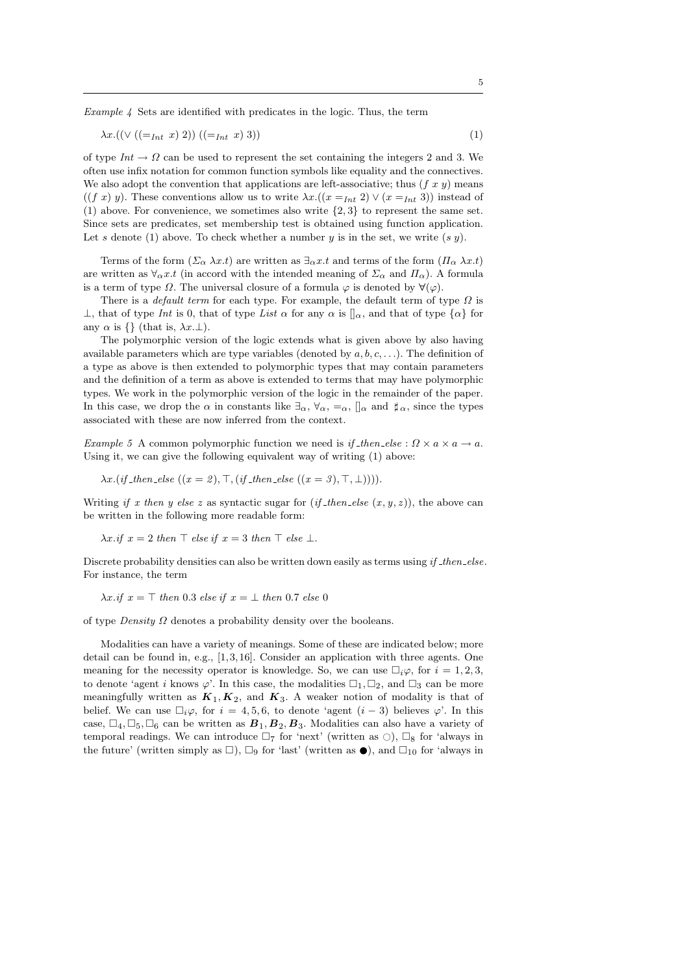Example 4 Sets are identified with predicates in the logic. Thus, the term

$$
\lambda x. ((\vee ((=_{Int} x) 2)) ((=_{Int} x) 3)) \tag{1}
$$

of type  $Int \to \Omega$  can be used to represent the set containing the integers 2 and 3. We often use infix notation for common function symbols like equality and the connectives. We also adopt the convention that applications are left-associative; thus  $(f x y)$  means  $((f x) y)$ . These conventions allow us to write  $\lambda x.((x =_{Int} 2) \vee (x =_{Int} 3))$  instead of (1) above. For convenience, we sometimes also write  $\{2,3\}$  to represent the same set. Since sets are predicates, set membership test is obtained using function application. Let s denote (1) above. To check whether a number  $y$  is in the set, we write  $(s, y)$ .

Terms of the form  $(\Sigma_{\alpha} \lambda x.t)$  are written as  $\exists_{\alpha} x.t$  and terms of the form  $(\Pi_{\alpha} \lambda x.t)$ are written as  $\forall_{\alpha} x.t$  (in accord with the intended meaning of  $\Sigma_{\alpha}$  and  $\Pi_{\alpha}$ ). A formula is a term of type  $\Omega$ . The universal closure of a formula  $\varphi$  is denoted by  $\forall(\varphi)$ .

There is a *default term* for each type. For example, the default term of type  $\Omega$  is  $\perp$ , that of type Int is 0, that of type List  $\alpha$  for any  $\alpha$  is  $\parallel_{\alpha}$ , and that of type  $\{\alpha\}$  for any  $\alpha$  is  $\{\}\$  (that is,  $\lambda x.\bot$ ).

The polymorphic version of the logic extends what is given above by also having available parameters which are type variables (denoted by  $a, b, c, \ldots$ ). The definition of a type as above is then extended to polymorphic types that may contain parameters and the definition of a term as above is extended to terms that may have polymorphic types. We work in the polymorphic version of the logic in the remainder of the paper. In this case, we drop the  $\alpha$  in constants like  $\exists_{\alpha}, \forall_{\alpha}, =_{\alpha}, \exists_{\alpha}$  and  $\sharp_{\alpha}$ , since the types associated with these are now inferred from the context.

Example 5 A common polymorphic function we need is if then else :  $\Omega \times a \times a \rightarrow a$ . Using it, we can give the following equivalent way of writing (1) above:

 $\lambda x. (if\_then\_else ((x = 2), \top, (if\_then\_else ((x = 3), \top, \bot))))$ .

Writing if x then y else z as syntactic sugar for (if then else  $(x, y, z)$ ), the above can be written in the following more readable form:

$$
\lambda x. \text{ if } x = 2 \text{ then } \top \text{ else if } x = 3 \text{ then } \top \text{ else } \bot.
$$

Discrete probability densities can also be written down easily as terms using  $if_{\perp}then_{\perp}else$ . For instance, the term

 $\lambda x.$ if  $x = \top$  then 0.3 else if  $x = \bot$  then 0.7 else 0

of type  $Density \Omega$  denotes a probability density over the booleans.

Modalities can have a variety of meanings. Some of these are indicated below; more detail can be found in, e.g.,  $[1,3,16]$ . Consider an application with three agents. One meaning for the necessity operator is knowledge. So, we can use  $\Box_i \varphi$ , for  $i = 1, 2, 3$ , to denote 'agent i knows  $\varphi'$ . In this case, the modalities  $\Box_1, \Box_2$ , and  $\Box_3$  can be more meaningfully written as  $K_1, K_2$ , and  $K_3$ . A weaker notion of modality is that of belief. We can use  $\Box_i \varphi$ , for  $i = 4, 5, 6$ , to denote 'agent  $(i - 3)$  believes  $\varphi'$ . In this case,  $\Box_4$ ,  $\Box_5$ ,  $\Box_6$  can be written as  $B_1$ ,  $B_2$ ,  $B_3$ . Modalities can also have a variety of temporal readings. We can introduce  $\Box_7$  for 'next' (written as  $\bigcirc$ ),  $\Box_8$  for 'always in the future' (written simply as  $\Box$ ),  $\Box$  for 'last' (written as  $\bullet$ ), and  $\Box$  for 'always in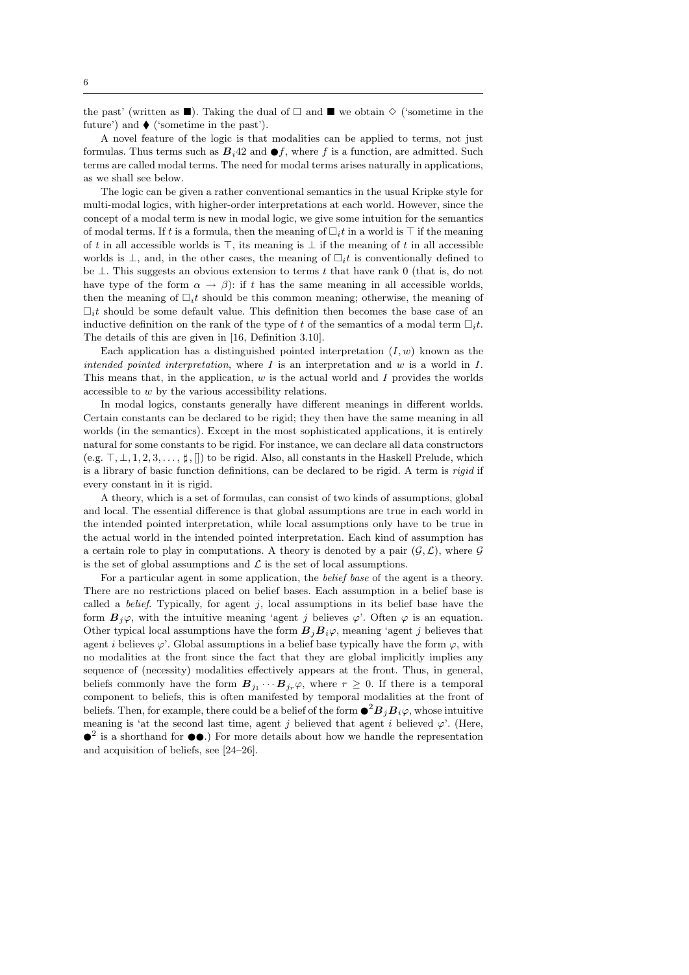the past' (written as  $\blacksquare$ ). Taking the dual of  $\square$  and  $\blacksquare$  we obtain  $\diamond$  ('sometime in the future') and  $\blacklozenge$  ('sometime in the past').

A novel feature of the logic is that modalities can be applied to terms, not just formulas. Thus terms such as  $B_i42$  and  $\bullet f$ , where f is a function, are admitted. Such terms are called modal terms. The need for modal terms arises naturally in applications, as we shall see below.

The logic can be given a rather conventional semantics in the usual Kripke style for multi-modal logics, with higher-order interpretations at each world. However, since the concept of a modal term is new in modal logic, we give some intuition for the semantics of modal terms. If t is a formula, then the meaning of  $\Box_i t$  in a world is  $\top$  if the meaning of t in all accessible worlds is  $\top$ , its meaning is  $\bot$  if the meaning of t in all accessible worlds is  $\bot$ , and, in the other cases, the meaning of  $\Box_i t$  is conventionally defined to be ⊥. This suggests an obvious extension to terms t that have rank 0 (that is, do not have type of the form  $\alpha \to \beta$ ): if t has the same meaning in all accessible worlds, then the meaning of  $\Box_i t$  should be this common meaning; otherwise, the meaning of  $\Box_i$  should be some default value. This definition then becomes the base case of an inductive definition on the rank of the type of t of the semantics of a modal term  $\Box_i t$ . The details of this are given in [16, Definition 3.10].

Each application has a distinguished pointed interpretation  $(I, w)$  known as the intended pointed interpretation, where  $I$  is an interpretation and  $w$  is a world in  $I$ . This means that, in the application,  $w$  is the actual world and  $I$  provides the worlds accessible to w by the various accessibility relations.

In modal logics, constants generally have different meanings in different worlds. Certain constants can be declared to be rigid; they then have the same meaning in all worlds (in the semantics). Except in the most sophisticated applications, it is entirely natural for some constants to be rigid. For instance, we can declare all data constructors (e.g.  $\top$ ,  $\bot$ , 1, 2, 3, ...,  $\sharp$ ,  $\parallel$ ) to be rigid. Also, all constants in the Haskell Prelude, which is a library of basic function definitions, can be declared to be rigid. A term is rigid if every constant in it is rigid.

A theory, which is a set of formulas, can consist of two kinds of assumptions, global and local. The essential difference is that global assumptions are true in each world in the intended pointed interpretation, while local assumptions only have to be true in the actual world in the intended pointed interpretation. Each kind of assumption has a certain role to play in computations. A theory is denoted by a pair  $(\mathcal{G}, \mathcal{L})$ , where  $\mathcal{G}$ is the set of global assumptions and  $\mathcal L$  is the set of local assumptions.

For a particular agent in some application, the belief base of the agent is a theory. There are no restrictions placed on belief bases. Each assumption in a belief base is called a *belief*. Typically, for agent  $j$ , local assumptions in its belief base have the form  $B_j\varphi$ , with the intuitive meaning 'agent j believes  $\varphi$ '. Often  $\varphi$  is an equation. Other typical local assumptions have the form  $B_iB_i\varphi$ , meaning 'agent j believes that agent i believes  $\varphi'$ . Global assumptions in a belief base typically have the form  $\varphi$ , with no modalities at the front since the fact that they are global implicitly implies any sequence of (necessity) modalities effectively appears at the front. Thus, in general, beliefs commonly have the form  $B_{j_1} \cdots B_{j_r} \varphi$ , where  $r \geq 0$ . If there is a temporal component to beliefs, this is often manifested by temporal modalities at the front of beliefs. Then, for example, there could be a belief of the form  $\mathbf{O}^2 \mathbf{B}_j \mathbf{B}_i \varphi$ , whose intuitive meaning is 'at the second last time, agent j believed that agent i believed  $\varphi'$ . (Here,  $\bullet^2$  is a shorthand for  $\bullet$ .) For more details about how we handle the representation and acquisition of beliefs, see [24–26].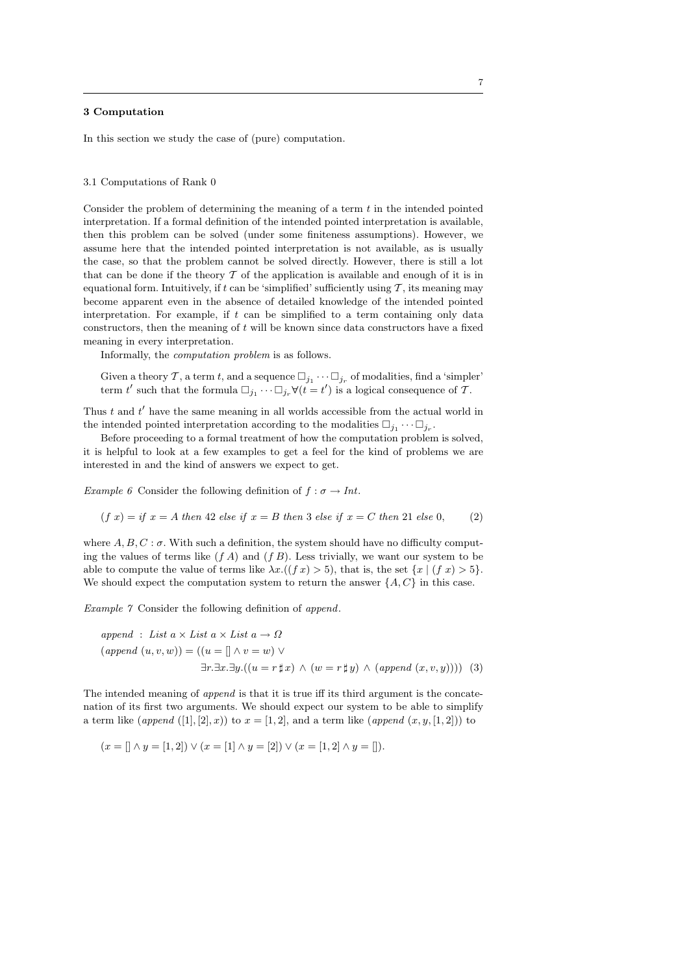#### 3 Computation

In this section we study the case of (pure) computation.

### 3.1 Computations of Rank 0

Consider the problem of determining the meaning of a term  $t$  in the intended pointed interpretation. If a formal definition of the intended pointed interpretation is available, then this problem can be solved (under some finiteness assumptions). However, we assume here that the intended pointed interpretation is not available, as is usually the case, so that the problem cannot be solved directly. However, there is still a lot that can be done if the theory  $\mathcal T$  of the application is available and enough of it is in equational form. Intuitively, if t can be 'simplified' sufficiently using  $\mathcal{T}$ , its meaning may become apparent even in the absence of detailed knowledge of the intended pointed interpretation. For example, if  $t$  can be simplified to a term containing only data constructors, then the meaning of t will be known since data constructors have a fixed meaning in every interpretation.

Informally, the computation problem is as follows.

Given a theory  $\mathcal T$ , a term t, and a sequence  $\Box_{j_1} \cdots \Box_{j_r}$  of modalities, find a 'simpler' term t' such that the formula  $\Box_{j_1} \cdots \Box_{j_r} \forall (t = t')$  is a logical consequence of T.

Thus  $t$  and  $t'$  have the same meaning in all worlds accessible from the actual world in the intended pointed interpretation according to the modalities  $\Box_{j_1} \cdots \Box_{j_r}$ .

Before proceeding to a formal treatment of how the computation problem is solved, it is helpful to look at a few examples to get a feel for the kind of problems we are interested in and the kind of answers we expect to get.

Example 6 Consider the following definition of  $f : \sigma \to Int$ .

$$
(f x) = if x = A
$$
 then 42 else if  $x = B$  then 3 else if  $x = C$  then 21 else 0, (2)

where  $A, B, C$ :  $\sigma$ . With such a definition, the system should have no difficulty computing the values of terms like  $(f A)$  and  $(f B)$ . Less trivially, we want our system to be able to compute the value of terms like  $\lambda x \cdot ((fx) > 5)$ , that is, the set  $\{x \mid (fx) > 5\}$ . We should expect the computation system to return the answer  $\{A, C\}$  in this case.

Example 7 Consider the following definition of append.

$$
append: List a \times List a \times List a \rightarrow \Omega
$$
  
(append (u, v, w)) = ((u = [] \land v = w) \lor  
 \exists r. \exists x. \exists y. ((u = r \sharp x) \land (w = r \sharp y) \land (append (x, v, y)))) (3)

The intended meaning of append is that it is true iff its third argument is the concatenation of its first two arguments. We should expect our system to be able to simplify a term like  $(append([1],[2],x))$  to  $x=[1,2]$ , and a term like  $(append(x,y,[1,2]))$  to

$$
(x = [] \land y = [1, 2]) \lor (x = [1] \land y = [2]) \lor (x = [1, 2] \land y = []).
$$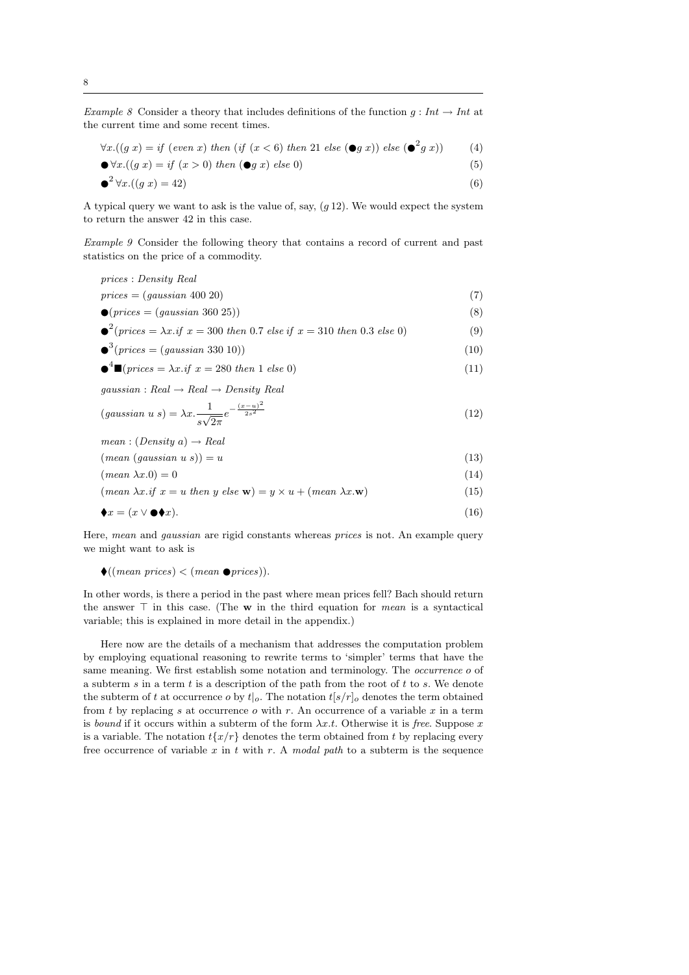Example 8 Consider a theory that includes definitions of the function  $g : Int \to Int$  at the current time and some recent times.

 $\forall x. ((g\ x) = if\ (even\ x)\ then\ (if\ (x < 6)\ then\ 21\ else\ (**⑤**\ g\ x))\ else\ (**④**\ g\ x))$  (4)

$$
\bullet \forall x. ((g\ x) = if\ (x > 0) \ then\ (\bullet g\ x) \ else\ 0)
$$
\n
$$
\tag{5}
$$

$$
\bullet^2 \forall x. ((g \ x) = 42) \tag{6}
$$

A typical query we want to ask is the value of, say,  $(g 12)$ . We would expect the system to return the answer 42 in this case.

Example 9 Consider the following theory that contains a record of current and past statistics on the price of a commodity.

| prices : Density Real                                                                      |      |
|--------------------------------------------------------------------------------------------|------|
| $prices = (gaussian 400 20)$                                                               | (7)  |
| $\bullet$ (prices = (gaussian 360 25))                                                     | (8)  |
| $\bullet^2$ (prices = $\lambda x$ if $x = 300$ then 0.7 else if $x = 310$ then 0.3 else 0) | (9)  |
| $\bullet$ <sup>3</sup> (prices = (gaussian 330 10))                                        | (10) |
| $\bullet^4 \blacksquare$ (prices = $\lambda x$ .if $x = 280$ then 1 else 0)                | (11) |

 $gaussian: Real \rightarrow Real \rightarrow Density Real$ 

$$
(gaussian\ u\ s) = \lambda x. \frac{1}{s\sqrt{2\pi}} e^{-\frac{(x-u)^2}{2s^2}}
$$
\n
$$
(12)
$$

 $mean: (Density\ a) \rightarrow Real$ 

 $(\text{mean } (gaussian \ u \ s)) = u$  (13)

$$
(mean \lambda x.0) = 0 \tag{14}
$$

(*mean*  $\lambda x.$ *if*  $x = u$  then  $y$  else **w**) =  $y \times u + (mean \lambda x.$ **w**) (15)

$$
\blacklozenge x = (x \lor \blacktriangleright \blacklozenge x). \tag{16}
$$

Here, mean and gaussian are rigid constants whereas prices is not. An example query we might want to ask is

 $\big\langle$  ((mean prices) < (mean  $\big\langle$  prices)).

In other words, is there a period in the past where mean prices fell? Bach should return the answer  $\top$  in this case. (The w in the third equation for mean is a syntactical variable; this is explained in more detail in the appendix.)

Here now are the details of a mechanism that addresses the computation problem by employing equational reasoning to rewrite terms to 'simpler' terms that have the same meaning. We first establish some notation and terminology. The *occurrence o* of a subterm  $s$  in a term  $t$  is a description of the path from the root of  $t$  to  $s$ . We denote the subterm of t at occurrence o by  $t|_o$ . The notation  $t[s/r]_o$  denotes the term obtained from t by replacing s at occurrence o with r. An occurrence of a variable x in a term is bound if it occurs within a subterm of the form  $\lambda x.t.$  Otherwise it is free. Suppose x is a variable. The notation  $t\{x/r\}$  denotes the term obtained from t by replacing every free occurrence of variable x in t with r. A modal path to a subterm is the sequence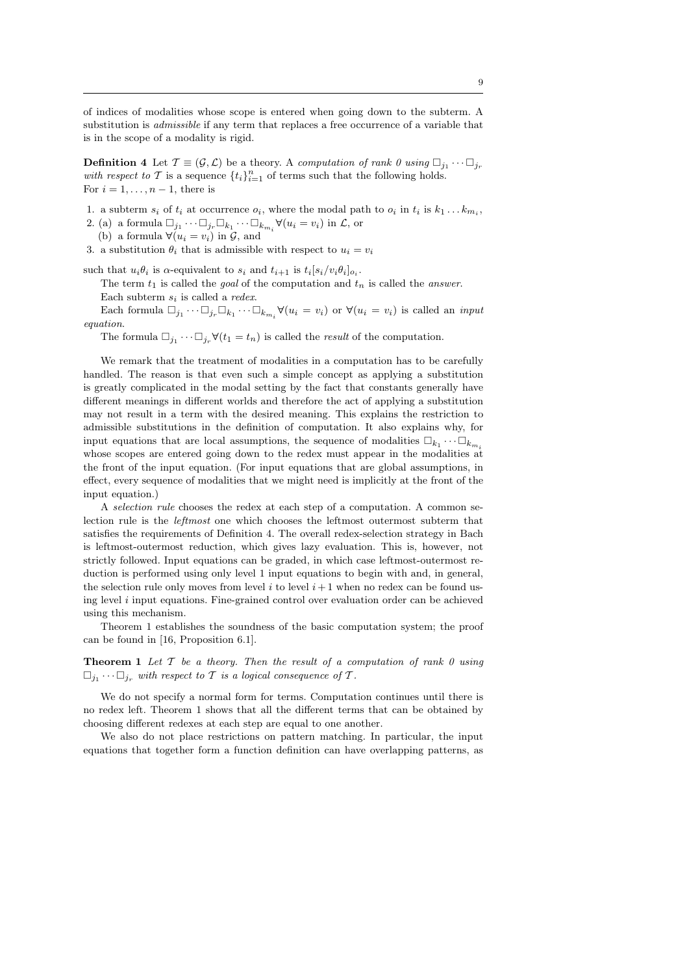of indices of modalities whose scope is entered when going down to the subterm. A substitution is *admissible* if any term that replaces a free occurrence of a variable that is in the scope of a modality is rigid.

**Definition 4** Let  $\mathcal{T} \equiv (\mathcal{G}, \mathcal{L})$  be a theory. A computation of rank 0 using  $\Box_{j_1} \cdots \Box_{j_r}$ with respect to T is a sequence  $\{t_i\}_{i=1}^n$  of terms such that the following holds. For  $i = 1, \ldots, n - 1$ , there is

1. a subterm  $s_i$  of  $t_i$  at occurrence  $o_i$ , where the modal path to  $o_i$  in  $t_i$  is  $k_1 \ldots k_{m_i}$ ,

2. (a) a formula  $\Box_{j_1} \cdots \Box_{j_r} \Box_{k_1} \cdots \Box_{k_{m_i}} \forall (u_i = v_i)$  in  $\mathcal{L}$ , or

(b) a formula  $\forall (u_i = v_i)$  in  $\mathcal{G}$ , and

3. a substitution  $\theta_i$  that is admissible with respect to  $u_i = v_i$ 

such that  $u_i \theta_i$  is  $\alpha$ -equivalent to  $s_i$  and  $t_{i+1}$  is  $t_i[s_i/v_i\theta_i]_{o_i}$ .

The term  $t_1$  is called the *goal* of the computation and  $t_n$  is called the *answer*. Each subterm  $s_i$  is called a *redex*.

Each formula  $\Box_{j_1} \cdots \Box_{j_r} \Box_{k_1} \cdots \Box_{k_{m_i}} \forall (u_i = v_i)$  or  $\forall (u_i = v_i)$  is called an *input* equation.

The formula  $\Box_{j_1} \cdots \Box_{j_r} \forall (t_1 = t_n)$  is called the *result* of the computation.

We remark that the treatment of modalities in a computation has to be carefully handled. The reason is that even such a simple concept as applying a substitution is greatly complicated in the modal setting by the fact that constants generally have different meanings in different worlds and therefore the act of applying a substitution may not result in a term with the desired meaning. This explains the restriction to admissible substitutions in the definition of computation. It also explains why, for input equations that are local assumptions, the sequence of modalities  $\Box_{k_1}\cdots\Box_{k_{m_i}}$ whose scopes are entered going down to the redex must appear in the modalities at the front of the input equation. (For input equations that are global assumptions, in effect, every sequence of modalities that we might need is implicitly at the front of the input equation.)

A selection rule chooses the redex at each step of a computation. A common selection rule is the leftmost one which chooses the leftmost outermost subterm that satisfies the requirements of Definition 4. The overall redex-selection strategy in Bach is leftmost-outermost reduction, which gives lazy evaluation. This is, however, not strictly followed. Input equations can be graded, in which case leftmost-outermost reduction is performed using only level 1 input equations to begin with and, in general, the selection rule only moves from level  $i$  to level  $i + 1$  when no redex can be found using level i input equations. Fine-grained control over evaluation order can be achieved using this mechanism.

Theorem 1 establishes the soundness of the basic computation system; the proof can be found in [16, Proposition 6.1].

**Theorem 1** Let  $T$  be a theory. Then the result of a computation of rank  $0$  using  $\Box_{j_1} \cdots \Box_{j_r}$  with respect to T is a logical consequence of T.

We do not specify a normal form for terms. Computation continues until there is no redex left. Theorem 1 shows that all the different terms that can be obtained by choosing different redexes at each step are equal to one another.

We also do not place restrictions on pattern matching. In particular, the input equations that together form a function definition can have overlapping patterns, as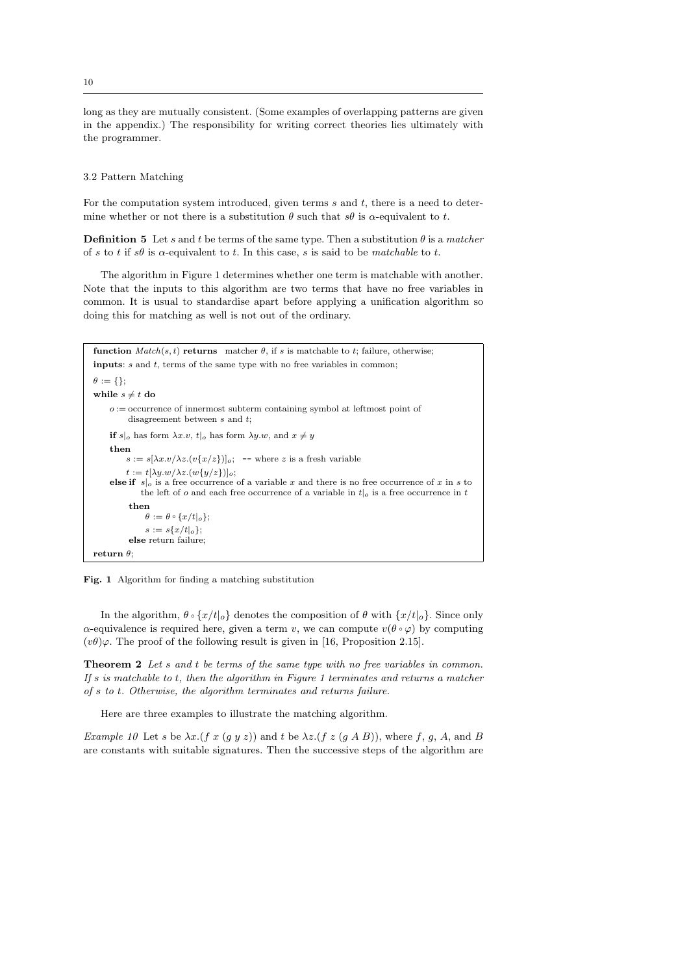long as they are mutually consistent. (Some examples of overlapping patterns are given in the appendix.) The responsibility for writing correct theories lies ultimately with the programmer.

#### 3.2 Pattern Matching

For the computation system introduced, given terms  $s$  and  $t$ , there is a need to determine whether or not there is a substitution  $\theta$  such that  $s\theta$  is  $\alpha$ -equivalent to t.

**Definition 5** Let s and t be terms of the same type. Then a substitution  $\theta$  is a matcher of s to t if  $s\theta$  is  $\alpha$ -equivalent to t. In this case, s is said to be matchable to t.

The algorithm in Figure 1 determines whether one term is matchable with another. Note that the inputs to this algorithm are two terms that have no free variables in common. It is usual to standardise apart before applying a unification algorithm so doing this for matching as well is not out of the ordinary.

```
function Match(s, t) returns matcher \theta, if s is matchable to t; failure, otherwise;
inputs: s and t, terms of the same type with no free variables in common;
\theta := \Omega:
while s \neq t do
    o := occurrence of innermost subterm containing symbol at leftmost point of
          disagreement between s and t;
    if s|_o has form \lambda x.v, t|_o has form \lambda y.w, and x \neq ythen
         s := s[\lambda x.v/\lambda z.(v\{x/z\})]_o; -- where z is a fresh variable
         t := t[\lambda y. w/\lambda z.(w{y/z})]_o;else if s|_o is a free occurrence of a variable x and there is no free occurrence of x in s to
             the left of o and each free occurrence of a variable in t|_o is a free occurrence in t
          then
              \theta := \theta \circ \{x/t|_o\};s := s\{x/t|_o\};else return failure;
return \theta
```


In the algorithm,  $\theta \circ \{x/t|_o\}$  denotes the composition of  $\theta$  with  $\{x/t|_o\}$ . Since only  $\alpha$ -equivalence is required here, given a term v, we can compute  $v(\theta \circ \varphi)$  by computing  $(v\theta)\varphi$ . The proof of the following result is given in [16, Proposition 2.15].

Theorem 2 Let s and t be terms of the same type with no free variables in common. If  $s$  is matchable to t, then the algorithm in Figure 1 terminates and returns a matcher of s to t. Otherwise, the algorithm terminates and returns failure.

Here are three examples to illustrate the matching algorithm.

Example 10 Let s be  $\lambda x. (f x (g y z))$  and t be  $\lambda z. (f z (g A B))$ , where f, g, A, and B are constants with suitable signatures. Then the successive steps of the algorithm are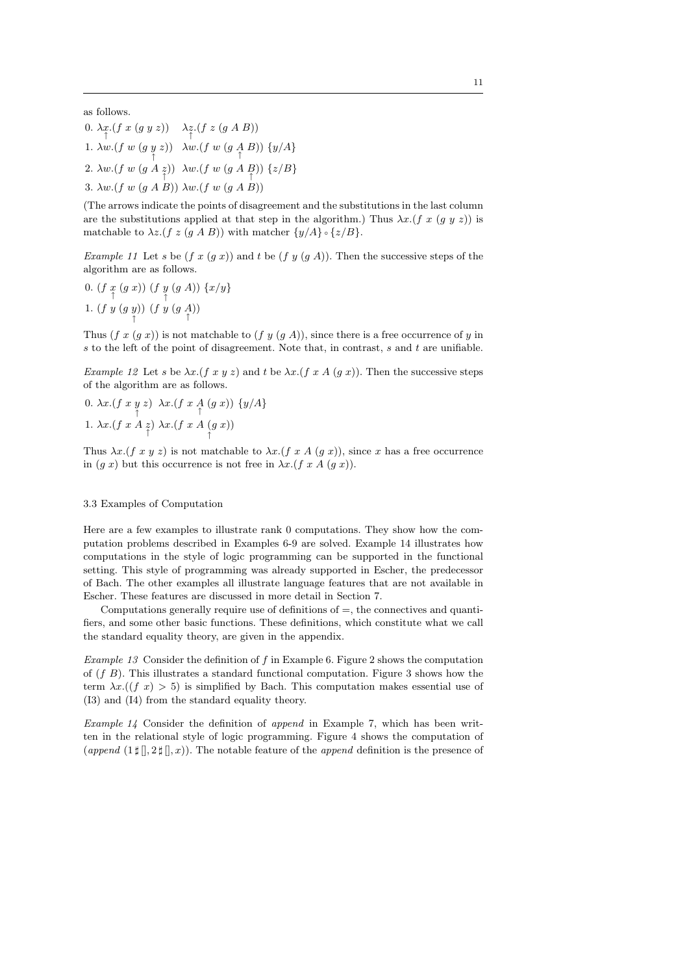11

as follows.

 $0. \ \lambda x \cdot (f \ x \ (g \ y \ z)) \quad \lambda z \cdot (f \ z \ (g \ A \ B))$ 1.  $\lambda w.(f \ w \ (g \ y \ z)) \ \lambda w.(f \ w \ (g \ A \ B)) \ \{y/A\}$ 2.  $\lambda w.(f \ w \ (g \ A \ z)) \ \lambda w.(f \ w \ (g \ A \ B)) \ \{z/B\}$ 3.  $\lambda w.(f w (g AB)) \lambda w.(f w (g AB))$ 

(The arrows indicate the points of disagreement and the substitutions in the last column are the substitutions applied at that step in the algorithm.) Thus  $\lambda x.(f x (g y z))$  is matchable to  $\lambda z. (f z (g A B))$  with matcher  $\{y/A\} \circ \{z/B\}.$ 

Example 11 Let s be  $(f x (g x))$  and t be  $(f y (g A))$ . Then the successive steps of the algorithm are as follows.

0. 
$$
(f g x) (f g g A) \{x/y\}
$$
  
\n1.  $(f g (g y)) (f g (g A))$   
\n1.  $(f g (g y)) (f g (g A))$ 

Thus  $(f x (g x))$  is not matchable to  $(f y (g A))$ , since there is a free occurrence of y in  $s$  to the left of the point of disagreement. Note that, in contrast,  $s$  and  $t$  are unifiable.

Example 12 Let s be  $\lambda x. (f x y z)$  and t be  $\lambda x. (f x A (g x))$ . Then the successive steps of the algorithm are as follows.

0. 
$$
\lambda x.(f x y z) \lambda x.(f x A (g x)) \{y/A\}
$$
  
1.  $\lambda x.(f x A z) \lambda x.(f x A (g x))$ 

Thus  $\lambda x. (f x y z)$  is not matchable to  $\lambda x. (f x A (g x))$ , since x has a free occurrence in  $(g x)$  but this occurrence is not free in  $\lambda x. (f x A (g x)).$ 

### 3.3 Examples of Computation

Here are a few examples to illustrate rank 0 computations. They show how the computation problems described in Examples 6-9 are solved. Example 14 illustrates how computations in the style of logic programming can be supported in the functional setting. This style of programming was already supported in Escher, the predecessor of Bach. The other examples all illustrate language features that are not available in Escher. These features are discussed in more detail in Section 7.

Computations generally require use of definitions of  $=$ , the connectives and quantifiers, and some other basic functions. These definitions, which constitute what we call the standard equality theory, are given in the appendix.

Example 13 Consider the definition of f in Example 6. Figure 2 shows the computation of  $(f \, B)$ . This illustrates a standard functional computation. Figure 3 shows how the term  $\lambda x$ .((f x) > 5) is simplified by Bach. This computation makes essential use of (I3) and (I4) from the standard equality theory.

Example 14 Consider the definition of append in Example 7, which has been written in the relational style of logic programming. Figure 4 shows the computation of (append  $(1 \sharp [\cdot, 2 \sharp [\cdot], x))$ ). The notable feature of the append definition is the presence of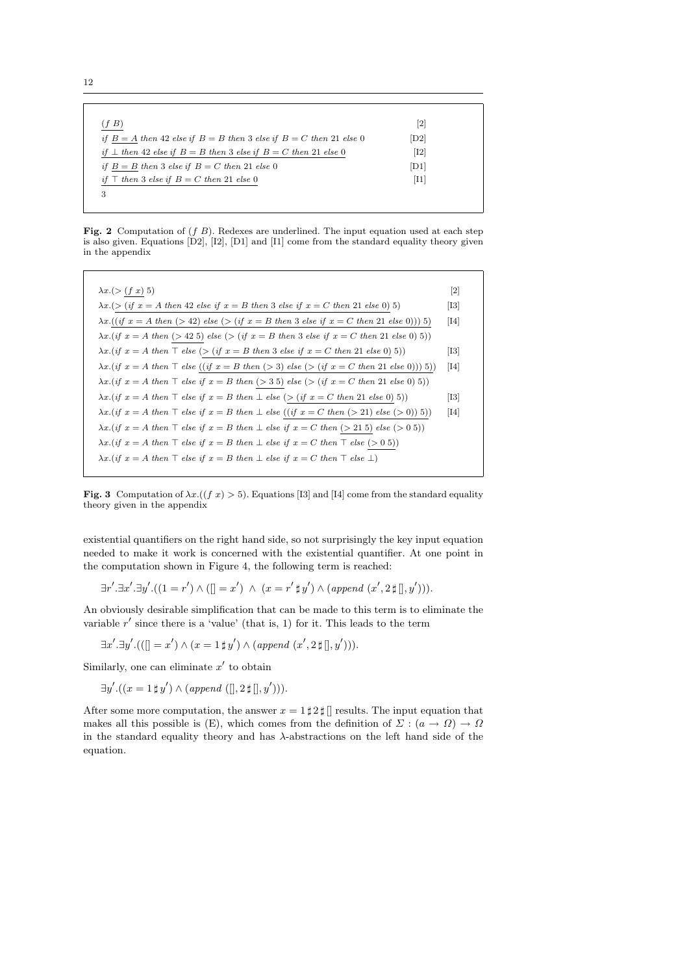| $\vert B \vert$                                                          | [2]                         |  |
|--------------------------------------------------------------------------|-----------------------------|--|
|                                                                          |                             |  |
| if $B = A$ then 42 else if $B = B$ then 3 else if $B = C$ then 21 else 0 | [D2]                        |  |
| if $\perp$ then 42 else if $B = B$ then 3 else if $B = C$ then 21 else 0 | [12]                        |  |
| if $B = B$ then 3 else if $B = C$ then 21 else 0                         | D1                          |  |
| if $\top$ then 3 else if $B = C$ then 21 else 0                          | $\vert \overline{11} \vert$ |  |
| 3                                                                        |                             |  |
|                                                                          |                             |  |

Fig. 2 Computation of  $(f \, B)$ . Redexes are underlined. The input equation used at each step is also given. Equations  $[D2]$ ,  $[D1]$ ,  $[D1]$  and  $[I1]$  come from the standard equality theory given in the appendix

| $\lambda x.$ ( $\geq$ (f x) 5)                                                                      | $\left\lceil 2 \right\rceil$ |
|-----------------------------------------------------------------------------------------------------|------------------------------|
| $\lambda x.$ (> (if $x = A$ then 42 else if $x = B$ then 3 else if $x = C$ then 21 else 0) 5)       | $\left[13\right]$            |
| $\lambda x. ((if x = A then (> 42) else (>(if x = B then 3 else if x = C then 21 else 0))) 5)$      | $\vert$ I4                   |
| $\lambda x. (if x = A then (> 425)$ else $(>(if x = B then 3 else if x = C then 21 else 0) 5))$     |                              |
| $\lambda x. (if x = A then \top else (>(if x = B then 3 else if x = C then 21 else 0) 5))$          | $\left[13\right]$            |
| $\lambda x. (if x = A then \top else ((if x = B then (> 3) else (> (if x = C then 21 else 0))) 5))$ | $\vert$ I4                   |
| $\lambda x. (if x = A then \top else if x = B then (>3.5) else (> (if x = C then 21 else 0) 5))$    |                              |
| $\lambda x. (if x = A then \top else if x = B then \bot else (>(if x = C then 21 else 0) 5))$       | $\left[13\right]$            |
| $\lambda x. (if x = A then \top else if x = B then \bot else ((if x = C then (>21) else (>0)) 5))$  | $\vert$ I4                   |
| $\lambda x. (if x = A then \top else if x = B then \bot else if x = C then (>215) else (>05))$      |                              |
| $\lambda x. (if x = A then \top else if x = B then \bot else if x = C then \top else (>0.5))$       |                              |
| $\lambda x. (if x = A then \top else if x = B then \bot else if x = C then \top else \bot)$         |                              |

Fig. 3 Computation of  $\lambda x$ . ((f x) > 5). Equations [I3] and [I4] come from the standard equality theory given in the appendix

existential quantifiers on the right hand side, so not surprisingly the key input equation needed to make it work is concerned with the existential quantifier. At one point in the computation shown in Figure 4, the following term is reached:

$$
\exists r'.\exists x'.\exists y'.((1 = r') \land ([] = x') \land (x = r' \sharp y') \land (append(x', 2\sharp[], y'))).
$$

An obviously desirable simplification that can be made to this term is to eliminate the variable  $r'$  since there is a 'value' (that is, 1) for it. This leads to the term

$$
\exists x'.\exists y'.(([] = x') \land (x = 1 \sharp y') \land (append(x', 2 \sharp[], y'))).
$$

Similarly, one can eliminate  $x'$  to obtain

 $\exists y' . ((x = 1 \sharp y') \land (append ([], 2 \sharp [[], y')).$ 

After some more computation, the answer  $x = 1 \sharp 2 \sharp$  results. The input equation that makes all this possible is (E), which comes from the definition of  $\Sigma : (a \to \Omega) \to \Omega$ in the standard equality theory and has  $\lambda$ -abstractions on the left hand side of the equation.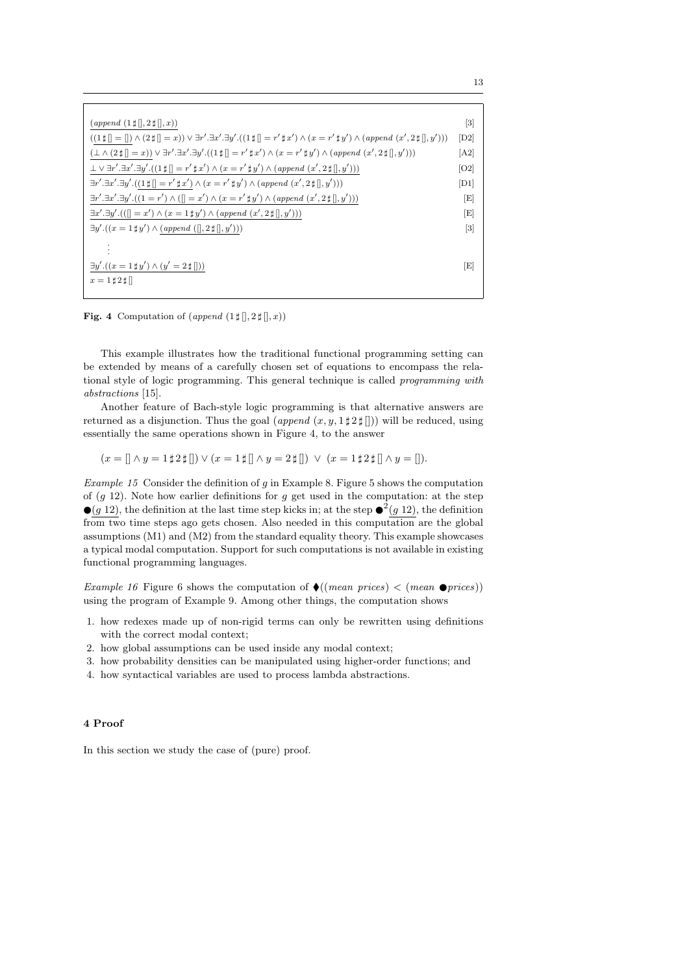| $\lceil 3 \rceil$ |
|-------------------|
| [D2]              |
| [A2]              |
| [O2]              |
| [D1]              |
| [E]               |
| [E]               |
| $\lceil 3 \rceil$ |
|                   |
|                   |
| ſΕl               |
|                   |
|                   |

Fig. 4 Computation of  $(append(1\sharp[.,2\sharp[.,x]))$ 

This example illustrates how the traditional functional programming setting can be extended by means of a carefully chosen set of equations to encompass the relational style of logic programming. This general technique is called programming with abstractions [15].

Another feature of Bach-style logic programming is that alternative answers are returned as a disjunction. Thus the goal (append  $(x, y, 1 \sharp 2 \sharp | |)$ ) will be reduced, using essentially the same operations shown in Figure 4, to the answer

 $(x = \left[\left|\right. \wedge y = 1 \sharp 2 \sharp \left[\right]\right) \vee (x = 1 \sharp \left[\left.\right] \wedge y = 2 \sharp \left[\right]) \vee (x = 1 \sharp 2 \sharp \left[\left.\right] \wedge y = \left[\right]).$ 

Example 15 Consider the definition of  $g$  in Example 8. Figure 5 shows the computation of  $(g 12)$ . Note how earlier definitions for g get used in the computation: at the step  $(g_1(12))$ , the definition at the last time step kicks in; at the step  $\bullet^2(g_1(12))$ , the definition from two time steps ago gets chosen. Also needed in this computation are the global assumptions (M1) and (M2) from the standard equality theory. This example showcases a typical modal computation. Support for such computations is not available in existing functional programming languages.

Example 16 Figure 6 shows the computation of  $\blacklozenge((mean prices) < (mean \space 0 \text{ prices}))$ using the program of Example 9. Among other things, the computation shows

- 1. how redexes made up of non-rigid terms can only be rewritten using definitions with the correct modal context;
- 2. how global assumptions can be used inside any modal context;
- 3. how probability densities can be manipulated using higher-order functions; and
- 4. how syntactical variables are used to process lambda abstractions.

# 4 Proof

In this section we study the case of (pure) proof.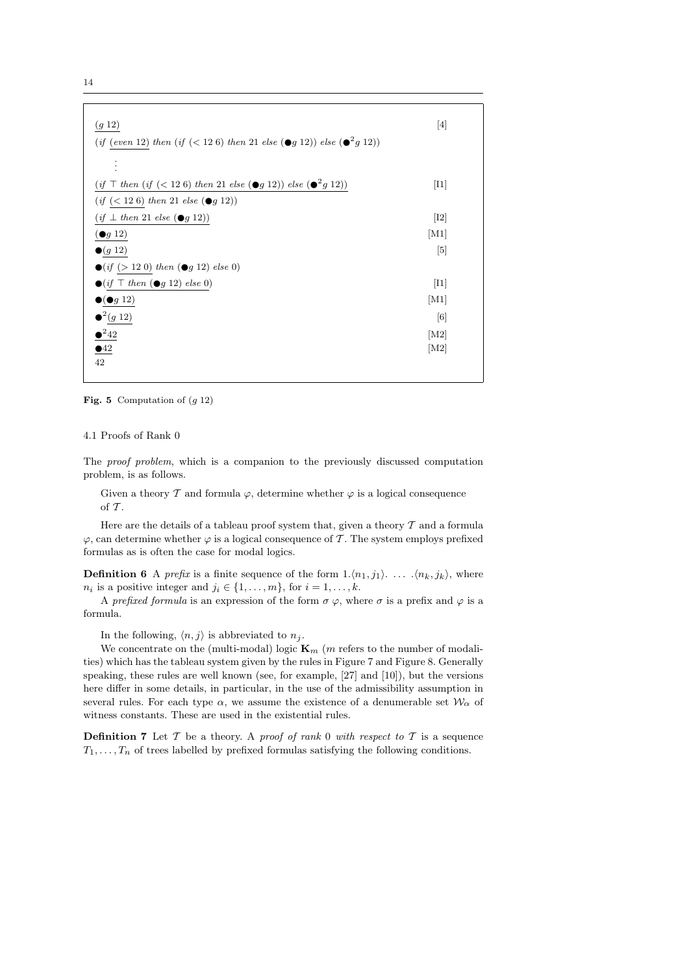| (g 12)                                                                                        | $\lceil 4 \rceil$ |
|-----------------------------------------------------------------------------------------------|-------------------|
| (if (even 12) then (if $(< 12 6)$ ) then 21 else $(\bullet q 12)$ ) else $(\bullet^2 q 12)$ ) |                   |
| $\cdot$                                                                                       |                   |
| $(if \top then (if (< 126) then 21 else (0 12)) else (0 2g 12))$                              | $[11]$            |
| (if (< 126) then 21 else (⑤ 12))                                                              |                   |
| $(if \perp then 21 else (\bigcirc g 12))$                                                     | $\left[12\right]$ |
| $\left(\bullet g 12\right)$                                                                   | [M1]              |
| $\bullet$ (g 12)                                                                              | [5]               |
| $\bullet$ (if (> 12 0) then $(\bullet g 12)$ else 0)                                          |                   |
| $\bullet$ (if $\top$ then $\bullet$ 12) else 0)                                               | $\vert$ I1]       |
| $\bullet$ ( $\bullet$ g 12)                                                                   | [M1]              |
| $\bullet^2(g\ 12)$                                                                            | $\lceil 6 \rceil$ |
| $\bullet^2$ 42                                                                                | [M2]              |
| $\bullet$ 42                                                                                  | [M2]              |
| 42                                                                                            |                   |

**Fig. 5** Computation of  $(g 12)$ 

### 4.1 Proofs of Rank 0

The proof problem, which is a companion to the previously discussed computation problem, is as follows.

Given a theory  $\mathcal T$  and formula  $\varphi$ , determine whether  $\varphi$  is a logical consequence of  $\mathcal T$ .

Here are the details of a tableau proof system that, given a theory  $T$  and a formula  $\varphi$ , can determine whether  $\varphi$  is a logical consequence of T. The system employs prefixed formulas as is often the case for modal logics.

**Definition 6** A prefix is a finite sequence of the form  $1.\langle n_1, j_1 \rangle$ . . . . .  $\langle n_k, j_k \rangle$ , where  $n_i$  is a positive integer and  $j_i \in \{1, \ldots, m\}$ , for  $i = 1, \ldots, k$ .

A prefixed formula is an expression of the form  $\sigma \varphi$ , where  $\sigma$  is a prefix and  $\varphi$  is a formula.

In the following,  $\langle n, j \rangle$  is abbreviated to  $n_j$ .

We concentrate on the (multi-modal) logic  $\mathbf{K}_m$  (m refers to the number of modalities) which has the tableau system given by the rules in Figure 7 and Figure 8. Generally speaking, these rules are well known (see, for example, [27] and [10]), but the versions here differ in some details, in particular, in the use of the admissibility assumption in several rules. For each type  $\alpha$ , we assume the existence of a denumerable set  $\mathcal{W}_{\alpha}$  of witness constants. These are used in the existential rules.

**Definition 7** Let  $T$  be a theory. A proof of rank 0 with respect to  $T$  is a sequence  $T_1, \ldots, T_n$  of trees labelled by prefixed formulas satisfying the following conditions.

14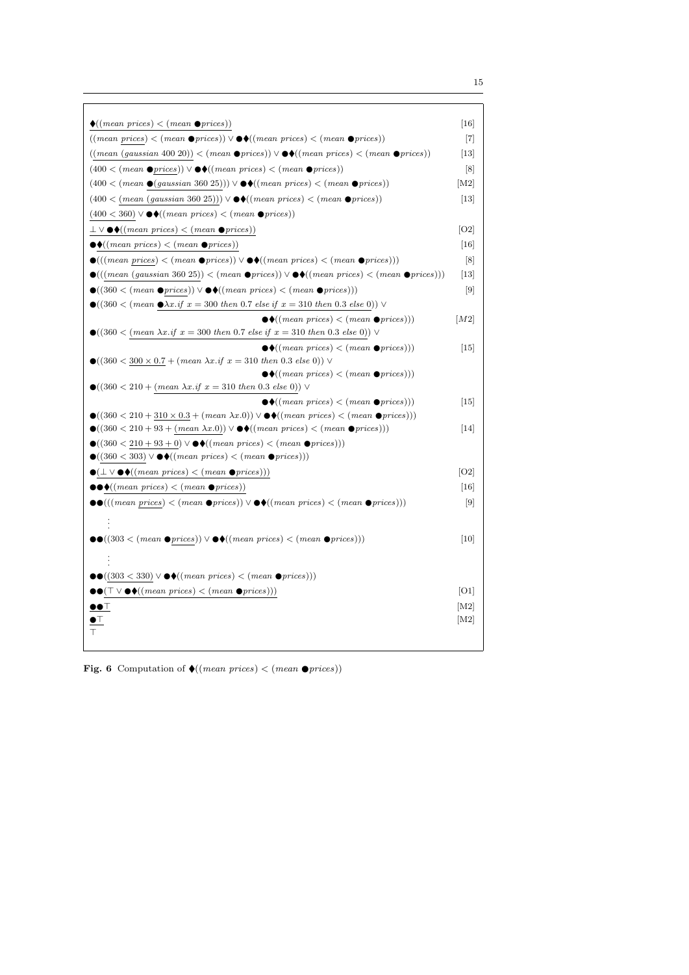| $\big(\mathcal{L}(mean \text{ prices}) < (mean \text{ 0 prices})\big)$                                                                                                                                                                                                           | $[16]$                            |
|----------------------------------------------------------------------------------------------------------------------------------------------------------------------------------------------------------------------------------------------------------------------------------|-----------------------------------|
| $((mean \text{ prices}) < (mean \cdot \bullet \text{ prices})) \vee \bullet \bullet ((mean \text{ prices}) < (mean \cdot \bullet \text{ prices}))$<br>$((mean (gaussian 400 20)) < (mean \space \bullet\}) \vee \bullet ((mean \space prices) < (mean \space \bullet\) prices))$ | $\begin{bmatrix} 7 \end{bmatrix}$ |
|                                                                                                                                                                                                                                                                                  | $\vert 13 \vert$                  |
| $(400 < (mean \cdot \bullet prices)) \vee \bullet ((mean \cdot prices) < (mean \cdot \bullet prices))$                                                                                                                                                                           | [8]                               |
| $(400 < (mean \bullet (gaussian 360 25))) \vee \bullet \bullet ((mean prices) < (mean \bullet prices))$                                                                                                                                                                          | [M2]                              |
| $(400 < (mean (gaussian 360 25))) \vee \bullet ((mean prices) < (mean \bullet prices))$                                                                                                                                                                                          | $[13]$                            |
| $(400 < 360) \vee \bullet ((mean prices) < (mean \bullet prices))$                                                                                                                                                                                                               |                                   |
| $\perp \vee \bullet \bullet ((mean \text{ prices}) < (mean \bullet \text{ prices}))$                                                                                                                                                                                             | [O2]                              |
| $\bigodot((mean prices) < (mean \space 0)$                                                                                                                                                                                                                                       | $\lceil 16 \rceil$                |
| $\big(\big((mean \text{ prices}) \leq (mean \text{ 9 prices})\big) \vee \bigoplus \big((mean \text{ prices}) \leq (mean \text{ 9 prices})\big)\big)$                                                                                                                             | [8]                               |
| $\big(\big((mean (gaussian 360 25)) \lt (mean \blacktriangleright) \vee \blacktriangleright \big(\big(mean \text{ prices}) \vee \blacktriangleright \big((mean \blacktriangleright) \vee (mean \blacktriangleright))\big)$                                                       | $[13]$                            |
| $\bigodot((360 \lt(mean \cdot \bullet prices)) \vee \bullet \bigodot((mean prices) \lt(mean \cdot \bullet prices)))$                                                                                                                                                             | $\lceil 9 \rceil$                 |
| $\bigcirc ((360 \lt (mean \odot \lambda x \cdot if \ x = 300 \ then \ 0.7 \ else \ if \ x = 310 \ then \ 0.3 \ else \ 0)) \ \vee$                                                                                                                                                |                                   |
| $\bigodot((mean prices) < (mean \space 2)$<br>●((360 < (mean $\lambda x.$ if $x = 300$ then 0.7 else if $x = 310$ then 0.3 else 0)) $\vee$                                                                                                                                       | [M2]                              |
| $\bigodot((mean prices) < (mean \space 2)$                                                                                                                                                                                                                                       | $\left[15\right]$                 |
| $\bullet ((360 < 300 \times 0.7 + (mean \lambda x \cdot if x = 310 then 0.3 else 0)) \vee$                                                                                                                                                                                       |                                   |
| $\bigodot((mean prices) < (mean \space 9 prices)))$                                                                                                                                                                                                                              |                                   |
| $\bullet ((360 \leq 210 + (mean \lambda x \cdot if \ x = 310 \ then \ 0.3 \ else \ 0)) \ \vee$                                                                                                                                                                                   |                                   |
| $\bigodot((mean prices) < (mean \space 0 \text{ prices}))$                                                                                                                                                                                                                       | $\left[15\right]$                 |
| $\bigodot((360 < 210 + 310 \times 0.3 + (mean \lambda x.0)) \vee \bigodot((mean \ prices) < (mean \  \) prices)))$                                                                                                                                                               |                                   |
| $\bigodot((360 < 210 + 93 + (mean \lambda x.0)) \vee \bigodot((mean \, prices) < (mean \, \bullet prices)))$                                                                                                                                                                     | $\left[14\right]$                 |
| $\bullet((360 < 210 + 93 + 0) \vee \bullet \bullet ((mean prices) < (mean \bullet prices)))$                                                                                                                                                                                     |                                   |
| $\bullet((360 < 303) \vee \bullet \bullet ((mean prices) < (mean \bullet prices)))$                                                                                                                                                                                              |                                   |
| $\bigcirc(\perp \vee \bigcirc \bigcirc ((mean \text{ prices}) < (mean \bigcirc \text{ prices})))$                                                                                                                                                                                | [O2]                              |
| $\bigodot(\text{mean prices}) < (\text{mean entries})$                                                                                                                                                                                                                           | $\lceil 16 \rceil$                |
| $\bigodot((mean \ prices) < (mean \ \mathbin{\blacktriangleright} \ prices)) \vee \bigodot((mean \ prices) < (mean \ \mathbin{\blacktriangleright} \ prices)))$                                                                                                                  | $\left[9\right]$                  |
|                                                                                                                                                                                                                                                                                  |                                   |
| $\bigodot((303 < (mean \odot prices)) \vee \bigodot((mean prices) < (mean \odot prices)))$                                                                                                                                                                                       | [10]                              |
|                                                                                                                                                                                                                                                                                  |                                   |
|                                                                                                                                                                                                                                                                                  |                                   |
| $\bigodot((303 < 330) \vee \bigodot((mean prices) < (mean \bigodot prices)))$                                                                                                                                                                                                    |                                   |
| $\bigcirc(\top \vee \bigcirc \bigcirc ((mean \text{ prices}) < (mean \bigcirc \text{ prices})))$                                                                                                                                                                                 | [O1]                              |
| $\bullet\bullet$ T                                                                                                                                                                                                                                                               | [M2]                              |
| $\bullet^\top$<br>Τ                                                                                                                                                                                                                                                              | [M2]                              |
|                                                                                                                                                                                                                                                                                  |                                   |

Fig. 6 Computation of  $\blacklozenge((mean \text{ prices}) < (mean \text{ prices}))$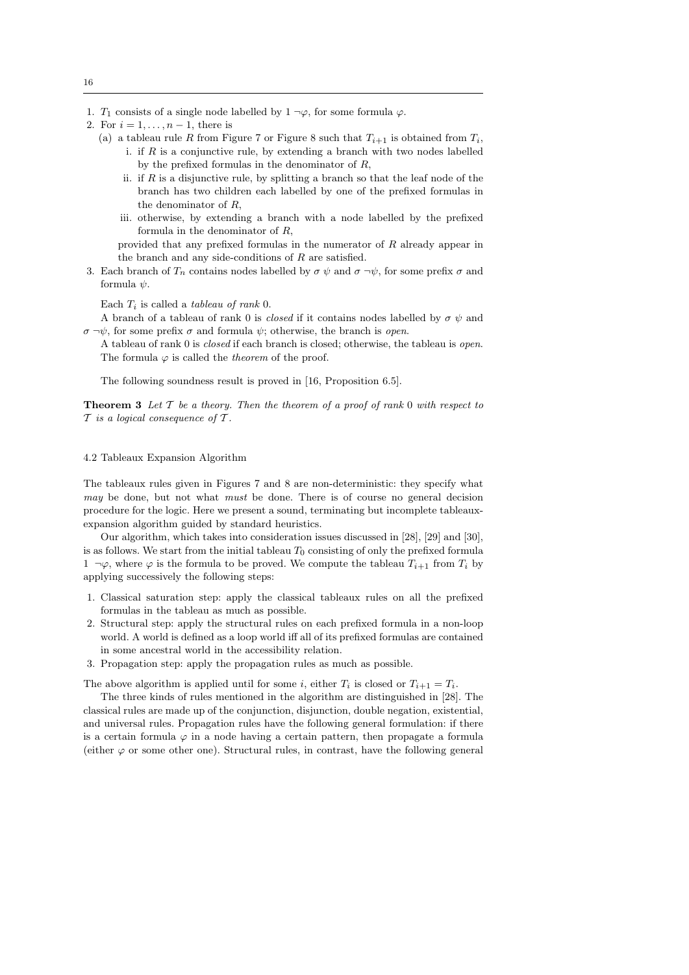- 1.  $T_1$  consists of a single node labelled by  $1 \neg \varphi$ , for some formula  $\varphi$ .
- 2. For  $i = 1, ..., n 1$ , there is
	- (a) a tableau rule R from Figure 7 or Figure 8 such that  $T_{i+1}$  is obtained from  $T_i$ , i. if  $R$  is a conjunctive rule, by extending a branch with two nodes labelled by the prefixed formulas in the denominator of  $R$ ,
		- ii. if  $R$  is a disjunctive rule, by splitting a branch so that the leaf node of the branch has two children each labelled by one of the prefixed formulas in the denominator of R,
		- iii. otherwise, by extending a branch with a node labelled by the prefixed formula in the denominator of R,

provided that any prefixed formulas in the numerator of R already appear in the branch and any side-conditions of  $R$  are satisfied.

3. Each branch of  $T_n$  contains nodes labelled by  $\sigma \psi$  and  $\sigma \neg \psi$ , for some prefix  $\sigma$  and formula  $\psi$ .

Each  $T_i$  is called a *tableau of rank* 0.

A branch of a tableau of rank 0 is *closed* if it contains nodes labelled by  $\sigma \psi$  and  $\sigma \neg \psi$ , for some prefix  $\sigma$  and formula  $\psi$ ; otherwise, the branch is open.

A tableau of rank 0 is closed if each branch is closed; otherwise, the tableau is open. The formula  $\varphi$  is called the *theorem* of the proof.

The following soundness result is proved in [16, Proposition 6.5].

**Theorem 3** Let  $\mathcal T$  be a theory. Then the theorem of a proof of rank 0 with respect to  $T$  is a logical consequence of  $T$ .

### 4.2 Tableaux Expansion Algorithm

The tableaux rules given in Figures 7 and 8 are non-deterministic: they specify what may be done, but not what must be done. There is of course no general decision procedure for the logic. Here we present a sound, terminating but incomplete tableauxexpansion algorithm guided by standard heuristics.

Our algorithm, which takes into consideration issues discussed in [28], [29] and [30], is as follows. We start from the initial tableau  $T_0$  consisting of only the prefixed formula 1  $\neg \varphi$ , where  $\varphi$  is the formula to be proved. We compute the tableau  $T_{i+1}$  from  $T_i$  by applying successively the following steps:

- 1. Classical saturation step: apply the classical tableaux rules on all the prefixed formulas in the tableau as much as possible.
- 2. Structural step: apply the structural rules on each prefixed formula in a non-loop world. A world is defined as a loop world iff all of its prefixed formulas are contained in some ancestral world in the accessibility relation.
- 3. Propagation step: apply the propagation rules as much as possible.

The above algorithm is applied until for some *i*, either  $T_i$  is closed or  $T_{i+1} = T_i$ .

The three kinds of rules mentioned in the algorithm are distinguished in [28]. The classical rules are made up of the conjunction, disjunction, double negation, existential, and universal rules. Propagation rules have the following general formulation: if there is a certain formula  $\varphi$  in a node having a certain pattern, then propagate a formula (either  $\varphi$  or some other one). Structural rules, in contrast, have the following general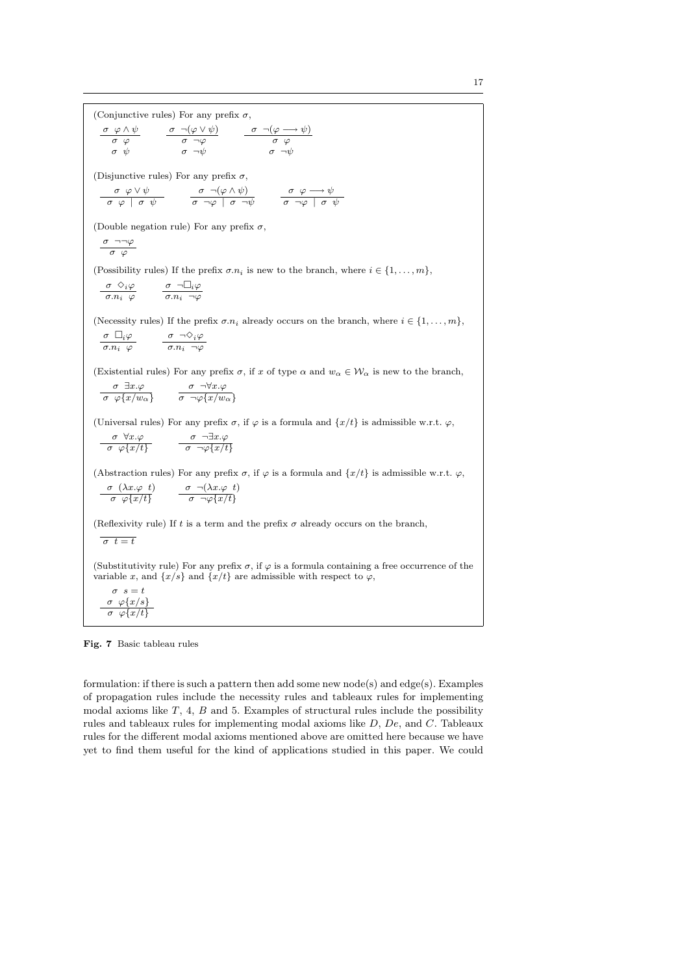(Conjunctive rules) For any prefix 
$$
\sigma
$$
,  
\n $\frac{\sigma \varphi \wedge \psi}{\sigma \varphi} = \frac{\sigma \neg(\varphi \vee \psi)}{\sigma \neg \varphi} = \frac{\sigma \neg(\varphi \wedge \psi)}{\sigma \varphi}$   
\n(Disjunctive rules) For any prefix  $\sigma$ ,  
\n $\frac{\sigma \varphi \vee \psi}{\sigma \varphi \mid \sigma \psi} = \frac{\sigma \neg(\varphi \wedge \psi)}{\sigma \neg \varphi \mid \sigma \neg \psi} = \frac{\sigma \varphi \rightarrow \psi}{\sigma \neg \varphi \mid \sigma \psi}$   
\n(Double negation rule) For any prefix  $\sigma$ ,  
\n $\frac{\sigma \neg \varphi}{\sigma \varphi}$   
\n(Double negation rule) For any prefix  $\sigma$ ,  
\n $\frac{\sigma \neg \varphi}{\sigma \varphi}$   
\n(Dosibility rules) If the prefix  $\sigma.n_i$  is new to the branch, where  $i \in \{1, ..., m\}$ ,  
\n $\frac{\sigma \wedge i \varphi}{\sigma.n_i \varphi} = \frac{\sigma \neg \Box_i \varphi}{\sigma.n_i \neg \varphi}$   
\n(Necessity rules) If the prefix  $\sigma.n_i$  already occurs on the branch, where  $i \in \{1, ..., m\}$ ,  
\n $\frac{\sigma \Box_i \varphi}{\sigma.n_i \varphi} = \frac{\sigma \neg \Diamond_i \varphi}{\sigma.n_i \neg \varphi}$   
\n(Existential rules) For any prefix  $\sigma$ , if  $x$  of type  $\alpha$  and  $w_{\alpha} \in \mathcal{W}_{\alpha}$  is new to the branch,  
\n $\frac{\sigma \Box_i \varphi}{\sigma \varphi \{x/w_{\alpha}\}}$   
\n $\frac{\sigma \lor x.\varphi}{\sigma \varphi \{x/w_{\alpha}\}}$   
\n(Universal rules) For any prefix  $\sigma$ , if  $\varphi$  is a formula and  $\{x/t\}$  is admissible w.r.t.  $\varphi$ ,  
\n $\frac{\sigma \lor x.\varphi}{\sigma \varphi \{x/t\}}$   
\n $\frac{\sigma \lor x.\varphi}{\sigma \varphi \{x/t\}}$   
\n $\frac{\sigma \land (x, \varphi \ t)}{\sigma \neg \varphi \{x/t\}}$   
\n $\frac{\sigma \land (x, \$ 

Fig. 7 Basic tableau rules

 $\sigma \varphi\{x/t\}$ 

formulation: if there is such a pattern then add some new node(s) and edge(s). Examples of propagation rules include the necessity rules and tableaux rules for implementing modal axioms like  $T$ , 4,  $B$  and 5. Examples of structural rules include the possibility rules and tableaux rules for implementing modal axioms like D, De, and C. Tableaux rules for the different modal axioms mentioned above are omitted here because we have yet to find them useful for the kind of applications studied in this paper. We could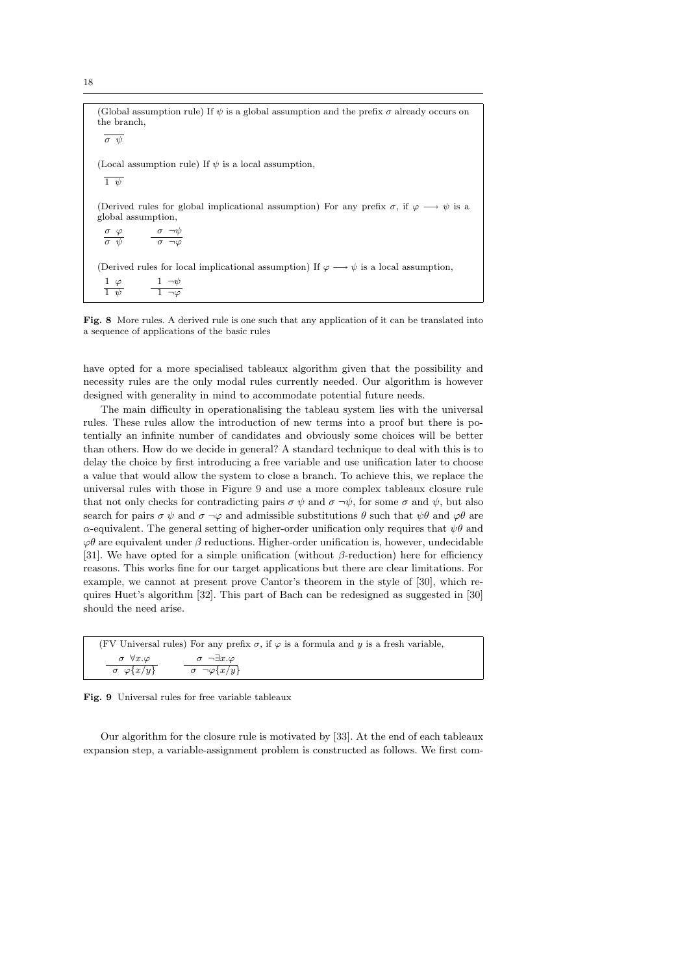(Global assumption rule) If  $\psi$  is a global assumption and the prefix  $\sigma$  already occurs on the branch,  $\overline{\sigma v}$ (Local assumption rule) If  $\psi$  is a local assumption,  $\overline{1\psi}$ (Derived rules for global implicational assumption) For any prefix  $\sigma$ , if  $\varphi \longrightarrow \psi$  is a global assumption, σ ϕ  $\overline{\sigma}$   $\psi$  $\sigma \neg \psi$  $\overline{\sigma}$   $\neg \varphi$ (Derived rules for local implicational assumption) If  $\varphi \longrightarrow \psi$  is a local assumption,  $1 \varphi$  $1 \psi$ 1  $\neg \psi$  $1 - \varphi$ 

Fig. 8 More rules. A derived rule is one such that any application of it can be translated into a sequence of applications of the basic rules

have opted for a more specialised tableaux algorithm given that the possibility and necessity rules are the only modal rules currently needed. Our algorithm is however designed with generality in mind to accommodate potential future needs.

The main difficulty in operationalising the tableau system lies with the universal rules. These rules allow the introduction of new terms into a proof but there is potentially an infinite number of candidates and obviously some choices will be better than others. How do we decide in general? A standard technique to deal with this is to delay the choice by first introducing a free variable and use unification later to choose a value that would allow the system to close a branch. To achieve this, we replace the universal rules with those in Figure 9 and use a more complex tableaux closure rule that not only checks for contradicting pairs  $\sigma \psi$  and  $\sigma \neg \psi$ , for some  $\sigma$  and  $\psi$ , but also search for pairs  $\sigma \psi$  and  $\sigma \neg \varphi$  and admissible substitutions  $\theta$  such that  $\psi \theta$  and  $\varphi \theta$  are  $\alpha$ -equivalent. The general setting of higher-order unification only requires that  $\psi\theta$  and  $\varphi\theta$  are equivalent under  $\beta$  reductions. Higher-order unification is, however, undecidable [31]. We have opted for a simple unification (without  $\beta$ -reduction) here for efficiency reasons. This works fine for our target applications but there are clear limitations. For example, we cannot at present prove Cantor's theorem in the style of [30], which requires Huet's algorithm [32]. This part of Bach can be redesigned as suggested in [30] should the need arise.

|                              | (FV Universal rules) For any prefix $\sigma$ , if $\varphi$ is a formula and y is a fresh variable, |
|------------------------------|-----------------------------------------------------------------------------------------------------|
| $\sigma \ \forall x.\varphi$ | $\sigma \neg \exists x.\varphi$                                                                     |
| $\sigma \varphi \{x/y\}$     | $\sigma \neg \varphi \{x/y\}$                                                                       |

Fig. 9 Universal rules for free variable tableaux

Our algorithm for the closure rule is motivated by [33]. At the end of each tableaux expansion step, a variable-assignment problem is constructed as follows. We first com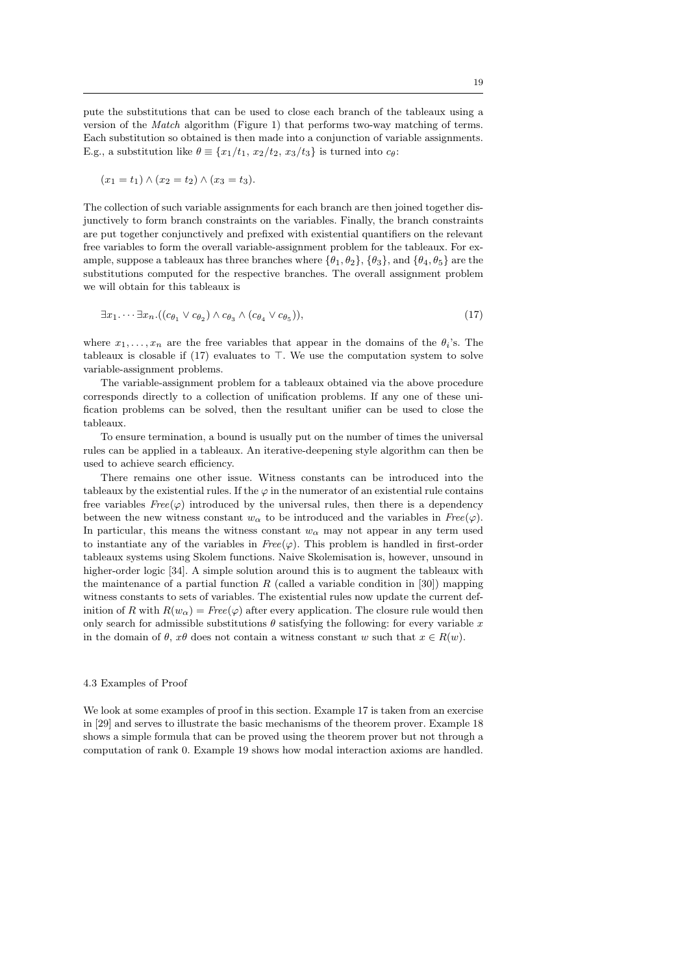pute the substitutions that can be used to close each branch of the tableaux using a version of the Match algorithm (Figure 1) that performs two-way matching of terms. Each substitution so obtained is then made into a conjunction of variable assignments. E.g., a substitution like  $\theta \equiv \{x_1/t_1, x_2/t_2, x_3/t_3\}$  is turned into  $c_{\theta}$ :

$$
(x_1 = t_1) \land (x_2 = t_2) \land (x_3 = t_3).
$$

The collection of such variable assignments for each branch are then joined together disjunctively to form branch constraints on the variables. Finally, the branch constraints are put together conjunctively and prefixed with existential quantifiers on the relevant free variables to form the overall variable-assignment problem for the tableaux. For example, suppose a tableaux has three branches where  $\{\theta_1, \theta_2\}$ ,  $\{\theta_3\}$ , and  $\{\theta_4, \theta_5\}$  are the substitutions computed for the respective branches. The overall assignment problem we will obtain for this tableaux is

$$
\exists x_1 \cdots \exists x_n \left( (c_{\theta_1} \vee c_{\theta_2}) \wedge c_{\theta_3} \wedge (c_{\theta_4} \vee c_{\theta_5}) \right), \tag{17}
$$

where  $x_1, \ldots, x_n$  are the free variables that appear in the domains of the  $\theta_i$ 's. The tableaux is closable if  $(17)$  evaluates to  $\top$ . We use the computation system to solve variable-assignment problems.

The variable-assignment problem for a tableaux obtained via the above procedure corresponds directly to a collection of unification problems. If any one of these unification problems can be solved, then the resultant unifier can be used to close the tableaux.

To ensure termination, a bound is usually put on the number of times the universal rules can be applied in a tableaux. An iterative-deepening style algorithm can then be used to achieve search efficiency.

There remains one other issue. Witness constants can be introduced into the tableaux by the existential rules. If the  $\varphi$  in the numerator of an existential rule contains free variables  $Free(\varphi)$  introduced by the universal rules, then there is a dependency between the new witness constant  $w_{\alpha}$  to be introduced and the variables in  $Free(\varphi)$ . In particular, this means the witness constant  $w_{\alpha}$  may not appear in any term used to instantiate any of the variables in  $Free(\varphi)$ . This problem is handled in first-order tableaux systems using Skolem functions. Naive Skolemisation is, however, unsound in higher-order logic [34]. A simple solution around this is to augment the tableaux with the maintenance of a partial function R (called a variable condition in [30]) mapping witness constants to sets of variables. The existential rules now update the current definition of R with  $R(w_{\alpha}) = Free(\varphi)$  after every application. The closure rule would then only search for admissible substitutions  $\theta$  satisfying the following: for every variable x in the domain of  $\theta$ ,  $x\theta$  does not contain a witness constant w such that  $x \in R(w)$ .

# 4.3 Examples of Proof

We look at some examples of proof in this section. Example 17 is taken from an exercise in [29] and serves to illustrate the basic mechanisms of the theorem prover. Example 18 shows a simple formula that can be proved using the theorem prover but not through a computation of rank 0. Example 19 shows how modal interaction axioms are handled.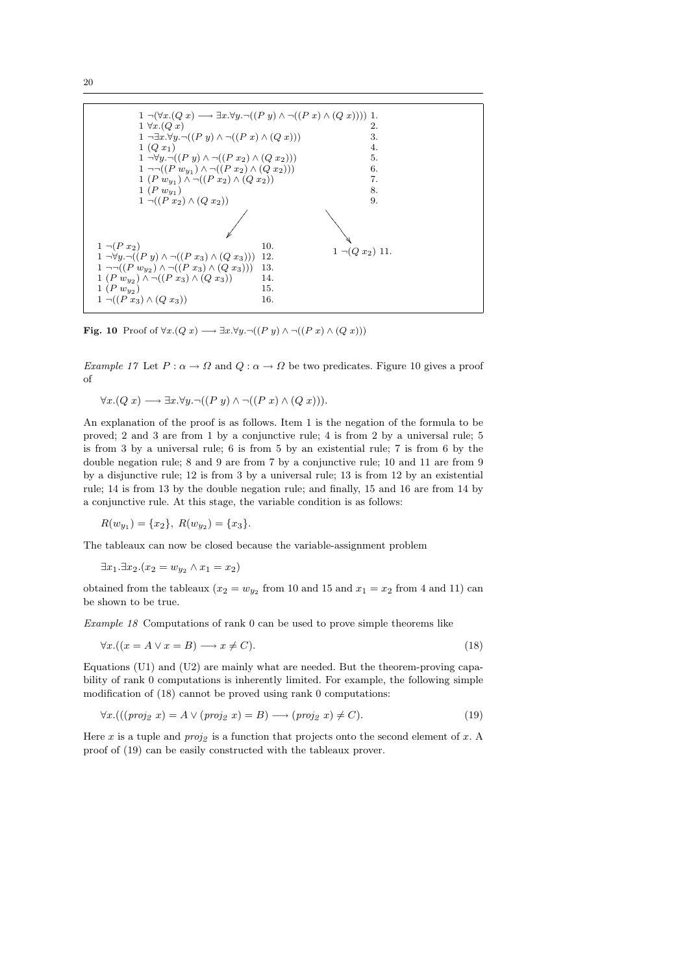

**Fig. 10** Proof of  $\forall x.(Q \ x) \longrightarrow \exists x. \forall y. \neg((P \ y) \land \neg((P \ x) \land (Q \ x)))$ 

Example 17 Let  $P : \alpha \to \Omega$  and  $Q : \alpha \to \Omega$  be two predicates. Figure 10 gives a proof of

$$
\forall x. (Q \ x) \longrightarrow \exists x. \forall y. \neg((P \ y) \land \neg((P \ x) \land (Q \ x))).
$$

An explanation of the proof is as follows. Item 1 is the negation of the formula to be proved; 2 and 3 are from 1 by a conjunctive rule; 4 is from 2 by a universal rule; 5 is from 3 by a universal rule; 6 is from 5 by an existential rule; 7 is from 6 by the double negation rule; 8 and 9 are from 7 by a conjunctive rule; 10 and 11 are from 9 by a disjunctive rule; 12 is from 3 by a universal rule; 13 is from 12 by an existential rule; 14 is from 13 by the double negation rule; and finally, 15 and 16 are from 14 by a conjunctive rule. At this stage, the variable condition is as follows:

 $R(w_{y_1}) = \{x_2\}, R(w_{y_2}) = \{x_3\}.$ 

The tableaux can now be closed because the variable-assignment problem

$$
\exists x_1.\exists x_2.(x_2 = w_{y_2} \land x_1 = x_2)
$$

obtained from the tableaux ( $x_2 = w_{y_2}$  from 10 and 15 and  $x_1 = x_2$  from 4 and 11) can be shown to be true.

Example 18 Computations of rank 0 can be used to prove simple theorems like

$$
\forall x. ((x = A \lor x = B) \longrightarrow x \neq C). \tag{18}
$$

Equations (U1) and (U2) are mainly what are needed. But the theorem-proving capability of rank 0 computations is inherently limited. For example, the following simple modification of (18) cannot be proved using rank 0 computations:

$$
\forall x. (((proj_2 x) = A \lor (proj_2 x) = B) \longrightarrow (proj_2 x) \neq C).
$$
\n(19)

Here x is a tuple and  $proj_2$  is a function that projects onto the second element of x. A proof of (19) can be easily constructed with the tableaux prover.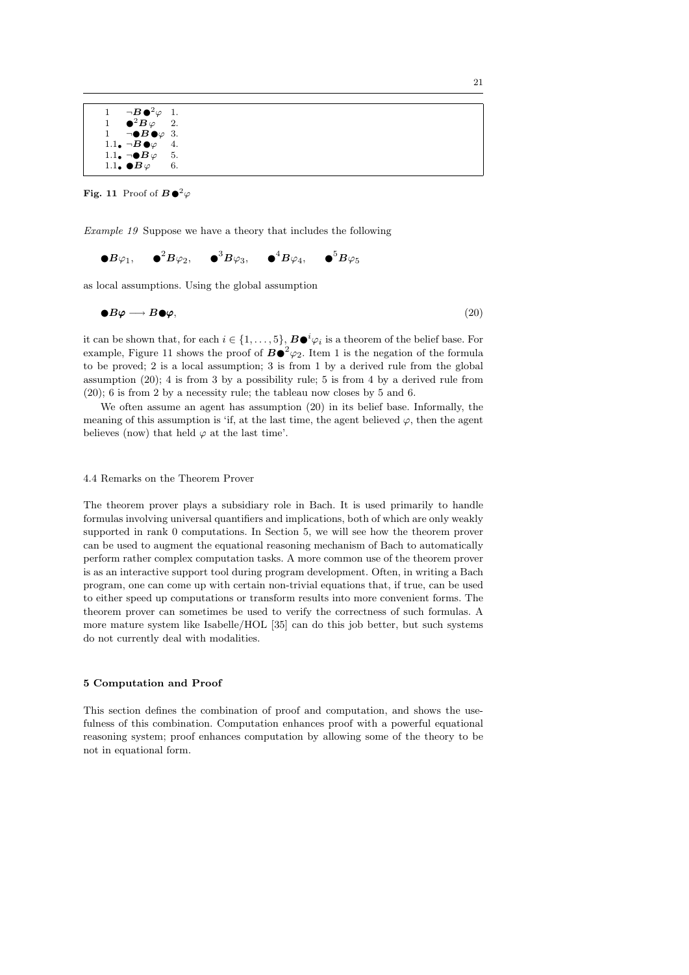| 1 $\neg B \bullet^2 \varphi$ 1.       |  |
|---------------------------------------|--|
| 1 $\bullet^2 B \varphi$ 2.            |  |
| 1 $\neg \bullet B \bullet \varphi$ 3. |  |
| 1.1. $\neg B \bullet \varphi$ 4.      |  |
| 1.1. $\neg \bullet B \varphi$ 5.      |  |
| 1.1. $\bullet$ B $\varphi$ 6.         |  |
|                                       |  |

Fig. 11 Proof of  $B\bullet^2\varphi$ 

Example 19 Suppose we have a theory that includes the following

 $\bullet B\varphi_1$ ,  $\bullet^2 B\varphi_2$ ,  $\bullet^3 B\varphi_3$ ,  $\bullet^4 B\varphi_4$ ,  $\bullet$  $\bullet^5B\varphi_5$ 

as local assumptions. Using the global assumption

$$
\bullet B\varphi \longrightarrow B\bullet \varphi, \tag{20}
$$

it can be shown that, for each  $i \in \{1, \ldots, 5\}$ ,  $B \bullet \varphi_i$  is a theorem of the belief base. For example, Figure 11 shows the proof of  $B\bullet^2\varphi_2$ . Item 1 is the negation of the formula to be proved; 2 is a local assumption; 3 is from 1 by a derived rule from the global assumption  $(20)$ ; 4 is from 3 by a possibility rule; 5 is from 4 by a derived rule from (20); 6 is from 2 by a necessity rule; the tableau now closes by 5 and 6.

We often assume an agent has assumption (20) in its belief base. Informally, the meaning of this assumption is 'if, at the last time, the agent believed  $\varphi$ , then the agent believes (now) that held  $\varphi$  at the last time'.

# 4.4 Remarks on the Theorem Prover

The theorem prover plays a subsidiary role in Bach. It is used primarily to handle formulas involving universal quantifiers and implications, both of which are only weakly supported in rank 0 computations. In Section 5, we will see how the theorem prover can be used to augment the equational reasoning mechanism of Bach to automatically perform rather complex computation tasks. A more common use of the theorem prover is as an interactive support tool during program development. Often, in writing a Bach program, one can come up with certain non-trivial equations that, if true, can be used to either speed up computations or transform results into more convenient forms. The theorem prover can sometimes be used to verify the correctness of such formulas. A more mature system like Isabelle/HOL [35] can do this job better, but such systems do not currently deal with modalities.

## 5 Computation and Proof

This section defines the combination of proof and computation, and shows the usefulness of this combination. Computation enhances proof with a powerful equational reasoning system; proof enhances computation by allowing some of the theory to be not in equational form.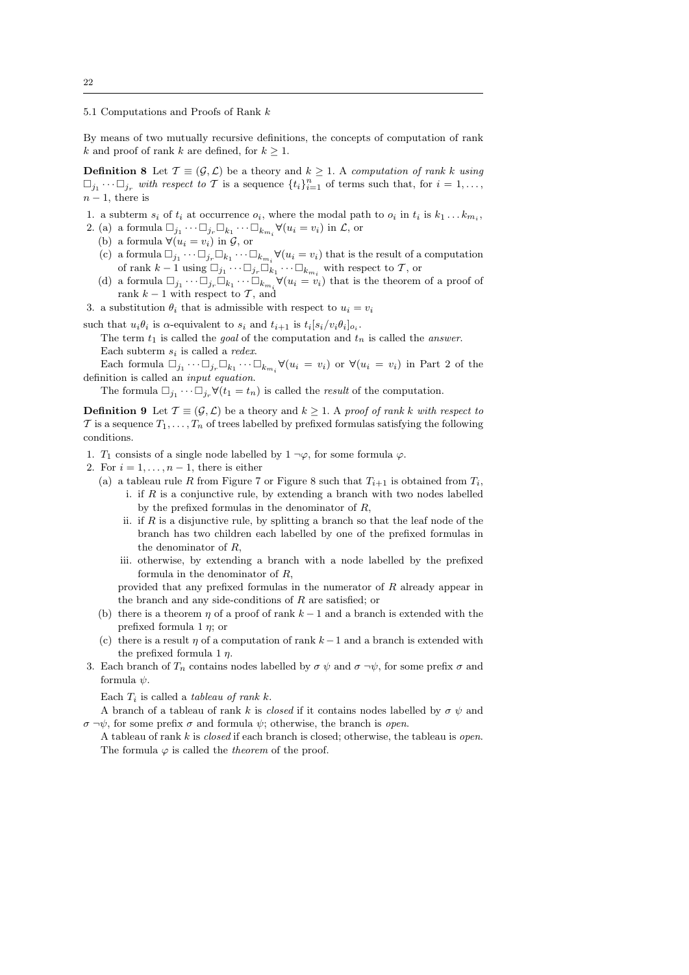5.1 Computations and Proofs of Rank k

By means of two mutually recursive definitions, the concepts of computation of rank k and proof of rank k are defined, for  $k \geq 1$ .

**Definition 8** Let  $\mathcal{T} \equiv (\mathcal{G}, \mathcal{L})$  be a theory and  $k \geq 1$ . A computation of rank k using  $\Box_{j_1} \cdots \Box_{j_r}$  with respect to T is a sequence  $\{t_i\}_{i=1}^n$  of terms such that, for  $i = 1, \ldots,$  $n-1$ , there is

1. a subterm  $s_i$  of  $t_i$  at occurrence  $o_i$ , where the modal path to  $o_i$  in  $t_i$  is  $k_1 \ldots k_{m_i}$ ,

2. (a) a formula  $\Box_{j_1} \cdots \Box_{j_r} \Box_{k_1} \cdots \Box_{k_{m_i}} \forall (u_i = v_i)$  in  $\mathcal{L}$ , or

- (b) a formula  $\forall (u_i=v_i)$  in  $\mathcal{G},$  or
- (c) a formula  $\Box_{j_1} \cdots \Box_{j_r} \Box_{k_1} \cdots \Box_{k_{m_i}} \forall (u_i = v_i)$  that is the result of a computation of rank  $k-1$  using  $\Box_{j_1} \cdots \Box_{j_r} \Box_{k_1} \cdots \Box_{k_{m_i}}$  with respect to  $\mathcal T$ , or
- (d) a formula  $\Box_{j_1} \cdots \Box_{j_r} \Box_{k_1} \cdots \Box_{k_{m_i}} \forall (u_i = v_i)$  that is the theorem of a proof of rank  $k-1$  with respect to  $\mathcal{T}$ , and
- 3. a substitution  $\theta_i$  that is admissible with respect to  $u_i = v_i$
- such that  $u_i \theta_i$  is  $\alpha$ -equivalent to  $s_i$  and  $t_{i+1}$  is  $t_i[s_i/v_i\theta_i]_{o_i}$ .

The term  $t_1$  is called the *goal* of the computation and  $t_n$  is called the *answer*. Each subterm  $s_i$  is called a *redex*.

Each formula  $\Box_{j_1} \cdots \Box_{j_r} \Box_{k_1} \cdots \Box_{k_{m_i}} \forall (u_i = v_i)$  or  $\forall (u_i = v_i)$  in Part 2 of the definition is called an input equation.

The formula  $\Box_{j_1} \cdots \Box_{j_r} \forall (t_1 = t_n)$  is called the *result* of the computation.

**Definition 9** Let  $\mathcal{T} \equiv (\mathcal{G}, \mathcal{L})$  be a theory and  $k \geq 1$ . A proof of rank k with respect to  $\mathcal T$  is a sequence  $T_1, \ldots, T_n$  of trees labelled by prefixed formulas satisfying the following conditions.

- 1.  $T_1$  consists of a single node labelled by  $1 \neg \varphi$ , for some formula  $\varphi$ .
- 2. For  $i = 1, \ldots, n 1$ , there is either
	- (a) a tableau rule R from Figure 7 or Figure 8 such that  $T_{i+1}$  is obtained from  $T_i$ ,
		- i. if  $R$  is a conjunctive rule, by extending a branch with two nodes labelled by the prefixed formulas in the denominator of R,
		- ii. if  $R$  is a disjunctive rule, by splitting a branch so that the leaf node of the branch has two children each labelled by one of the prefixed formulas in the denominator of R,
		- iii. otherwise, by extending a branch with a node labelled by the prefixed formula in the denominator of R,

provided that any prefixed formulas in the numerator of R already appear in the branch and any side-conditions of  $R$  are satisfied; or

- (b) there is a theorem  $\eta$  of a proof of rank  $k-1$  and a branch is extended with the prefixed formula 1  $\eta$ ; or
- (c) there is a result  $\eta$  of a computation of rank  $k-1$  and a branch is extended with the prefixed formula 1  $\eta$ .
- 3. Each branch of  $T_n$  contains nodes labelled by  $\sigma \psi$  and  $\sigma \neg \psi$ , for some prefix  $\sigma$  and formula  $\psi$ .

Each  $T_i$  is called a *tableau of rank k*.

A branch of a tableau of rank k is *closed* if it contains nodes labelled by  $\sigma \psi$  and  $\sigma \neg \psi$ , for some prefix  $\sigma$  and formula  $\psi$ ; otherwise, the branch is *open*.

A tableau of rank  $k$  is *closed* if each branch is closed; otherwise, the tableau is *open*. The formula  $\varphi$  is called the *theorem* of the proof.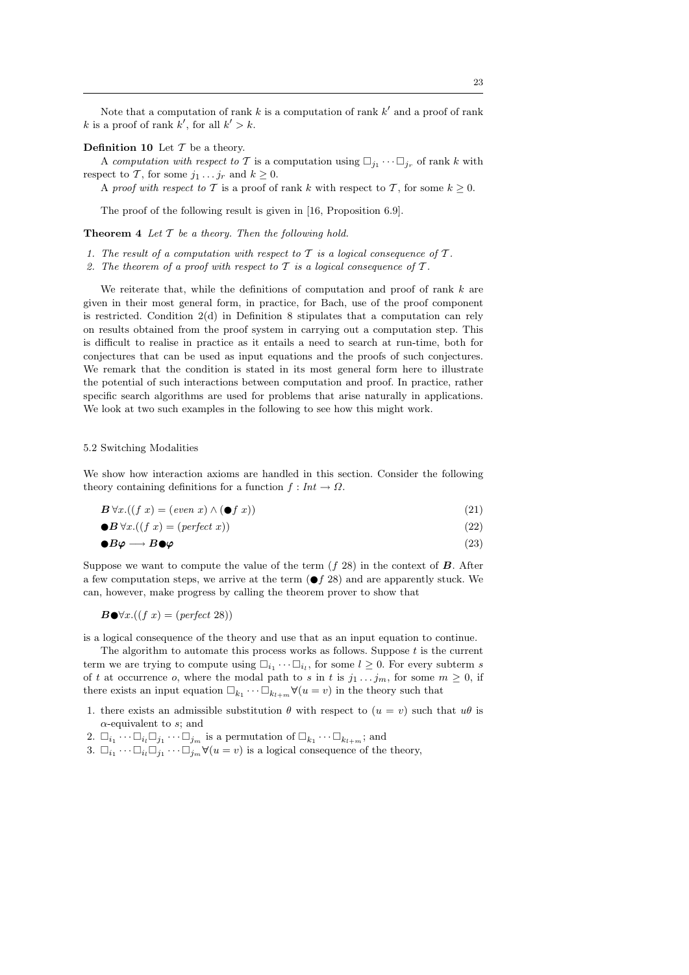Note that a computation of rank  $k$  is a computation of rank  $k'$  and a proof of rank k is a proof of rank  $k'$ , for all  $k' > k$ .

**Definition 10** Let  $\mathcal T$  be a theory.

A computation with respect to T is a computation using  $\Box_{j_1} \cdots \Box_{j_r}$  of rank k with respect to T, for some  $j_1 \tldots j_r$  and  $k \geq 0$ .

A proof with respect to T is a proof of rank k with respect to T, for some  $k \geq 0$ .

The proof of the following result is given in [16, Proposition 6.9].

**Theorem 4** Let  $T$  be a theory. Then the following hold.

- 1. The result of a computation with respect to  $\mathcal T$  is a logical consequence of  $\mathcal T$ .
- 2. The theorem of a proof with respect to  $T$  is a logical consequence of  $T$ .

We reiterate that, while the definitions of computation and proof of rank  $k$  are given in their most general form, in practice, for Bach, use of the proof component is restricted. Condition  $2(d)$  in Definition 8 stipulates that a computation can rely on results obtained from the proof system in carrying out a computation step. This is difficult to realise in practice as it entails a need to search at run-time, both for conjectures that can be used as input equations and the proofs of such conjectures. We remark that the condition is stated in its most general form here to illustrate the potential of such interactions between computation and proof. In practice, rather specific search algorithms are used for problems that arise naturally in applications. We look at two such examples in the following to see how this might work.

### 5.2 Switching Modalities

We show how interaction axioms are handled in this section. Consider the following theory containing definitions for a function  $f : Int \to \Omega$ .

 $B \forall x.((f x) = (even x) \land (\bullet f x))$  (21)

$$
\bullet B \,\forall x.((f\,x) = (perfect\,x))\tag{22}
$$

$$
\bullet B\varphi \longrightarrow B\bullet\varphi \tag{23}
$$

Suppose we want to compute the value of the term  $(f 28)$  in the context of **B**. After a few computation steps, we arrive at the term  $( \bullet f 28)$  and are apparently stuck. We can, however, make progress by calling the theorem prover to show that

$$
B \bullet \forall x. ((f\ x) = (perfect\ 28))
$$

is a logical consequence of the theory and use that as an input equation to continue.

The algorithm to automate this process works as follows. Suppose  $t$  is the current term we are trying to compute using  $\Box_{i_1} \cdots \Box_{i_l}$ , for some  $l \geq 0$ . For every subterm s of t at occurrence o, where the modal path to s in t is  $j_1 \, \ldots \, j_m$ , for some  $m \geq 0$ , if there exists an input equation  $\Box_{k_1} \cdots \Box_{k_{l+m}} \forall (u = v)$  in the theory such that

- 1. there exists an admissible substitution  $\theta$  with respect to  $(u = v)$  such that  $u\theta$  is  $\alpha$ -equivalent to s; and
- 2.  $\Box_{i_1} \cdots \Box_{i_l} \Box_{j_1} \cdots \Box_{j_m}$  is a permutation of  $\Box_{k_1} \cdots \Box_{k_{l+m}}$ ; and
- 3.  $\square_{i_1} \cdots \square_{i_l} \square_{j_1} \cdots \square_{j_m} \forall (u = v)$  is a logical consequence of the theory,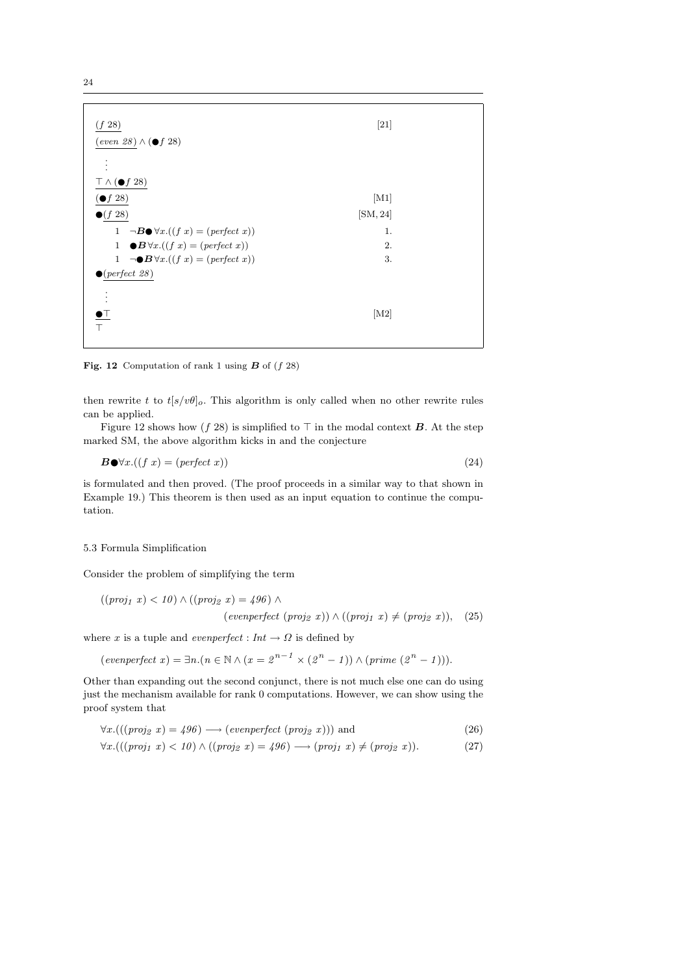

Fig. 12 Computation of rank 1 using  $B$  of  $(f 28)$ 

then rewrite t to  $t[s/v\theta]_o$ . This algorithm is only called when no other rewrite rules can be applied.

Figure 12 shows how (f 28) is simplified to  $\top$  in the modal context **B**. At the step marked SM, the above algorithm kicks in and the conjecture

$$
B \bullet \forall x. ((f \ x) = (perfect \ x)) \tag{24}
$$

is formulated and then proved. (The proof proceeds in a similar way to that shown in Example 19.) This theorem is then used as an input equation to continue the computation.

# 5.3 Formula Simplification

Consider the problem of simplifying the term

$$
((proj_1 x) < 10) \land ((proj_2 x) = 496) \land (evenperfect (proj_2 x)) \land ((proj_1 x) \neq (proj_2 x)), \quad (25)
$$

where x is a tuple and even perfect :  $Int \to \Omega$  is defined by

$$
(even perfect \ x) = \exists n. (n \in \mathbb{N} \land (x = 2^{n-1} \times (2^n - 1)) \land (prime \ (2^n - 1))).
$$

Other than expanding out the second conjunct, there is not much else one can do using just the mechanism available for rank 0 computations. However, we can show using the proof system that

$$
\forall x. (((proj_2 x) = 496) \longrightarrow (evenperfect (proj_2 x))) \text{ and } (26)
$$

$$
\forall x. (((proj_1 x) < 10) \land ((proj_2 x) = 496) \longrightarrow (proj_1 x) \neq (proj_2 x)). \tag{27}
$$

24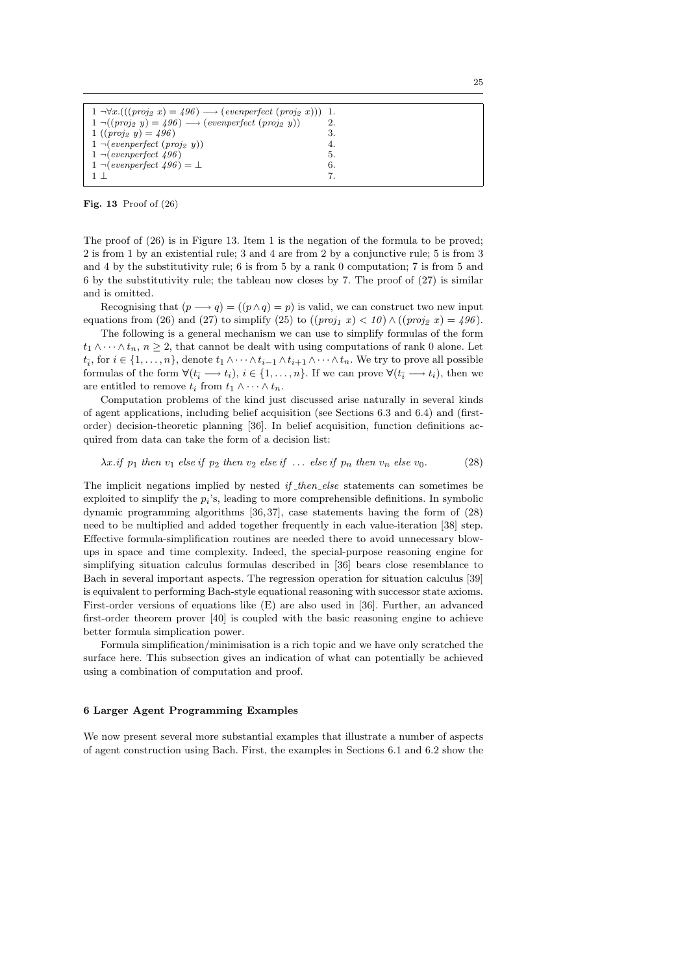| $1 \neg \forall x ((\text{proj}_2 x) = 496) \longrightarrow (\text{evenperfect (proj}_2 x))$ 1. |     |
|-------------------------------------------------------------------------------------------------|-----|
| $1 \neg((proj_2 y) = 496) \longrightarrow (even perfect (proj_2 y))$                            |     |
| 1 $((proj_2 y) = 496)$                                                                          | 3.  |
| $1 \neg(evenperfect (proj_2 y))$                                                                | 4.  |
| $1 \neg(evenperfect \; 496)$                                                                    | 5.  |
| $1 \neg(evenperfect \; 496) = \bot$                                                             | -6. |
|                                                                                                 |     |
|                                                                                                 |     |

Fig. 13 Proof of (26)

The proof of  $(26)$  is in Figure 13. Item 1 is the negation of the formula to be proved; 2 is from 1 by an existential rule; 3 and 4 are from 2 by a conjunctive rule; 5 is from 3 and 4 by the substitutivity rule; 6 is from 5 by a rank 0 computation; 7 is from 5 and 6 by the substitutivity rule; the tableau now closes by 7. The proof of (27) is similar and is omitted.

Recognising that  $(p \longrightarrow q) = ((p \land q) = p)$  is valid, we can construct two new input equations from (26) and (27) to simplify (25) to  $((proj_1 x) < 10) \wedge ((proj_2 x) = 496)$ .

The following is a general mechanism we can use to simplify formulas of the form  $t_1 \wedge \cdots \wedge t_n, n \geq 2$ , that cannot be dealt with using computations of rank 0 alone. Let  $t_{\bar{i}}$ , for  $i \in \{1, \ldots, n\}$ , denote  $t_1 \wedge \cdots \wedge t_{i-1} \wedge t_{i+1} \wedge \cdots \wedge t_n$ . We try to prove all possible formulas of the form  $\forall (t_{\bar{i}} \longrightarrow t_i), i \in \{1, \ldots, n\}$ . If we can prove  $\forall (t_{\bar{i}} \longrightarrow t_i)$ , then we are entitled to remove  $t_i$  from  $t_1 \wedge \cdots \wedge t_n$ .

Computation problems of the kind just discussed arise naturally in several kinds of agent applications, including belief acquisition (see Sections 6.3 and 6.4) and (firstorder) decision-theoretic planning [36]. In belief acquisition, function definitions acquired from data can take the form of a decision list:

$$
\lambda x. if p_1 then v_1 else if p_2 then v_2 else if ... else if p_n then v_n else v_0. \tag{28}
$$

The implicit negations implied by nested  $if_{\text{t}}$  then else statements can sometimes be exploited to simplify the  $p_i$ 's, leading to more comprehensible definitions. In symbolic dynamic programming algorithms [36, 37], case statements having the form of (28) need to be multiplied and added together frequently in each value-iteration [38] step. Effective formula-simplification routines are needed there to avoid unnecessary blowups in space and time complexity. Indeed, the special-purpose reasoning engine for simplifying situation calculus formulas described in [36] bears close resemblance to Bach in several important aspects. The regression operation for situation calculus [39] is equivalent to performing Bach-style equational reasoning with successor state axioms. First-order versions of equations like (E) are also used in [36]. Further, an advanced first-order theorem prover [40] is coupled with the basic reasoning engine to achieve better formula simplication power.

Formula simplification/minimisation is a rich topic and we have only scratched the surface here. This subsection gives an indication of what can potentially be achieved using a combination of computation and proof.

#### 6 Larger Agent Programming Examples

We now present several more substantial examples that illustrate a number of aspects of agent construction using Bach. First, the examples in Sections 6.1 and 6.2 show the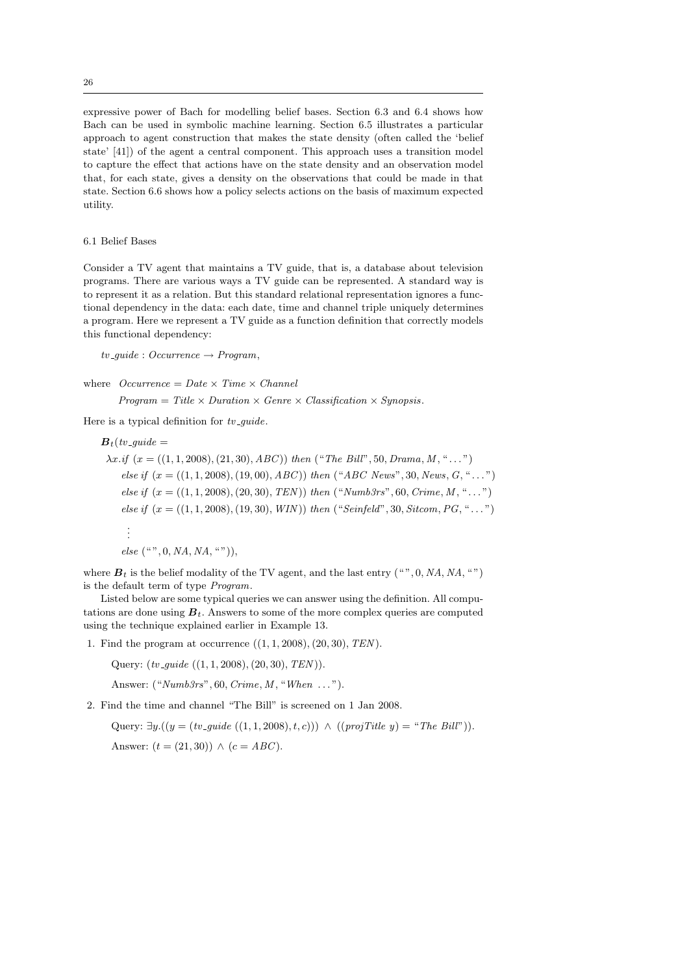expressive power of Bach for modelling belief bases. Section 6.3 and 6.4 shows how Bach can be used in symbolic machine learning. Section 6.5 illustrates a particular approach to agent construction that makes the state density (often called the 'belief state' [41]) of the agent a central component. This approach uses a transition model to capture the effect that actions have on the state density and an observation model that, for each state, gives a density on the observations that could be made in that state. Section 6.6 shows how a policy selects actions on the basis of maximum expected utility.

# 6.1 Belief Bases

Consider a TV agent that maintains a TV guide, that is, a database about television programs. There are various ways a TV guide can be represented. A standard way is to represent it as a relation. But this standard relational representation ignores a functional dependency in the data: each date, time and channel triple uniquely determines a program. Here we represent a TV guide as a function definition that correctly models this functional dependency:

 $tv$ -guide : Occurrence  $\rightarrow$  Program,

```
where Occurrence = Date \times Time \times ChannelProgram = Title \times Duration \times Generic \; (Classification \times Symposium)
```
Here is a typical definition for  $tv$ -guide.

 $\mathbf{B}_{t}(tv\_guide =$  $\lambda x.$ if  $(x = ((1, 1, 2008), (21, 30), ABC)$  then  $("The Bill", 50, Drama, M", ...,")$ else if  $(x = ((1, 1, 2008), (19, 00), ABC)$  then  $("ABC News", 30, News, G, ...,")$ else if  $(x = ((1, 1, 2008), (20, 30), TEN))$  then  $("Numb3rs", 60, C$ rime,  $M, "...")$ else if (x = ((1, 1, 2008),(19, 30), WIN )) then ("Seinfeld", 30, Sitcom,PG, " . . . ") . . .  $else ($  ", 0, NA, NA, "")),

where  $B_t$  is the belief modality of the TV agent, and the last entry ("", 0, NA, NA, "") is the default term of type Program.

Listed below are some typical queries we can answer using the definition. All computations are done using  $B_t$ . Answers to some of the more complex queries are computed using the technique explained earlier in Example 13.

1. Find the program at occurrence  $((1, 1, 2008), (20, 30), TEN)$ .

Query:  $(tv\_guide ((1, 1, 2008), (20, 30), TEN))$ .

Answer:  $($  "Numb $3rs$ ", 60, Crime, M, "When  $\dots$ ").

2. Find the time and channel "The Bill" is screened on 1 Jan 2008.

Query:  $\exists y.((y = (tv\_guide ((1, 1, 2008), t, c))) \land ((projTitle y) = "The Bill").$ Answer:  $(t = (21, 30)) \wedge (c = ABC)$ .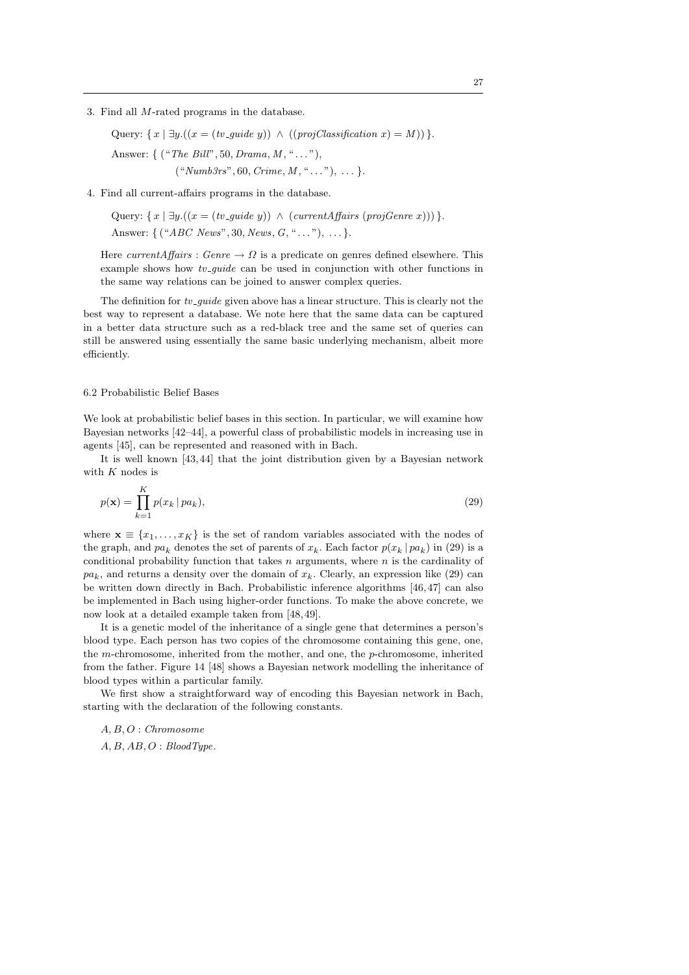3. Find all M-rated programs in the database.

Query:  $\{ x \mid \exists y \cdot ((x = (tv\_guide \ y)) \land ((projClassification \ x) = M)) \}.$ Answer:  $\{$  ("The Bill", 50, Drama, M, "..."),  $(*Numb3rs", 60, Crime, M, ..., "), ...$ 

4. Find all current-affairs programs in the database.

Query:  $\{x \mid \exists y \ (x = (tv\_guide \ y)) \land (currentAffairs \ (projGenre \ x)))\}.$ Answer:  $\{ ("ABC News", 30, News, G, " ..."), ... \}.$ 

Here currentAffairs : Genre  $\rightarrow \Omega$  is a predicate on genres defined elsewhere. This example shows how  $tv$ -*guide* can be used in conjunction with other functions in the same way relations can be joined to answer complex queries.

The definition for  $tv$ -quide given above has a linear structure. This is clearly not the best way to represent a database. We note here that the same data can be captured in a better data structure such as a red-black tree and the same set of queries can still be answered using essentially the same basic underlying mechanism, albeit more efficiently.

#### 6.2 Probabilistic Belief Bases

We look at probabilistic belief bases in this section. In particular, we will examine how Bayesian networks [42–44], a powerful class of probabilistic models in increasing use in agents [45], can be represented and reasoned with in Bach.

It is well known [43, 44] that the joint distribution given by a Bayesian network with  $K$  nodes is

$$
p(\mathbf{x}) = \prod_{k=1}^{K} p(x_k | pa_k),
$$
\n(29)

where  $\mathbf{x} \equiv \{x_1, \ldots, x_K\}$  is the set of random variables associated with the nodes of the graph, and  $pa_k$  denotes the set of parents of  $x_k$ . Each factor  $p(x_k | pa_k)$  in (29) is a conditional probability function that takes  $n$  arguments, where  $n$  is the cardinality of  $pa_k$ , and returns a density over the domain of  $x_k$ . Clearly, an expression like (29) can be written down directly in Bach. Probabilistic inference algorithms [46, 47] can also be implemented in Bach using higher-order functions. To make the above concrete, we now look at a detailed example taken from [48, 49].

It is a genetic model of the inheritance of a single gene that determines a person's blood type. Each person has two copies of the chromosome containing this gene, one, the m-chromosome, inherited from the mother, and one, the  $p$ -chromosome, inherited from the father. Figure 14 [48] shows a Bayesian network modelling the inheritance of blood types within a particular family.

We first show a straightforward way of encoding this Bayesian network in Bach, starting with the declaration of the following constants.

A, B, O : Chromosome  $A, B, AB, O: BloodType.$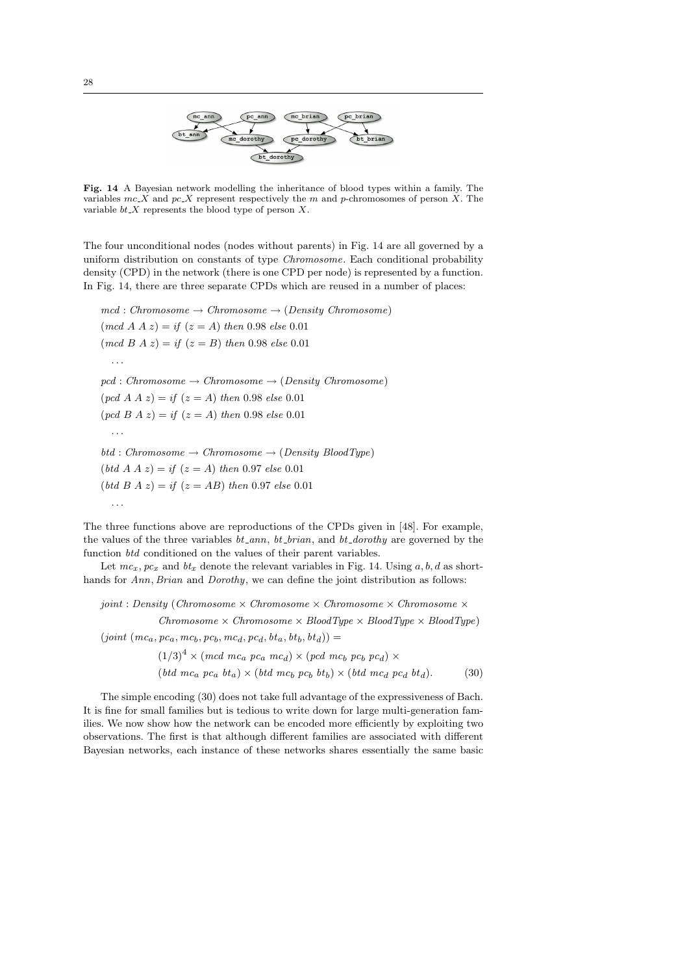

Fig. 14 A Bayesian network modelling the inheritance of blood types within a family. The variables  $mc X$  and  $pc X$  represent respectively the m and p-chromosomes of person X. The variable  $bt\_\text{X}$  represents the blood type of person X.

The four unconditional nodes (nodes without parents) in Fig. 14 are all governed by a uniform distribution on constants of type Chromosome. Each conditional probability density (CPD) in the network (there is one CPD per node) is represented by a function. In Fig. 14, there are three separate CPDs which are reused in a number of places:

```
mcd : Chromosome \rightarrow Chromosome \rightarrow (Density Chromosome)(mod A A z) = if (z = A) then 0.98 else 0.01(mod B A z) = if (z = B) then 0.98 else 0.01. . .
pcd: Chromosome \rightarrow Chromosome \rightarrow (Density Chromosome)(pcd \ A \ A \ z) = if \ (z = A) \ then \ 0.98 \ else \ 0.01(pcd \ B \ A \ z) = if \ (z = A) \ then \ 0.98 \ else \ 0.01. . .
btd: Chromosome \rightarrow Chromosome \rightarrow (Density BloodType)(btd\ A\ A\ z) = if\ (z = A)\ then\ 0.97\ else\ 0.01(btd\ B\ A\ z) = if\ (z = AB)\ then\ 0.97\ else\ 0.01. . .
```
The three functions above are reproductions of the CPDs given in [48]. For example, the values of the three variables  $bt\_ann$ ,  $bt\_brain$ , and  $bt\_dorothy$  are governed by the function btd conditioned on the values of their parent variables.

Let  $mc_x$ ,  $pc_x$  and  $bt_x$  denote the relevant variables in Fig. 14. Using  $a, b, d$  as shorthands for Ann, Brian and Dorothy, we can define the joint distribution as follows:

 $joint: Density (Chromosome \times Chromosome \times Chromosome \times Chromosome \times Chromosome \times$  $Chromosome \times Chromosome \times BloodType \times BloodType \times BloodType)$  $(joint (mc_a, pc_a, mc_b, pc_b, mc_d, pc_d, bt_a, bt_b, bt_d)) =$ 

 $(1/3)^4 \times (mcd \ mc_a \ pc_a \ mc_d) \times (pcd \ mc_b \ pc_b \ pc_d) \times$  $(btd \ mc_a \ pc_a \ bt_a) \times (btd \ mc_b \ pc_b \ bt_b) \times (btd \ mc_d \ pc_d \ bt_d).$  (30)

The simple encoding (30) does not take full advantage of the expressiveness of Bach. It is fine for small families but is tedious to write down for large multi-generation families. We now show how the network can be encoded more efficiently by exploiting two observations. The first is that although different families are associated with different Bayesian networks, each instance of these networks shares essentially the same basic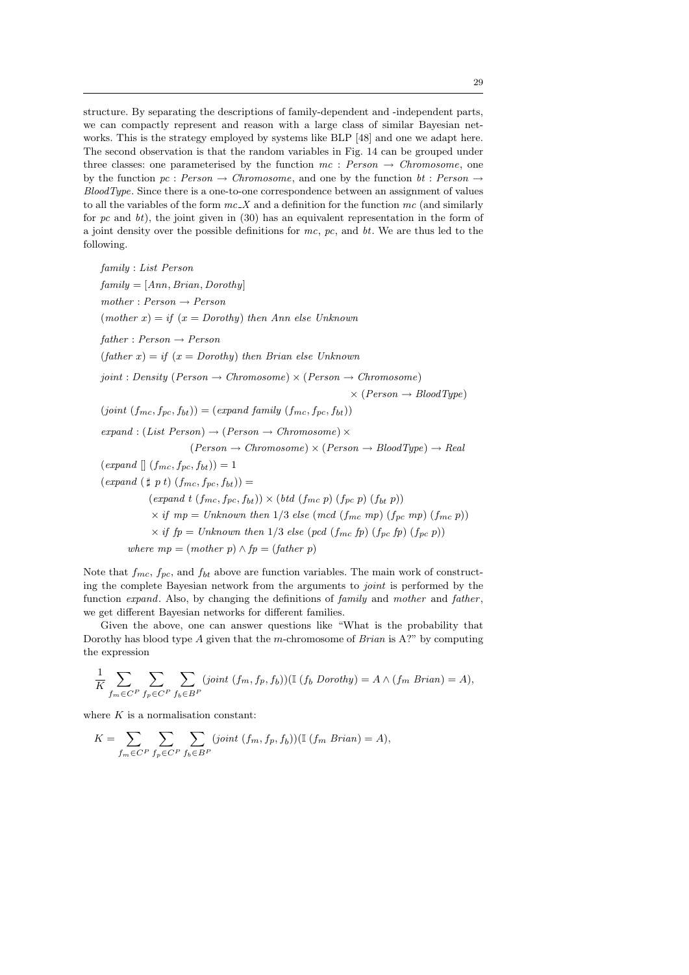structure. By separating the descriptions of family-dependent and -independent parts, we can compactly represent and reason with a large class of similar Bayesian networks. This is the strategy employed by systems like BLP [48] and one we adapt here. The second observation is that the random variables in Fig. 14 can be grouped under three classes: one parameterised by the function  $mc : Person \rightarrow Chromosome$ , one by the function  $pc : Person \rightarrow Chromosome$ , and one by the function  $bt : Person \rightarrow$ BloodType. Since there is a one-to-one correspondence between an assignment of values to all the variables of the form  $mc\ X$  and a definition for the function  $mc$  (and similarly for pc and  $bt$ ), the joint given in (30) has an equivalent representation in the form of a joint density over the possible definitions for mc, pc, and bt. We are thus led to the following.

family : List Person  $family = [Ann, Brian, Dorothy]$  $mother : Person \rightarrow Person$  $(mother\ x) = if\ (x = Dorothy) \ then \ Ann\ else \ Unknown$  $father : Person \rightarrow Person$  $(father x) = if (x = Dorothy) then Brian else Unknown$  $joint : Density (Person \rightarrow Chromosome) \times (Person \rightarrow Chromosome)$  $\times$  (Person  $\rightarrow$  BloodType)  $(joint (f_{mc}, f_{pc}, f_{bt})) = (expand family (f_{mc}, f_{pc}, f_{bt}))$  $expand: (List Person) \rightarrow (Person \rightarrow Chromosome) \times$  $(Person \rightarrow Chromosome) \times (Person \rightarrow BloodType) \rightarrow Real$  $(\text{expand } || (\text{f}_{mc}, \text{f}_{pc}, \text{f}_{bt})) = 1$  $(expand (\sharp p t) (f_{mc}, f_{pc}, f_{bt})) =$ (expand t  $(f_{mc}, f_{pc}, f_{bt}) \times (btd \ (f_{mc} \ p) \ (f_{pc} \ p) \ (f_{bt} \ p))$  $\times$  if  $mp = Unknown$  then 1/3 else (mcd (fmc mp) (fpc mp) (fmc p))  $\times$  if  $fp = Unknown$  then 1/3 else (pcd (fmc fp) (fpc fp) (fpc p)) where  $mp = (mother p) \wedge fp = (father p)$ 

Note that  $f_{mc}$ ,  $f_{pc}$ , and  $f_{bt}$  above are function variables. The main work of constructing the complete Bayesian network from the arguments to joint is performed by the function expand. Also, by changing the definitions of family and mother and father, we get different Bayesian networks for different families.

Given the above, one can answer questions like "What is the probability that Dorothy has blood type A given that the m-chromosome of Brian is A?" by computing the expression

$$
\frac{1}{K} \sum_{f_m \in C^P} \sum_{f_p \in C^P} \sum_{f_b \in B^P} (joint (f_m, f_p, f_b)) (\mathbb{I} (f_b \text{ Dorothy}) = A \land (f_m \text{ Brian}) = A),
$$

where  $K$  is a normalisation constant:

$$
K = \sum_{f_m \in C^P} \sum_{f_p \in C^P} \sum_{f_b \in B^P} (joint (f_m, f_p, f_b)) (\mathbb{I} (f_m \text{ Brian}) = A),
$$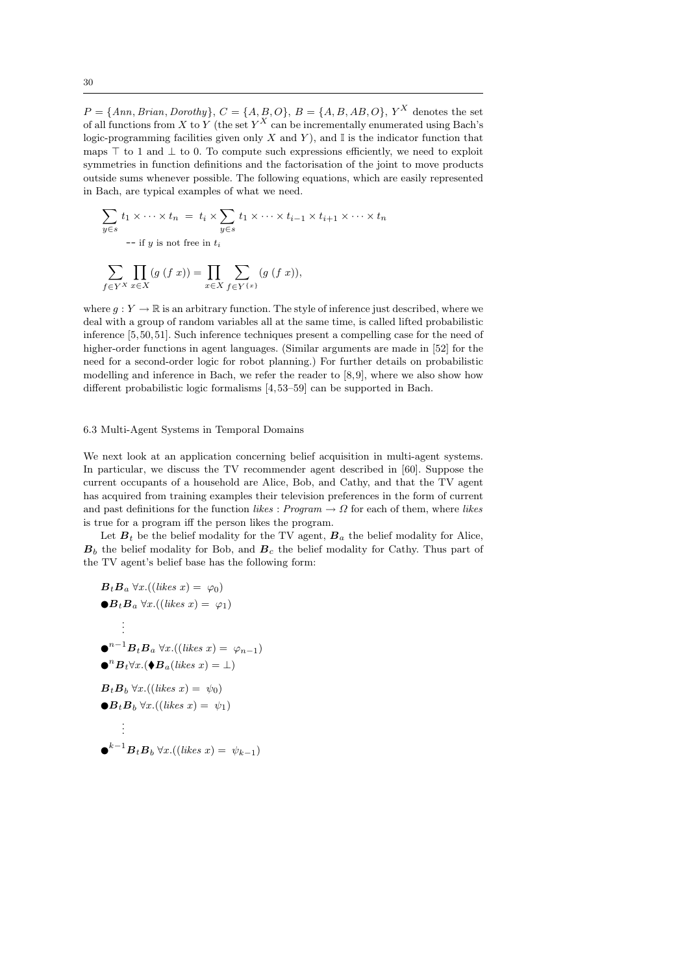$P = \{Ann, Brian, Dorothy\}, C = \{A, B, O\}, B = \{A, B, AB, O\}, Y^X$  denotes the set of all functions from X to Y (the set  $Y^X$  can be incrementally enumerated using Bach's logic-programming facilities given only  $X$  and  $Y$ ), and  $\mathbb I$  is the indicator function that maps  $\top$  to 1 and  $\bot$  to 0. To compute such expressions efficiently, we need to exploit symmetries in function definitions and the factorisation of the joint to move products outside sums whenever possible. The following equations, which are easily represented in Bach, are typical examples of what we need.

$$
\sum_{y \in s} t_1 \times \cdots \times t_n = t_i \times \sum_{y \in s} t_1 \times \cdots \times t_{i-1} \times t_{i+1} \times \cdots \times t_n
$$
  
-- if *y* is not free in *t<sub>i</sub>*

$$
\mathcal{L}_{\mathcal{L}_{\mathcal{L}}}
$$

$$
\sum_{f \in Y^X} \prod_{x \in X} (g(f\ x)) = \prod_{x \in X} \sum_{f \in Y^{\{x\}}} (g(f\ x)),
$$

where  $g: Y \to \mathbb{R}$  is an arbitrary function. The style of inference just described, where we deal with a group of random variables all at the same time, is called lifted probabilistic inference [5, 50, 51]. Such inference techniques present a compelling case for the need of higher-order functions in agent languages. (Similar arguments are made in [52] for the need for a second-order logic for robot planning.) For further details on probabilistic modelling and inference in Bach, we refer the reader to [8, 9], where we also show how different probabilistic logic formalisms [4, 53–59] can be supported in Bach.

# 6.3 Multi-Agent Systems in Temporal Domains

We next look at an application concerning belief acquisition in multi-agent systems. In particular, we discuss the TV recommender agent described in [60]. Suppose the current occupants of a household are Alice, Bob, and Cathy, and that the TV agent has acquired from training examples their television preferences in the form of current and past definitions for the function likes :  $Program \rightarrow \Omega$  for each of them, where likes is true for a program iff the person likes the program.

Let  $B_t$  be the belief modality for the TV agent,  $B_a$  the belief modality for Alice,  $B_b$  the belief modality for Bob, and  $B_c$  the belief modality for Cathy. Thus part of the TV agent's belief base has the following form:

$$
B_t B_a \forall x.((likes x) = \varphi_0)
$$
  
\n
$$
\bullet B_t B_a \forall x.((likes x) = \varphi_1)
$$
  
\n
$$
\vdots
$$
  
\n
$$
\bullet^{n-1} B_t B_a \forall x.((likes x) = \varphi_{n-1})
$$
  
\n
$$
\bullet^n B_t \forall x.(\bullet B_a(likes x) = \bot)
$$
  
\n
$$
B_t B_b \forall x.((likes x) = \psi_0)
$$
  
\n
$$
\bullet B_t B_b \forall x.((likes x) = \psi_1)
$$
  
\n
$$
\vdots
$$
  
\n
$$
\bullet^{k-1} B_t B_b \forall x.((likes x) = \psi_{k-1})
$$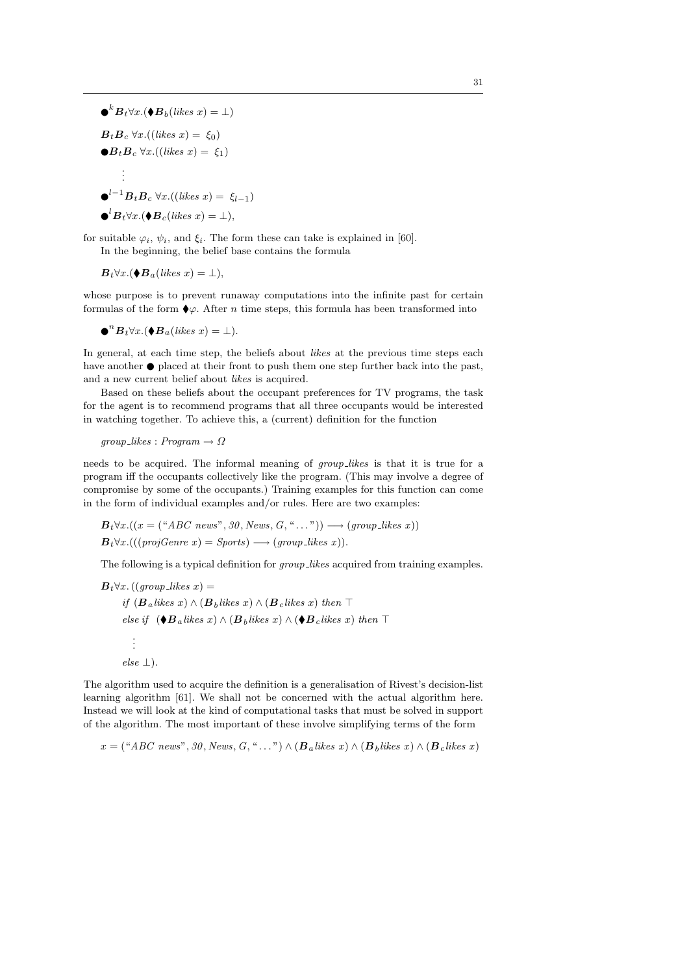$\bigodot^k B_t \forall x. (\bigodot B_b(likes \ x) = \bot)$ 

 $\mathbf{B}_t \mathbf{B}_c \forall x.$ ((likes x) =  $\xi_0$ )  $\bigcirc{\bf B}_t{\bf B}_c \,\forall x.((\text{likes } x) = \xi_1)$ . . .  $\bigodot^{l-1}B_tB_c \,\forall x.((\text{likes } x) = \xi_{l-1})$  $\bigcirc^{l}B_t\forall x.(\bigstar B_c(likes\ x) = \bot),$ 

for suitable  $\varphi_i$ ,  $\psi_i$ , and  $\xi_i$ . The form these can take is explained in [60].

In the beginning, the belief base contains the formula

$$
\mathbf{B}_t \forall x. (\blacklozenge \mathbf{B}_a(likes \ x) = \bot),
$$

whose purpose is to prevent runaway computations into the infinite past for certain formulas of the form  $\blacklozenge \varphi$ . After *n* time steps, this formula has been transformed into

 $\bullet^n B_t \forall x.(\bullet B_a(likes\ x) = \bot).$ 

In general, at each time step, the beliefs about *likes* at the previous time steps each have another  $\bullet$  placed at their front to push them one step further back into the past, and a new current belief about likes is acquired.

Based on these beliefs about the occupant preferences for TV programs, the task for the agent is to recommend programs that all three occupants would be interested in watching together. To achieve this, a (current) definition for the function

 $group\_likes : Program \rightarrow \Omega$ 

needs to be acquired. The informal meaning of group likes is that it is true for a program iff the occupants collectively like the program. (This may involve a degree of compromise by some of the occupants.) Training examples for this function can come in the form of individual examples and/or rules. Here are two examples:

$$
B_t \forall x. ((x = ("ABC news", 30, News, G, "...")) \longrightarrow (group\_likes x))
$$
  

$$
B_t \forall x. (((projGenre x) = Sports) \longrightarrow (group\_likes x)).
$$

The following is a typical definition for *group likes* acquired from training examples.

$$
B_t \forall x. ((group\_likes x) =\nif (B_ables x) \land (B_blikes x) \land (B_clus x) then T\nelse if (\bigstar B_ables x) \land (B_blikes x) \land (\bigstar B_clus x) then T\n:\n:\nelse \perp).
$$

The algorithm used to acquire the definition is a generalisation of Rivest's decision-list learning algorithm [61]. We shall not be concerned with the actual algorithm here. Instead we will look at the kind of computational tasks that must be solved in support of the algorithm. The most important of these involve simplifying terms of the form

 $x = ("ABC news", 30, News, G, "...") \wedge (B_4 likes x) \wedge (B_5 likes x) \wedge (B_c likes x)$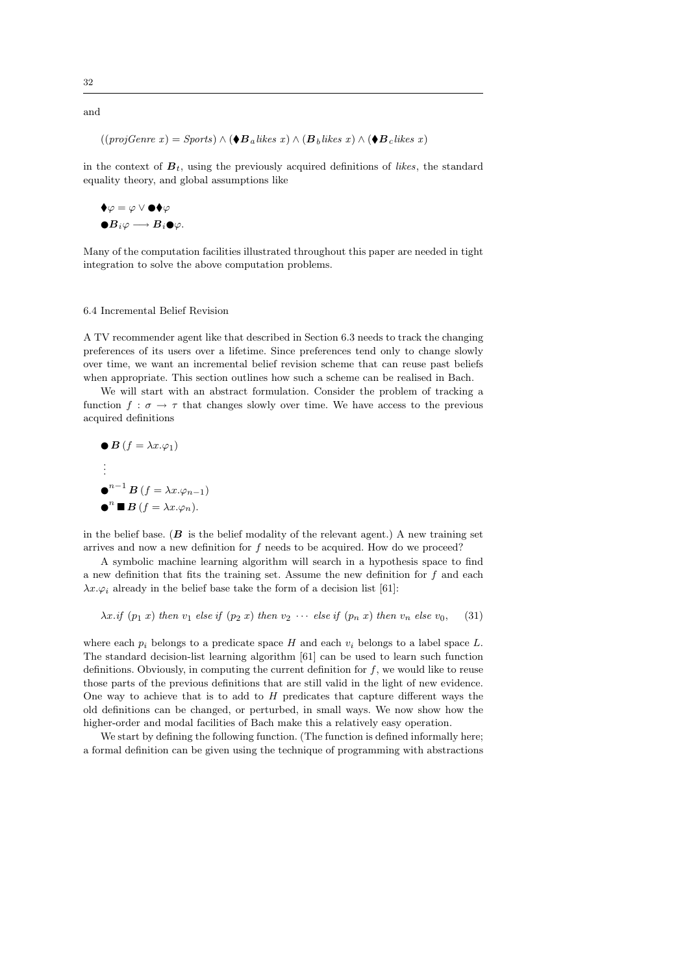$$
((projGenre x) = Sports) \land (\blacklozenge B_{a} likes x) \land (B_{b} likes x) \land (\blacklozenge B_{c} likes x)
$$

in the context of  $B_t$ , using the previously acquired definitions of likes, the standard equality theory, and global assumptions like

$$
\begin{aligned}\n\blacklozenge \varphi &= \varphi \vee \bullet \blacklozenge \varphi \\
\blacktriangleright B_i \varphi & \longrightarrow B_i \bullet \varphi.\n\end{aligned}
$$

Many of the computation facilities illustrated throughout this paper are needed in tight integration to solve the above computation problems.

#### 6.4 Incremental Belief Revision

A TV recommender agent like that described in Section 6.3 needs to track the changing preferences of its users over a lifetime. Since preferences tend only to change slowly over time, we want an incremental belief revision scheme that can reuse past beliefs when appropriate. This section outlines how such a scheme can be realised in Bach.

We will start with an abstract formulation. Consider the problem of tracking a function  $f : \sigma \to \tau$  that changes slowly over time. We have access to the previous acquired definitions

$$
\begin{aligned}\n\bullet \, B \, (f = \lambda x. \varphi_1) \\
\vdots \\
\bullet^{n-1} B \, (f = \lambda x. \varphi_{n-1}) \\
\bullet^n \blacksquare \, B \, (f = \lambda x. \varphi_n).\n\end{aligned}
$$

in the belief base.  $(B \text{ is the belief modality of the relevant agent.) A new training set }$ arrives and now a new definition for f needs to be acquired. How do we proceed?

A symbolic machine learning algorithm will search in a hypothesis space to find a new definition that fits the training set. Assume the new definition for  $f$  and each  $\lambda x.\varphi_i$  already in the belief base take the form of a decision list [61]:

$$
\lambda x. if (p_1 x) then v_1 else if (p_2 x) then v_2 \cdots else if (p_n x) then v_n else v_0, \quad (31)
$$

where each  $p_i$  belongs to a predicate space H and each  $v_i$  belongs to a label space L. The standard decision-list learning algorithm [61] can be used to learn such function definitions. Obviously, in computing the current definition for  $f$ , we would like to reuse those parts of the previous definitions that are still valid in the light of new evidence. One way to achieve that is to add to  $H$  predicates that capture different ways the old definitions can be changed, or perturbed, in small ways. We now show how the higher-order and modal facilities of Bach make this a relatively easy operation.

We start by defining the following function. (The function is defined informally here; a formal definition can be given using the technique of programming with abstractions

and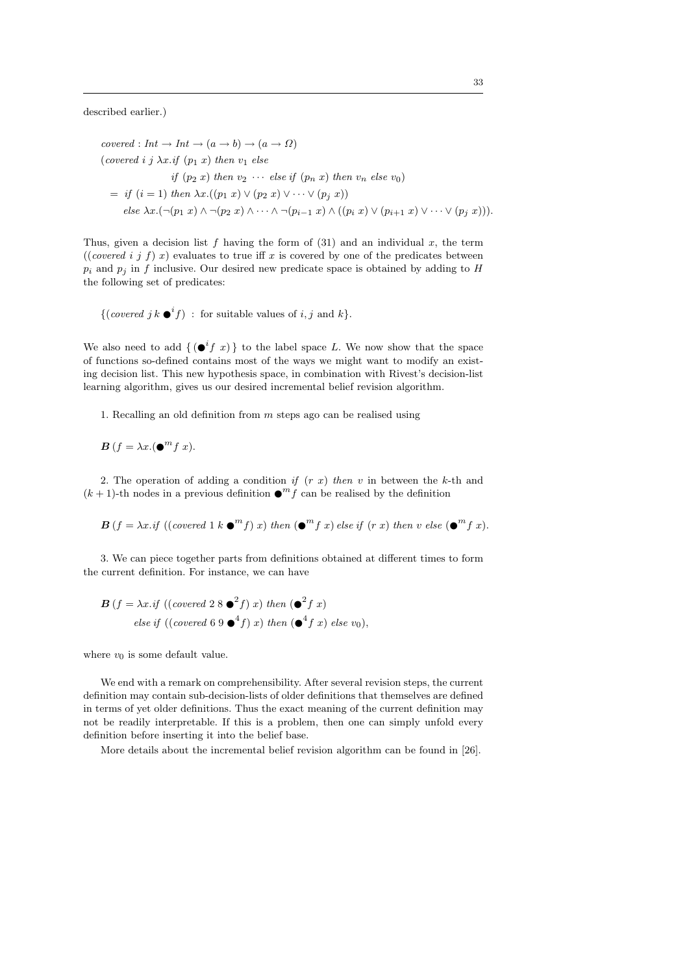described earlier.)

covered : Int  $\rightarrow Int \rightarrow (a \rightarrow b) \rightarrow (a \rightarrow \Omega)$ (covered i j  $\lambda x.$ if (p<sub>1</sub> x) then  $v_1$  else if  $(p_2 x)$  then  $v_2 \cdots$  else if  $(p_n x)$  then  $v_n$  else  $v_0$ )  $= if (i = 1) then \lambda x.((p_1 x) \vee (p_2 x) \vee \cdots \vee (p_i x))$ else  $\lambda x.(\neg(p_1 x) \wedge \neg(p_2 x) \wedge \cdots \wedge \neg(p_{i-1} x) \wedge ((p_i x) \vee (p_{i+1} x) \vee \cdots \vee (p_i x))).$ 

Thus, given a decision list f having the form of  $(31)$  and an individual x, the term ((covered i j f) x) evaluates to true iff x is covered by one of the predicates between  $p_i$  and  $p_j$  in f inclusive. Our desired new predicate space is obtained by adding to H the following set of predicates:

 $\{(\text{covered } j \, k \, \bullet^i f) \; : \; \text{for suitable values of } i, j \text{ and } k\}.$ 

We also need to add  $\{(\bullet^i f x)\}\)$  to the label space L. We now show that the space of functions so-defined contains most of the ways we might want to modify an existing decision list. This new hypothesis space, in combination with Rivest's decision-list learning algorithm, gives us our desired incremental belief revision algorithm.

1. Recalling an old definition from  $m$  steps ago can be realised using

$$
\mathbf{B}\,(f=\lambda x.(\bullet^m f\,x).
$$

2. The operation of adding a condition if  $(r x)$  then v in between the k-th and  $(k+1)$ -th nodes in a previous definition  $\bullet^m f$  can be realised by the definition

 $B(f = \lambda x.$ if  $((covered \ 1 \ k \bullet^m f) \ x) \ then \ (\bullet^m f \ x) \ else \ if \ (r \ x) \ then \ v \ else \ (\bullet^m f \ x).$ 

3. We can piece together parts from definitions obtained at different times to form the current definition. For instance, we can have

$$
B(f = \lambda x. if ((covered 2 8 \bullet^2 f) x) then (\bullet^2 f x)
$$
  
else if ((covered 6 9 \bullet^4 f) x) then (\bullet^4 f x) else v<sub>0</sub>),

where  $v_0$  is some default value.

We end with a remark on comprehensibility. After several revision steps, the current definition may contain sub-decision-lists of older definitions that themselves are defined in terms of yet older definitions. Thus the exact meaning of the current definition may not be readily interpretable. If this is a problem, then one can simply unfold every definition before inserting it into the belief base.

More details about the incremental belief revision algorithm can be found in [26].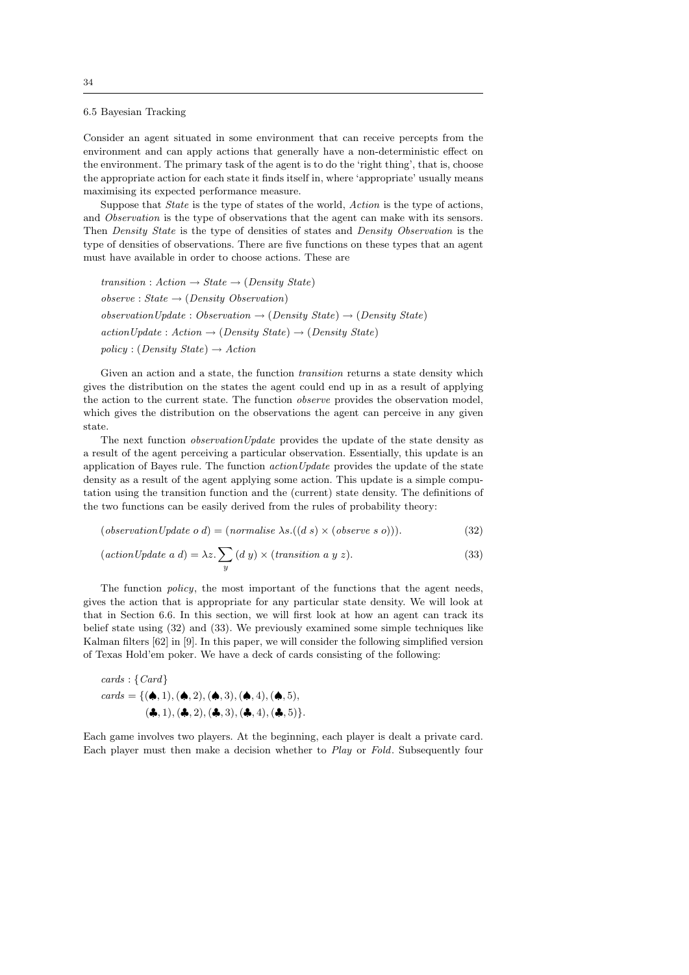### 6.5 Bayesian Tracking

Consider an agent situated in some environment that can receive percepts from the environment and can apply actions that generally have a non-deterministic effect on the environment. The primary task of the agent is to do the 'right thing', that is, choose the appropriate action for each state it finds itself in, where 'appropriate' usually means maximising its expected performance measure.

Suppose that State is the type of states of the world, Action is the type of actions, and Observation is the type of observations that the agent can make with its sensors. Then Density State is the type of densities of states and Density Observation is the type of densities of observations. There are five functions on these types that an agent must have available in order to choose actions. These are

transition :  $Action \rightarrow State \rightarrow (Density State)$  $observe : State \rightarrow (Density\ Observation)$  $observationUpdate: Observation \rightarrow (Density State) \rightarrow (Density State)$  $actionUpdate: Action \rightarrow (Density\ State) \rightarrow (Density\ State)$  $policy : (Density State) \rightarrow Action$ 

Given an action and a state, the function transition returns a state density which gives the distribution on the states the agent could end up in as a result of applying the action to the current state. The function observe provides the observation model, which gives the distribution on the observations the agent can perceive in any given state.

The next function *observation Update* provides the update of the state density as a result of the agent perceiving a particular observation. Essentially, this update is an application of Bayes rule. The function  $actionUpdate$  provides the update of the state density as a result of the agent applying some action. This update is a simple computation using the transition function and the (current) state density. The definitions of the two functions can be easily derived from the rules of probability theory:

$$
(observationUpdate \ o \ d) = (normalise \ \lambda s.((d \ s) \times (observe \ s \ o))). \tag{32}
$$

$$
(actionUpdate a d) = \lambda z. \sum_{y} (dy) \times (transition a y z).
$$
\n(33)

The function *policy*, the most important of the functions that the agent needs, gives the action that is appropriate for any particular state density. We will look at that in Section 6.6. In this section, we will first look at how an agent can track its belief state using (32) and (33). We previously examined some simple techniques like Kalman filters [62] in [9]. In this paper, we will consider the following simplified version of Texas Hold'em poker. We have a deck of cards consisting of the following:

cards : {Card} cards = {(♠, 1),(♠, 2),(♠, 3),(♠, 4),(♠, 5), (♣, 1),(♣, 2),(♣, 3),(♣, 4),(♣, 5)}.

Each game involves two players. At the beginning, each player is dealt a private card. Each player must then make a decision whether to Play or Fold. Subsequently four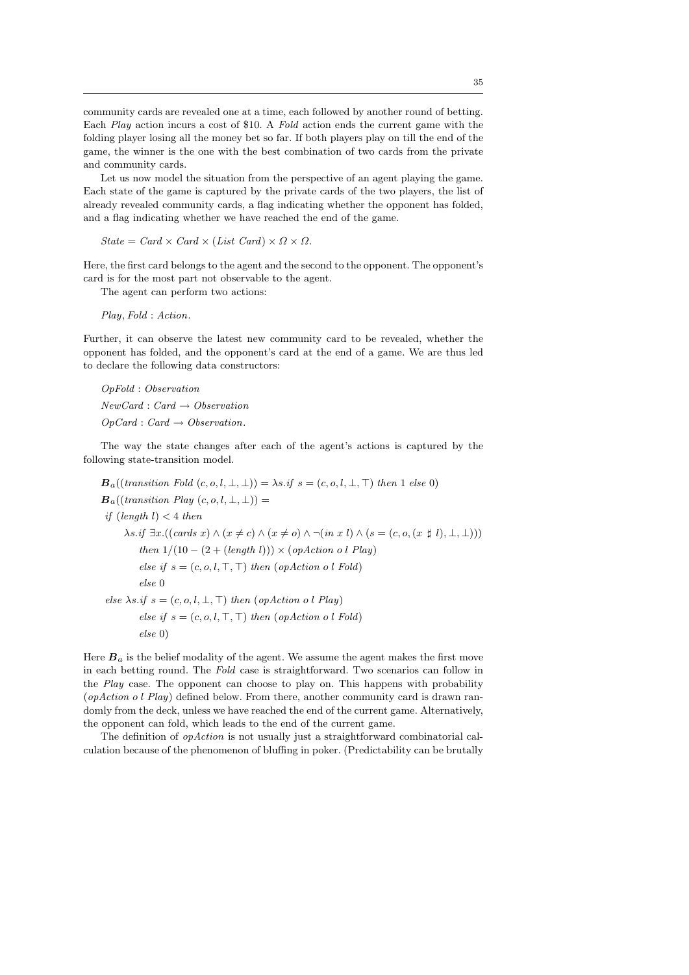community cards are revealed one at a time, each followed by another round of betting. Each Play action incurs a cost of \$10. A Fold action ends the current game with the folding player losing all the money bet so far. If both players play on till the end of the game, the winner is the one with the best combination of two cards from the private and community cards.

Let us now model the situation from the perspective of an agent playing the game. Each state of the game is captured by the private cards of the two players, the list of already revealed community cards, a flag indicating whether the opponent has folded, and a flag indicating whether we have reached the end of the game.

 $State = Card \times Card \times (List\ Card) \times \Omega \times \Omega$ .

Here, the first card belongs to the agent and the second to the opponent. The opponent's card is for the most part not observable to the agent.

The agent can perform two actions:

Play, Fold : Action.

Further, it can observe the latest new community card to be revealed, whether the opponent has folded, and the opponent's card at the end of a game. We are thus led to declare the following data constructors:

OpFold : Observation  $NewCard : Card \rightarrow Observation$  $OpCard : Card \rightarrow Observation.$ 

The way the state changes after each of the agent's actions is captured by the following state-transition model.

 $B_a((transition \, Fold \,(c, o, l, \perp, \perp)) = \lambda s.$ if  $s = (c, o, l, \perp, \perp)$  then 1 else 0)  $\boldsymbol{B}_a((transition \; Play \; (c, o, l, \perp, \perp)) =$ if (length  $l$ )  $<$  4 then  $\lambda s.$ if  $\exists x.((cards x) \land (x \neq c) \land (x \neq o) \land \neg (in x l) \land (s = (c, o, (x \sharp l), \bot, \bot)))$ then  $1/(10 - (2 + (length l))) \times (opAction \space o \space l$  Play) else if  $s = (c, o, l, \top, \top)$  then (opAction o l Fold) else 0 else  $\lambda s.$ if  $s = (c, o, l, \bot, \top)$  then (opAction o l Play) else if  $s = (c, o, l, \top, \top)$  then (opAction o l Fold) else 0)

Here  $B_a$  is the belief modality of the agent. We assume the agent makes the first move in each betting round. The Fold case is straightforward. Two scenarios can follow in the Play case. The opponent can choose to play on. This happens with probability (opAction o l Play) defined below. From there, another community card is drawn randomly from the deck, unless we have reached the end of the current game. Alternatively, the opponent can fold, which leads to the end of the current game.

The definition of opAction is not usually just a straightforward combinatorial calculation because of the phenomenon of bluffing in poker. (Predictability can be brutally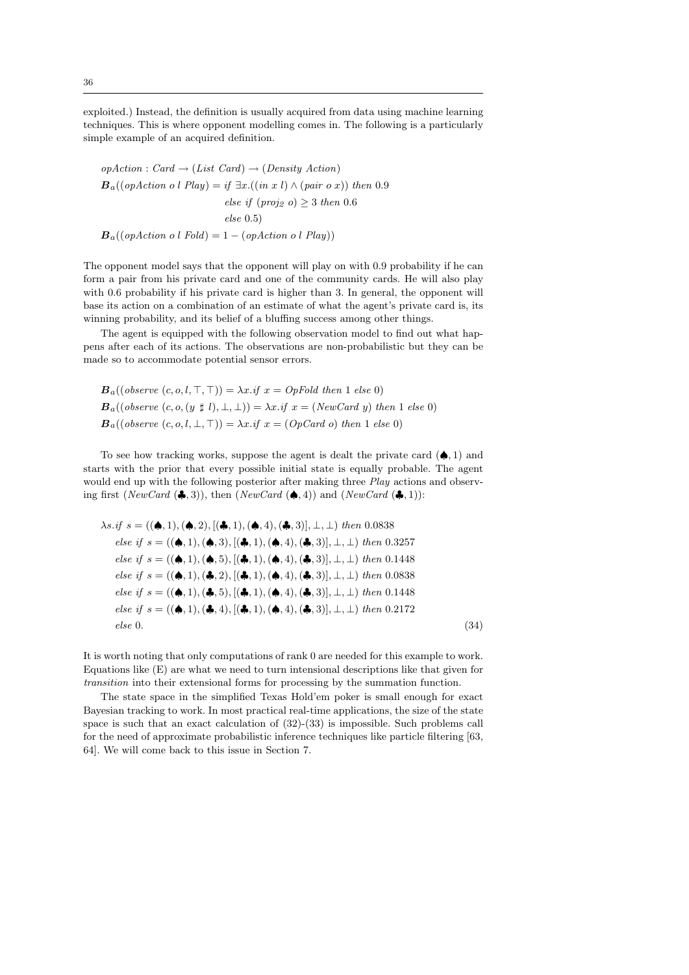exploited.) Instead, the definition is usually acquired from data using machine learning techniques. This is where opponent modelling comes in. The following is a particularly simple example of an acquired definition.

$$
opAction: Card \to (List Card) \to (Density Action)
$$
  
\n
$$
B_a((opAction \space o \space l \space Play) = if \space \exists x.((in \space x \space l) \land (pair \space o \space x)) \space then \space 0.9
$$
  
\n
$$
else \space if \space (proj_2 \space o) \geq 3 \space then \space 0.6
$$
  
\n
$$
B_a((opAction \space o \space l \space Fold) = 1 - (opAction \space o \space l \space Play))
$$

The opponent model says that the opponent will play on with 0.9 probability if he can form a pair from his private card and one of the community cards. He will also play with 0.6 probability if his private card is higher than 3. In general, the opponent will base its action on a combination of an estimate of what the agent's private card is, its winning probability, and its belief of a bluffing success among other things.

The agent is equipped with the following observation model to find out what happens after each of its actions. The observations are non-probabilistic but they can be made so to accommodate potential sensor errors.

$$
B_a((observe(c, o, l, \top, \top)) = \lambda x. if x = OpFold then 1 else 0)
$$
  
\n
$$
B_a((observe(c, o, (y \sharp l), \bot, \bot)) = \lambda x. if x = (NewCard y) then 1 else 0)
$$
  
\n
$$
B_a((observe(c, o, l, \bot, \top)) = \lambda x. if x = (OpCard o) then 1 else 0)
$$

To see how tracking works, suppose the agent is dealt the private card (♠, 1) and starts with the prior that every possible initial state is equally probable. The agent would end up with the following posterior after making three *Play* actions and observing first  $(NewCard (\clubsuit, 3)),$  then  $(NewCard (\spadesuit, 4))$  and  $(NewCard (\clubsuit, 1))$ :

$$
\lambda s. if s = ((\clubsuit, 1), (\clubsuit, 2), [(\clubsuit, 1), (\clubsuit, 4), (\clubsuit, 3)], \perp, \perp) \ then \ 0.0838
$$
\nelse if s = ((\spadesuit, 1), (\spadesuit, 3), [(\clubsuit, 1), (\spadesuit, 4), (\clubsuit, 3)], \perp, \perp) \ then \ 0.3257  
\nelse if s = ((\spadesuit, 1), (\clubsuit, 5), [(\clubsuit, 1), (\spadesuit, 4), (\clubsuit, 3)], \perp, \perp) \ then \ 0.1448  
\nelse if s = ((\spadesuit, 1), (\clubsuit, 2), [(\clubsuit, 1), (\spadesuit, 4), (\clubsuit, 3)], \perp, \perp) \ then \ 0.1448  
\nelse if s = ((\spadesuit, 1), (\clubsuit, 5), [(\clubsuit, 1), (\spadesuit, 4), (\clubsuit, 3)], \perp, \perp) \ then \ 0.1448  
\nelse if s = ((\spadesuit, 1), (\clubsuit, 4), [(\clubsuit, 1), (\spadesuit, 4), (\clubsuit, 3)], \perp, \perp) \ then \ 0.2172  
\nelse \ 0. \tag{34}

It is worth noting that only computations of rank 0 are needed for this example to work. Equations like (E) are what we need to turn intensional descriptions like that given for transition into their extensional forms for processing by the summation function.

The state space in the simplified Texas Hold'em poker is small enough for exact Bayesian tracking to work. In most practical real-time applications, the size of the state space is such that an exact calculation of (32)-(33) is impossible. Such problems call for the need of approximate probabilistic inference techniques like particle filtering [63, 64]. We will come back to this issue in Section 7.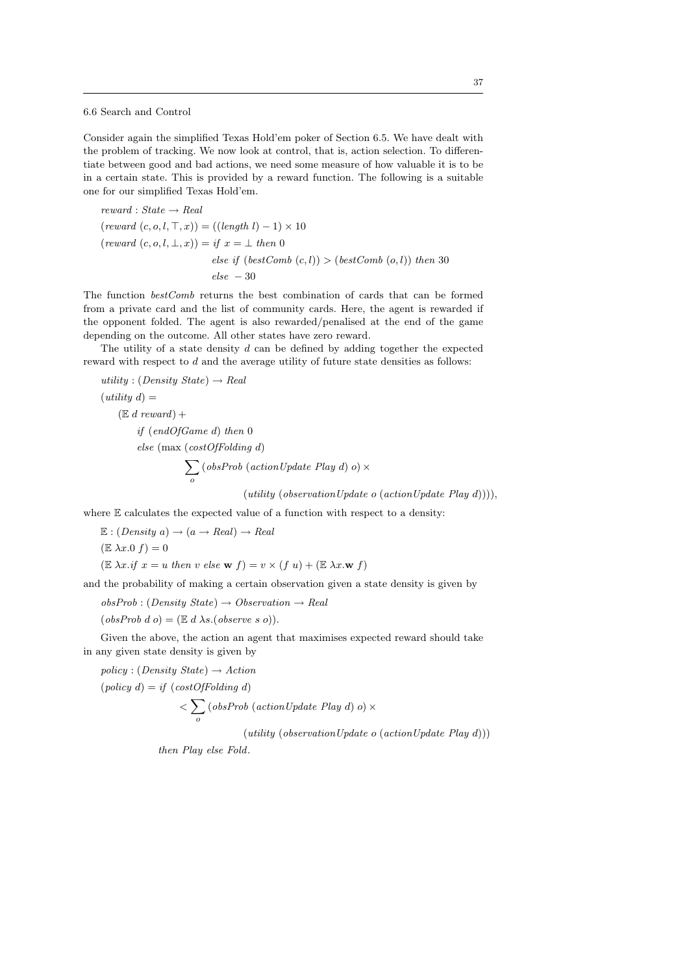6.6 Search and Control

Consider again the simplified Texas Hold'em poker of Section 6.5. We have dealt with the problem of tracking. We now look at control, that is, action selection. To differentiate between good and bad actions, we need some measure of how valuable it is to be in a certain state. This is provided by a reward function. The following is a suitable one for our simplified Texas Hold'em.

\n
$$
\text{reward}: \text{State} \rightarrow \text{Real}
$$
\n

\n\n $(\text{reward}(c, o, l, \top, x)) = ((\text{length } l) - 1) \times 10$ \n

\n\n $(\text{reward}(c, o, l, \bot, x)) = \text{if } x = \bot \text{ then } 0$ \n

\n\n $\text{else if } (\text{bestComb}(c, l)) > (\text{bestComb}(o, l)) \text{ then } 30$ \n

\n\n $\text{else } -30$ \n

The function bestComb returns the best combination of cards that can be formed from a private card and the list of community cards. Here, the agent is rewarded if the opponent folded. The agent is also rewarded/penalised at the end of the game depending on the outcome. All other states have zero reward.

The utility of a state density  $d$  can be defined by adding together the expected reward with respect to  $d$  and the average utility of future state densities as follows:

$$
utility : (Density State) \rightarrow Real
$$
  
\n
$$
(utility d) =
$$
  
\n
$$
(\mathbb{E} d \text{ reward}) +
$$
  
\n
$$
if (endOfGame d) then 0
$$
  
\n
$$
else (max (costOfFollowing d)
$$
  
\n
$$
\sum_{o} (obsProb (actionUpdate Play d) o) \times
$$

 $(\text{utility} (observationUpdate \space o \space (actionUpdate \space Play \space d))))$ ,

where  $E$  calculates the expected value of a function with respect to a density:

 $\mathbb{E} : (Density \ a) \rightarrow (a \rightarrow Real) \rightarrow Real$  $(\mathbb{E} \lambda x.0 f) = 0$  $(\mathbb{E} \lambda x \cdot if \ x = u \ then \ v \ else \ \mathbf{w} \ f) = v \times (f \ u) + (\mathbb{E} \lambda x \cdot \mathbf{w} \ f)$ 

and the probability of making a certain observation given a state density is given by

 $obsProb : (Density State) \rightarrow Observation \rightarrow Real$ 

 $(obsProb d o) = (\mathbb{E} d \lambda s. (observe s o)).$ 

Given the above, the action an agent that maximises expected reward should take in any given state density is given by

 $policy : (Density State) \rightarrow Action$  $(policy d) = if (costOfFollowing d)$ 

$$
<\sum\left( \textit{obsProb}\textrm{ }(\textit{actionUpdate Play}\textrm{ }d)\textrm{ }o\right)\times
$$

 $(\text{utility} (observationUpdate \space o \space (actionUpdate \space Play \space d)))$ 

then Play else Fold.

o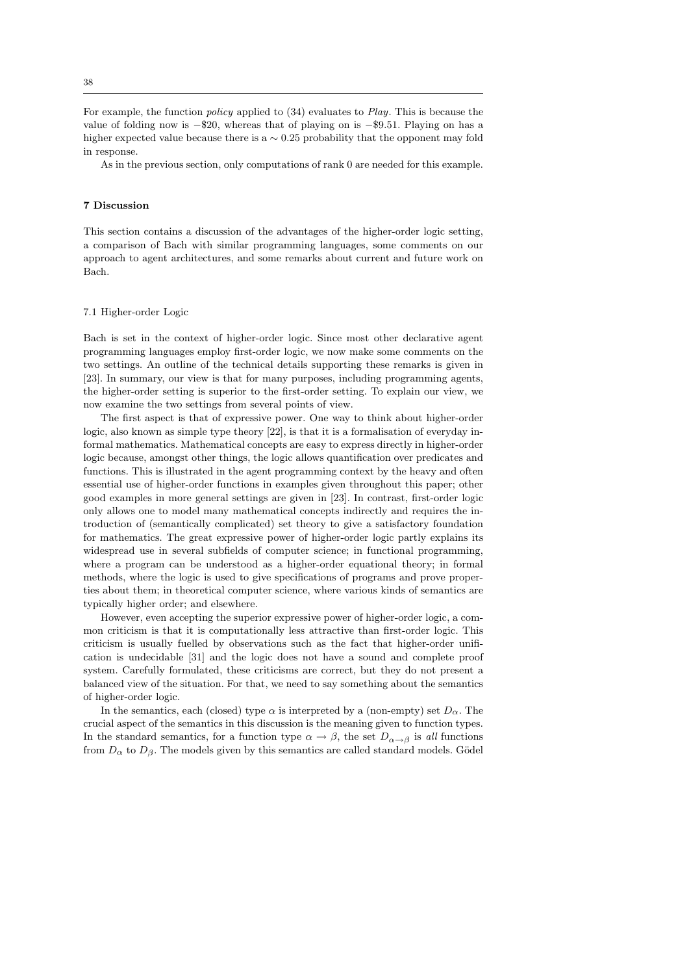For example, the function *policy* applied to  $(34)$  evaluates to *Play*. This is because the value of folding now is −\$20, whereas that of playing on is −\$9.51. Playing on has a higher expected value because there is a ∼ 0.25 probability that the opponent may fold in response.

As in the previous section, only computations of rank 0 are needed for this example.

#### 7 Discussion

This section contains a discussion of the advantages of the higher-order logic setting, a comparison of Bach with similar programming languages, some comments on our approach to agent architectures, and some remarks about current and future work on Bach.

# 7.1 Higher-order Logic

Bach is set in the context of higher-order logic. Since most other declarative agent programming languages employ first-order logic, we now make some comments on the two settings. An outline of the technical details supporting these remarks is given in [23]. In summary, our view is that for many purposes, including programming agents, the higher-order setting is superior to the first-order setting. To explain our view, we now examine the two settings from several points of view.

The first aspect is that of expressive power. One way to think about higher-order logic, also known as simple type theory [22], is that it is a formalisation of everyday informal mathematics. Mathematical concepts are easy to express directly in higher-order logic because, amongst other things, the logic allows quantification over predicates and functions. This is illustrated in the agent programming context by the heavy and often essential use of higher-order functions in examples given throughout this paper; other good examples in more general settings are given in [23]. In contrast, first-order logic only allows one to model many mathematical concepts indirectly and requires the introduction of (semantically complicated) set theory to give a satisfactory foundation for mathematics. The great expressive power of higher-order logic partly explains its widespread use in several subfields of computer science; in functional programming, where a program can be understood as a higher-order equational theory; in formal methods, where the logic is used to give specifications of programs and prove properties about them; in theoretical computer science, where various kinds of semantics are typically higher order; and elsewhere.

However, even accepting the superior expressive power of higher-order logic, a common criticism is that it is computationally less attractive than first-order logic. This criticism is usually fuelled by observations such as the fact that higher-order unification is undecidable [31] and the logic does not have a sound and complete proof system. Carefully formulated, these criticisms are correct, but they do not present a balanced view of the situation. For that, we need to say something about the semantics of higher-order logic.

In the semantics, each (closed) type  $\alpha$  is interpreted by a (non-empty) set  $D_{\alpha}$ . The crucial aspect of the semantics in this discussion is the meaning given to function types. In the standard semantics, for a function type  $\alpha \to \beta$ , the set  $D_{\alpha \to \beta}$  is all functions from  $D_{\alpha}$  to  $D_{\beta}$ . The models given by this semantics are called standard models. Gödel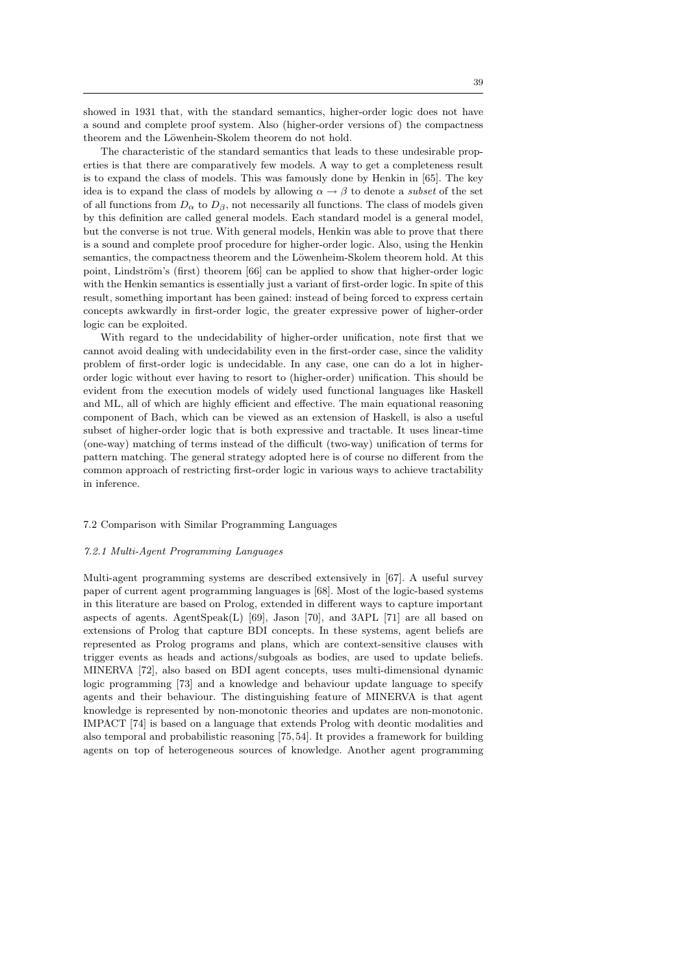showed in 1931 that, with the standard semantics, higher-order logic does not have a sound and complete proof system. Also (higher-order versions of) the compactness theorem and the Löwenhein-Skolem theorem do not hold.

The characteristic of the standard semantics that leads to these undesirable properties is that there are comparatively few models. A way to get a completeness result is to expand the class of models. This was famously done by Henkin in [65]. The key idea is to expand the class of models by allowing  $\alpha \rightarrow \beta$  to denote a *subset* of the set of all functions from  $D_{\alpha}$  to  $D_{\beta}$ , not necessarily all functions. The class of models given by this definition are called general models. Each standard model is a general model, but the converse is not true. With general models, Henkin was able to prove that there is a sound and complete proof procedure for higher-order logic. Also, using the Henkin semantics, the compactness theorem and the Löwenheim-Skolem theorem hold. At this point, Lindström's (first) theorem [66] can be applied to show that higher-order logic with the Henkin semantics is essentially just a variant of first-order logic. In spite of this result, something important has been gained: instead of being forced to express certain concepts awkwardly in first-order logic, the greater expressive power of higher-order logic can be exploited.

With regard to the undecidability of higher-order unification, note first that we cannot avoid dealing with undecidability even in the first-order case, since the validity problem of first-order logic is undecidable. In any case, one can do a lot in higherorder logic without ever having to resort to (higher-order) unification. This should be evident from the execution models of widely used functional languages like Haskell and ML, all of which are highly efficient and effective. The main equational reasoning component of Bach, which can be viewed as an extension of Haskell, is also a useful subset of higher-order logic that is both expressive and tractable. It uses linear-time (one-way) matching of terms instead of the difficult (two-way) unification of terms for pattern matching. The general strategy adopted here is of course no different from the common approach of restricting first-order logic in various ways to achieve tractability in inference.

#### 7.2 Comparison with Similar Programming Languages

### 7.2.1 Multi-Agent Programming Languages

Multi-agent programming systems are described extensively in [67]. A useful survey paper of current agent programming languages is [68]. Most of the logic-based systems in this literature are based on Prolog, extended in different ways to capture important aspects of agents. AgentSpeak $(L)$  [69], Jason [70], and 3APL [71] are all based on extensions of Prolog that capture BDI concepts. In these systems, agent beliefs are represented as Prolog programs and plans, which are context-sensitive clauses with trigger events as heads and actions/subgoals as bodies, are used to update beliefs. MINERVA [72], also based on BDI agent concepts, uses multi-dimensional dynamic logic programming [73] and a knowledge and behaviour update language to specify agents and their behaviour. The distinguishing feature of MINERVA is that agent knowledge is represented by non-monotonic theories and updates are non-monotonic. IMPACT [74] is based on a language that extends Prolog with deontic modalities and also temporal and probabilistic reasoning [75, 54]. It provides a framework for building agents on top of heterogeneous sources of knowledge. Another agent programming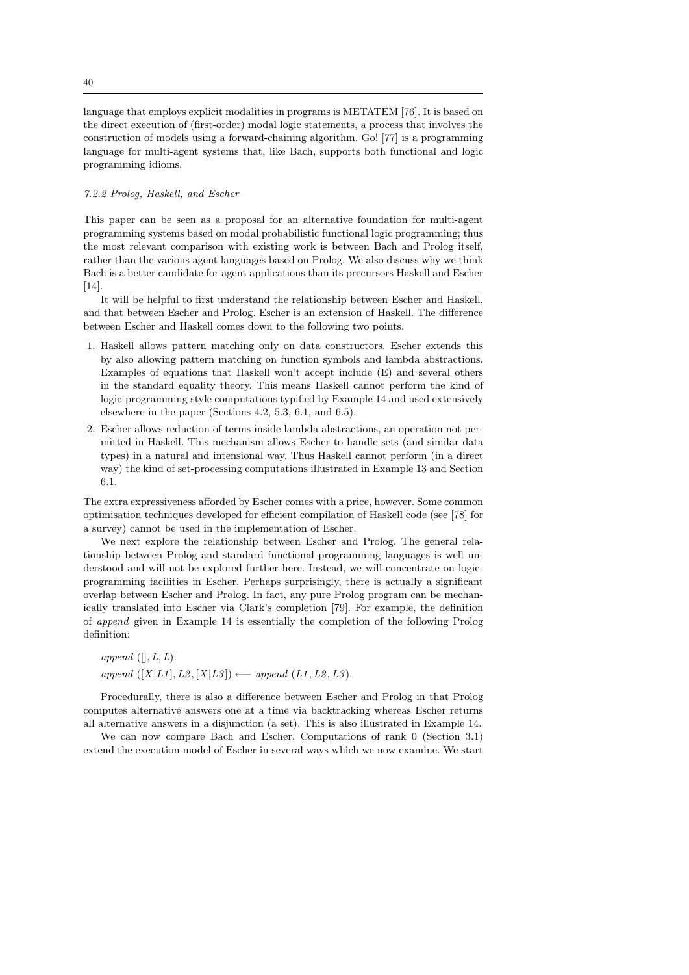language that employs explicit modalities in programs is METATEM [76]. It is based on the direct execution of (first-order) modal logic statements, a process that involves the construction of models using a forward-chaining algorithm. Go! [77] is a programming language for multi-agent systems that, like Bach, supports both functional and logic programming idioms.

### 7.2.2 Prolog, Haskell, and Escher

This paper can be seen as a proposal for an alternative foundation for multi-agent programming systems based on modal probabilistic functional logic programming; thus the most relevant comparison with existing work is between Bach and Prolog itself, rather than the various agent languages based on Prolog. We also discuss why we think Bach is a better candidate for agent applications than its precursors Haskell and Escher  $[14]$ .

It will be helpful to first understand the relationship between Escher and Haskell, and that between Escher and Prolog. Escher is an extension of Haskell. The difference between Escher and Haskell comes down to the following two points.

- 1. Haskell allows pattern matching only on data constructors. Escher extends this by also allowing pattern matching on function symbols and lambda abstractions. Examples of equations that Haskell won't accept include (E) and several others in the standard equality theory. This means Haskell cannot perform the kind of logic-programming style computations typified by Example 14 and used extensively elsewhere in the paper (Sections 4.2, 5.3, 6.1, and 6.5).
- 2. Escher allows reduction of terms inside lambda abstractions, an operation not permitted in Haskell. This mechanism allows Escher to handle sets (and similar data types) in a natural and intensional way. Thus Haskell cannot perform (in a direct way) the kind of set-processing computations illustrated in Example 13 and Section 6.1.

The extra expressiveness afforded by Escher comes with a price, however. Some common optimisation techniques developed for efficient compilation of Haskell code (see [78] for a survey) cannot be used in the implementation of Escher.

We next explore the relationship between Escher and Prolog. The general relationship between Prolog and standard functional programming languages is well understood and will not be explored further here. Instead, we will concentrate on logicprogramming facilities in Escher. Perhaps surprisingly, there is actually a significant overlap between Escher and Prolog. In fact, any pure Prolog program can be mechanically translated into Escher via Clark's completion [79]. For example, the definition of append given in Example 14 is essentially the completion of the following Prolog definition:

append  $($ [, $L, L$ ). append  $([X|L1], L2, [X|L3]) \longleftarrow$  append  $(L1, L2, L3)$ .

Procedurally, there is also a difference between Escher and Prolog in that Prolog computes alternative answers one at a time via backtracking whereas Escher returns all alternative answers in a disjunction (a set). This is also illustrated in Example 14.

We can now compare Bach and Escher. Computations of rank 0 (Section 3.1) extend the execution model of Escher in several ways which we now examine. We start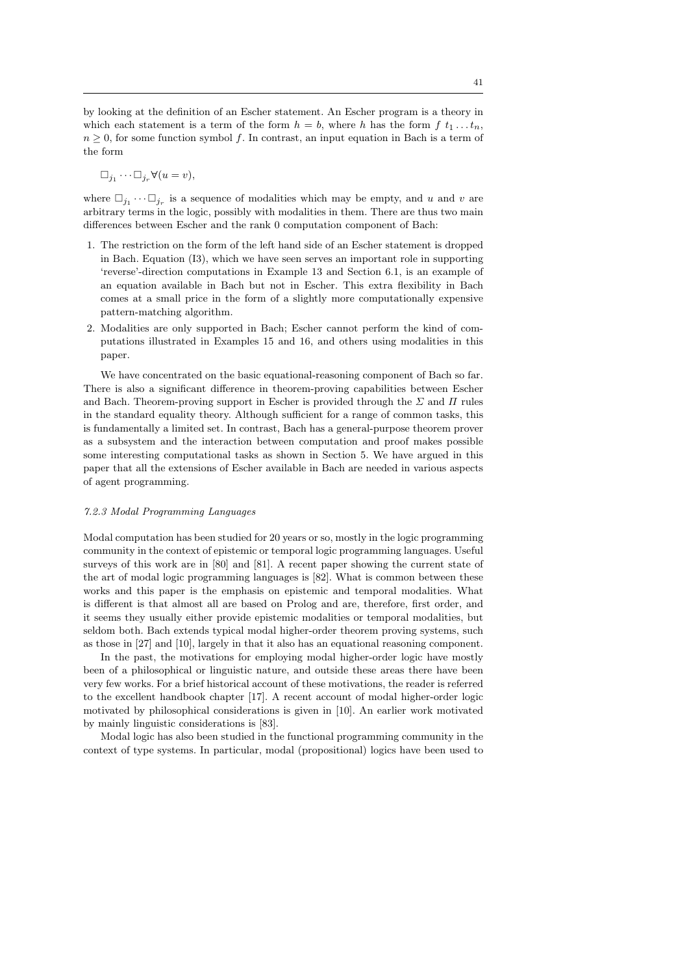by looking at the definition of an Escher statement. An Escher program is a theory in which each statement is a term of the form  $h = b$ , where h has the form  $f_{1} \ldots f_{n}$ ,  $n \geq 0$ , for some function symbol f. In contrast, an input equation in Bach is a term of the form

 $\Box_{j_1} \cdots \Box_{j_r} \forall (u = v),$ 

where  $\Box_{j_1} \cdots \Box_{j_r}$  is a sequence of modalities which may be empty, and u and v are arbitrary terms in the logic, possibly with modalities in them. There are thus two main differences between Escher and the rank 0 computation component of Bach:

- 1. The restriction on the form of the left hand side of an Escher statement is dropped in Bach. Equation (I3), which we have seen serves an important role in supporting 'reverse'-direction computations in Example 13 and Section 6.1, is an example of an equation available in Bach but not in Escher. This extra flexibility in Bach comes at a small price in the form of a slightly more computationally expensive pattern-matching algorithm.
- 2. Modalities are only supported in Bach; Escher cannot perform the kind of computations illustrated in Examples 15 and 16, and others using modalities in this paper.

We have concentrated on the basic equational-reasoning component of Bach so far. There is also a significant difference in theorem-proving capabilities between Escher and Bach. Theorem-proving support in Escher is provided through the  $\Sigma$  and  $\Pi$  rules in the standard equality theory. Although sufficient for a range of common tasks, this is fundamentally a limited set. In contrast, Bach has a general-purpose theorem prover as a subsystem and the interaction between computation and proof makes possible some interesting computational tasks as shown in Section 5. We have argued in this paper that all the extensions of Escher available in Bach are needed in various aspects of agent programming.

# 7.2.3 Modal Programming Languages

Modal computation has been studied for 20 years or so, mostly in the logic programming community in the context of epistemic or temporal logic programming languages. Useful surveys of this work are in [80] and [81]. A recent paper showing the current state of the art of modal logic programming languages is [82]. What is common between these works and this paper is the emphasis on epistemic and temporal modalities. What is different is that almost all are based on Prolog and are, therefore, first order, and it seems they usually either provide epistemic modalities or temporal modalities, but seldom both. Bach extends typical modal higher-order theorem proving systems, such as those in [27] and [10], largely in that it also has an equational reasoning component.

In the past, the motivations for employing modal higher-order logic have mostly been of a philosophical or linguistic nature, and outside these areas there have been very few works. For a brief historical account of these motivations, the reader is referred to the excellent handbook chapter [17]. A recent account of modal higher-order logic motivated by philosophical considerations is given in [10]. An earlier work motivated by mainly linguistic considerations is [83].

Modal logic has also been studied in the functional programming community in the context of type systems. In particular, modal (propositional) logics have been used to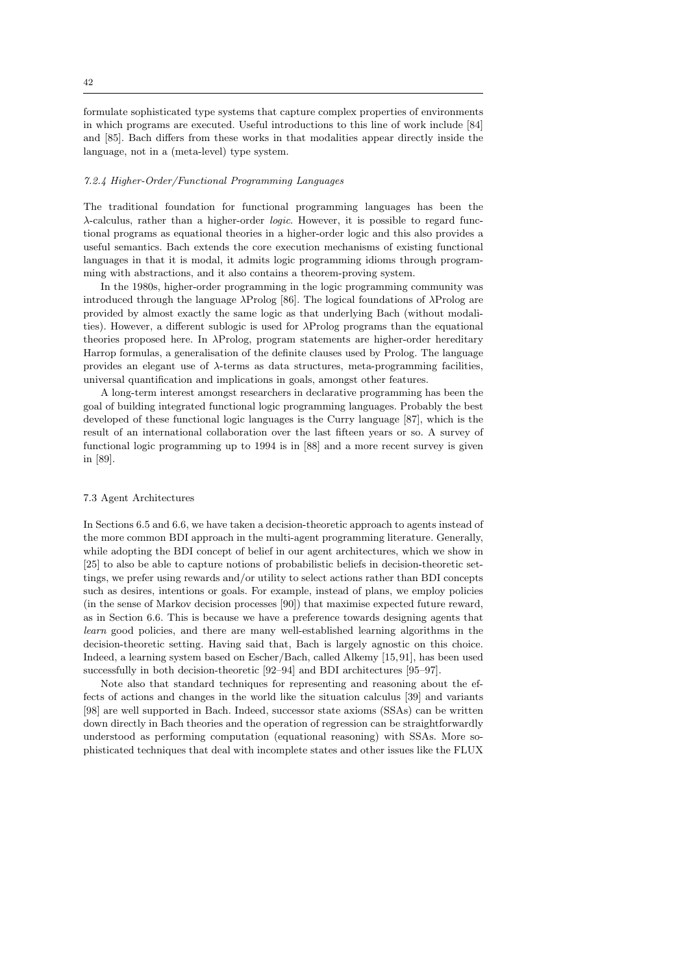formulate sophisticated type systems that capture complex properties of environments in which programs are executed. Useful introductions to this line of work include [84] and [85]. Bach differs from these works in that modalities appear directly inside the language, not in a (meta-level) type system.

#### 7.2.4 Higher-Order/Functional Programming Languages

The traditional foundation for functional programming languages has been the λ-calculus, rather than a higher-order logic. However, it is possible to regard functional programs as equational theories in a higher-order logic and this also provides a useful semantics. Bach extends the core execution mechanisms of existing functional languages in that it is modal, it admits logic programming idioms through programming with abstractions, and it also contains a theorem-proving system.

In the 1980s, higher-order programming in the logic programming community was introduced through the language  $\lambda$ Prolog [86]. The logical foundations of  $\lambda$ Prolog are provided by almost exactly the same logic as that underlying Bach (without modalities). However, a different sublogic is used for  $\lambda$ Prolog programs than the equational theories proposed here. In  $\lambda$ Prolog, program statements are higher-order hereditary Harrop formulas, a generalisation of the definite clauses used by Prolog. The language provides an elegant use of  $\lambda$ -terms as data structures, meta-programming facilities, universal quantification and implications in goals, amongst other features.

A long-term interest amongst researchers in declarative programming has been the goal of building integrated functional logic programming languages. Probably the best developed of these functional logic languages is the Curry language [87], which is the result of an international collaboration over the last fifteen years or so. A survey of functional logic programming up to 1994 is in [88] and a more recent survey is given in [89].

### 7.3 Agent Architectures

In Sections 6.5 and 6.6, we have taken a decision-theoretic approach to agents instead of the more common BDI approach in the multi-agent programming literature. Generally, while adopting the BDI concept of belief in our agent architectures, which we show in [25] to also be able to capture notions of probabilistic beliefs in decision-theoretic settings, we prefer using rewards and/or utility to select actions rather than BDI concepts such as desires, intentions or goals. For example, instead of plans, we employ policies (in the sense of Markov decision processes [90]) that maximise expected future reward, as in Section 6.6. This is because we have a preference towards designing agents that learn good policies, and there are many well-established learning algorithms in the decision-theoretic setting. Having said that, Bach is largely agnostic on this choice. Indeed, a learning system based on Escher/Bach, called Alkemy [15, 91], has been used successfully in both decision-theoretic [92–94] and BDI architectures [95–97].

Note also that standard techniques for representing and reasoning about the effects of actions and changes in the world like the situation calculus [39] and variants [98] are well supported in Bach. Indeed, successor state axioms (SSAs) can be written down directly in Bach theories and the operation of regression can be straightforwardly understood as performing computation (equational reasoning) with SSAs. More sophisticated techniques that deal with incomplete states and other issues like the FLUX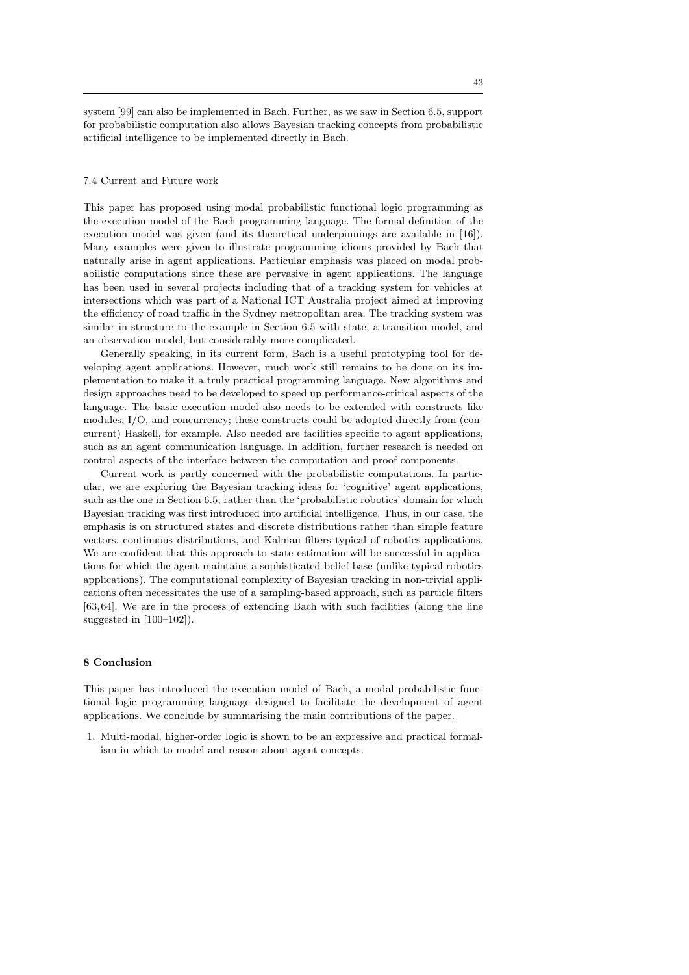system [99] can also be implemented in Bach. Further, as we saw in Section 6.5, support for probabilistic computation also allows Bayesian tracking concepts from probabilistic artificial intelligence to be implemented directly in Bach.

#### 7.4 Current and Future work

This paper has proposed using modal probabilistic functional logic programming as the execution model of the Bach programming language. The formal definition of the execution model was given (and its theoretical underpinnings are available in [16]). Many examples were given to illustrate programming idioms provided by Bach that naturally arise in agent applications. Particular emphasis was placed on modal probabilistic computations since these are pervasive in agent applications. The language has been used in several projects including that of a tracking system for vehicles at intersections which was part of a National ICT Australia project aimed at improving the efficiency of road traffic in the Sydney metropolitan area. The tracking system was similar in structure to the example in Section 6.5 with state, a transition model, and an observation model, but considerably more complicated.

Generally speaking, in its current form, Bach is a useful prototyping tool for developing agent applications. However, much work still remains to be done on its implementation to make it a truly practical programming language. New algorithms and design approaches need to be developed to speed up performance-critical aspects of the language. The basic execution model also needs to be extended with constructs like modules, I/O, and concurrency; these constructs could be adopted directly from (concurrent) Haskell, for example. Also needed are facilities specific to agent applications, such as an agent communication language. In addition, further research is needed on control aspects of the interface between the computation and proof components.

Current work is partly concerned with the probabilistic computations. In particular, we are exploring the Bayesian tracking ideas for 'cognitive' agent applications, such as the one in Section 6.5, rather than the 'probabilistic robotics' domain for which Bayesian tracking was first introduced into artificial intelligence. Thus, in our case, the emphasis is on structured states and discrete distributions rather than simple feature vectors, continuous distributions, and Kalman filters typical of robotics applications. We are confident that this approach to state estimation will be successful in applications for which the agent maintains a sophisticated belief base (unlike typical robotics applications). The computational complexity of Bayesian tracking in non-trivial applications often necessitates the use of a sampling-based approach, such as particle filters [63, 64]. We are in the process of extending Bach with such facilities (along the line suggested in [100–102]).

### 8 Conclusion

This paper has introduced the execution model of Bach, a modal probabilistic functional logic programming language designed to facilitate the development of agent applications. We conclude by summarising the main contributions of the paper.

1. Multi-modal, higher-order logic is shown to be an expressive and practical formalism in which to model and reason about agent concepts.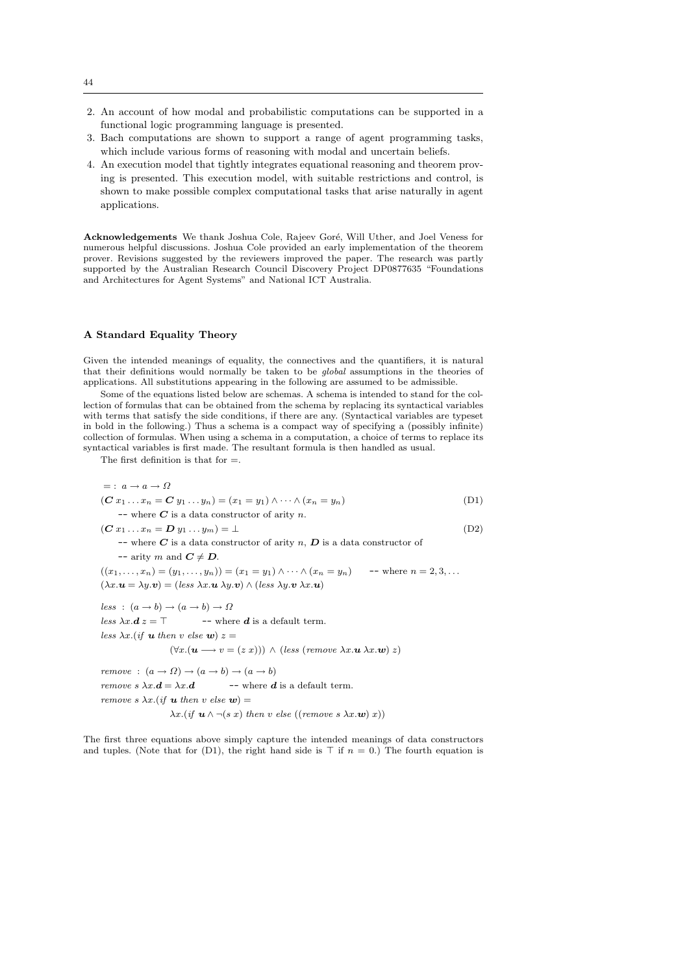- 2. An account of how modal and probabilistic computations can be supported in a functional logic programming language is presented.
- 3. Bach computations are shown to support a range of agent programming tasks, which include various forms of reasoning with modal and uncertain beliefs.
- 4. An execution model that tightly integrates equational reasoning and theorem proving is presented. This execution model, with suitable restrictions and control, is shown to make possible complex computational tasks that arise naturally in agent applications.

Acknowledgements We thank Joshua Cole, Rajeev Goré, Will Uther, and Joel Veness for numerous helpful discussions. Joshua Cole provided an early implementation of the theorem prover. Revisions suggested by the reviewers improved the paper. The research was partly supported by the Australian Research Council Discovery Project DP0877635 "Foundations and Architectures for Agent Systems" and National ICT Australia.

# A Standard Equality Theory

Given the intended meanings of equality, the connectives and the quantifiers, it is natural that their definitions would normally be taken to be global assumptions in the theories of applications. All substitutions appearing in the following are assumed to be admissible.

Some of the equations listed below are schemas. A schema is intended to stand for the collection of formulas that can be obtained from the schema by replacing its syntactical variables with terms that satisfy the side conditions, if there are any. (Syntactical variables are typeset in bold in the following.) Thus a schema is a compact way of specifying a (possibly infinite) collection of formulas. When using a schema in a computation, a choice of terms to replace its syntactical variables is first made. The resultant formula is then handled as usual.

The first definition is that for  $=$ .

$$
= : a \to a \to \Omega
$$
  
(**C**  $x_1 \dots x_n = C$   $y_1 \dots y_n$ ) =  $(x_1 = y_1) \land \dots \land (x_n = y_n)$   
-- where **C** is a data constructor of arity *n*.  
(D1)

 $(C x_1 ... x_n = D y_1 ... y_m) = \perp$  (D2)

 $-$  where C is a data constructor of arity n, D is a data constructor of

 $-$  arity m and  $C \neq D$ .

 $((x_1, \ldots, x_n) = (y_1, \ldots, y_n)) = (x_1 = y_1) \wedge \cdots \wedge (x_n = y_n)$  -- where  $n = 2, 3, \ldots$  $(\lambda x.\mathbf{u} = \lambda y.\mathbf{v}) = (less \lambda x.\mathbf{u} \lambda y.\mathbf{v}) \wedge (less \lambda y.\mathbf{v} \lambda x.\mathbf{u})$ 

 $less : (a \rightarrow b) \rightarrow (a \rightarrow b) \rightarrow \Omega$ less  $\lambda x \cdot d z = \top$  -- where d is a default term. less  $\lambda x. (if \mathbf{u} \text{ then } v \text{ else } \mathbf{w}) z =$  $(\forall x.(\mathbf{u} \longrightarrow v = (z\ x))) \land (less (remove \ \lambda x.\mathbf{u} \ \lambda x.\mathbf{w})\ z)$ 

remove :  $(a \rightarrow \Omega) \rightarrow (a \rightarrow b) \rightarrow (a \rightarrow b)$ *remove*  $s \lambda x.d = \lambda x.d$  -- where d is a default term. remove s  $\lambda x.(if \mathbf{u} \text{ then } v \text{ else } \mathbf{w}) =$  $\lambda x. (if \mathbf{u} \wedge \neg(s\ x)\ then\ v\ else\ ((remove\ s\ \lambda x. \mathbf{w})\ x))$ 

The first three equations above simply capture the intended meanings of data constructors and tuples. (Note that for (D1), the right hand side is  $\top$  if  $n = 0$ .) The fourth equation is

44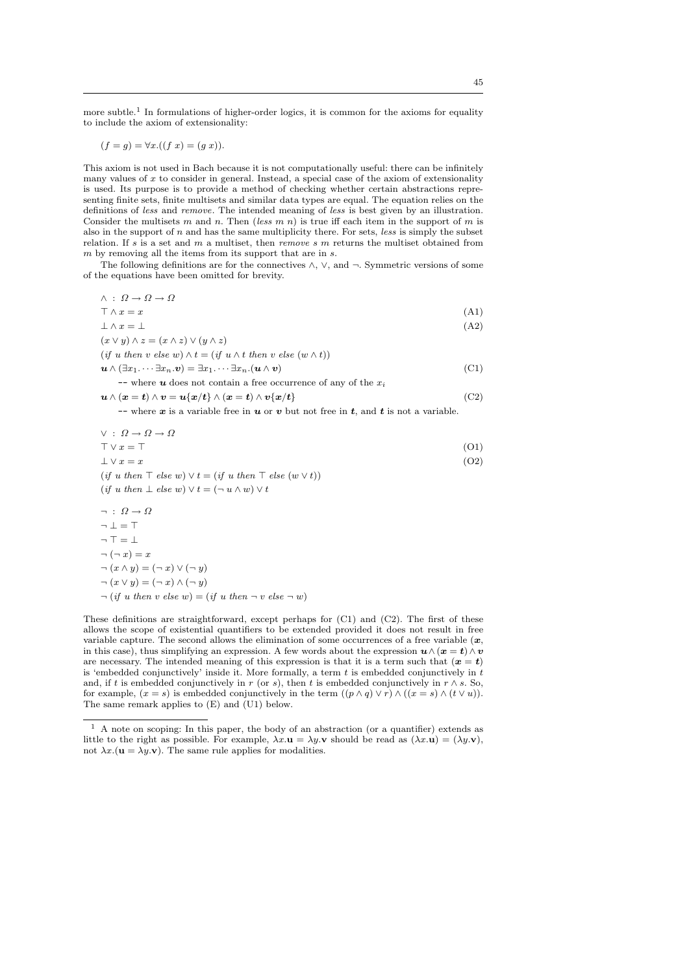more subtle.<sup>1</sup> In formulations of higher-order logics, it is common for the axioms for equality to include the axiom of extensionality:

$$
(f = g) = \forall x. ((f x) = (g x)).
$$

This axiom is not used in Bach because it is not computationally useful: there can be infinitely many values of x to consider in general. Instead, a special case of the axiom of extensionality is used. Its purpose is to provide a method of checking whether certain abstractions representing finite sets, finite multisets and similar data types are equal. The equation relies on the definitions of less and remove. The intended meaning of less is best given by an illustration. Consider the multisets m and n. Then (less m n) is true iff each item in the support of m is also in the support of  $n$  and has the same multiplicity there. For sets, less is simply the subset relation. If s is a set and  $m$  a multiset, then *remove* s  $m$  returns the multiset obtained from m by removing all the items from its support that are in s.

The following definitions are for the connectives  $\land$ ,  $\lor$ , and  $\neg$ . Symmetric versions of some of the equations have been omitted for brevity.

$$
\wedge \; : \; \Omega \to \Omega \to \Omega
$$

$$
\begin{aligned}\n\top \wedge x &= x \tag{A1} \\
\bot \wedge x &= \bot \tag{A2}\n\end{aligned}
$$

$$
(x \lor y) \land z = (x \land z) \lor (y \land z)
$$

(if u then v else w)  $\wedge t = (if \ u \wedge t \ then \ v \ else \ (w \wedge t))$  $\mathbf{u} \wedge (\exists x_1 \cdots \exists x_n \mathbf{.} \mathbf{v}) = \exists x_1 \cdots \exists x_n \mathbf{.} (\mathbf{u} \wedge \mathbf{v})$  (C1)  $-$  where u does not contain a free occurrence of any of the x

$$
u \wedge (x = t) \wedge v = u\{x/t\} \wedge (x = t) \wedge v\{x/t\}
$$
\n(C2)

-- where  $x$  is a variable free in  $u$  or  $v$  but not free in  $t$ , and  $t$  is not a variable.

$$
\forall \; : \; \Omega \to \Omega \to \Omega
$$
  
\n
$$
\top \lor x = \top
$$
 (01)

$$
\perp \vee x = x \tag{O2}
$$

(if u then  $\top$  else w)  $\vee$  t = (if u then  $\top$  else  $(w \vee t)$ ) (if u then  $\perp$  else w)  $\vee$  t =  $(\neg u \wedge w) \vee t$ 

 $\neg$  :  $\Omega \rightarrow \Omega$  $\neg$   $\bot$  =  $\top$  $\neg$  T =  $\perp$ 

$$
\neg(\neg x) = x
$$

 $\neg (x \wedge y) = (\neg x) \vee (\neg y)$ 

$$
\neg (x \lor y) = (\neg x) \land (\neg y)
$$

$$
\neg (if u then v else w) = (if u then \neg v else \neg w)
$$

These definitions are straightforward, except perhaps for (C1) and (C2). The first of these allows the scope of existential quantifiers to be extended provided it does not result in free variable capture. The second allows the elimination of some occurrences of a free variable  $(x,$ in this case), thus simplifying an expression. A few words about the expression  $u \wedge (x = t) \wedge v$ are necessary. The intended meaning of this expression is that it is a term such that  $(\mathbf{x} = t)$ is 'embedded conjunctively' inside it. More formally, a term  $t$  is embedded conjunctively in  $t$ and, if t is embedded conjunctively in r (or s), then t is embedded conjunctively in  $r \wedge s$ . So, for example,  $(x = s)$  is embedded conjunctively in the term  $((p \land q) \lor r) \land ((x = s) \land (t \lor u))$ . The same remark applies to (E) and (U1) below.

<sup>1</sup> A note on scoping: In this paper, the body of an abstraction (or a quantifier) extends as little to the right as possible. For example,  $\lambda x.\mathbf{u} = \lambda y.\mathbf{v}$  should be read as  $(\lambda x.\mathbf{u}) = (\lambda y.\mathbf{v})$ , not  $\lambda x.(\mathbf{u} = \lambda y.\mathbf{v})$ . The same rule applies for modalities.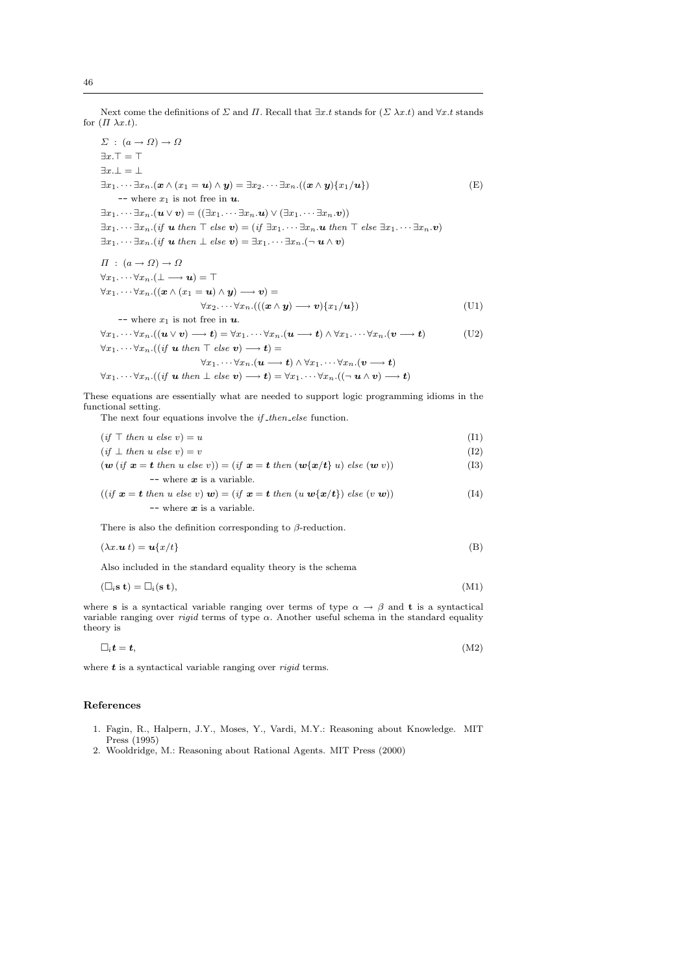Next come the definitions of  $\Sigma$  and  $\Pi$ . Recall that  $\exists x.t$  stands for  $(\Sigma \lambda x.t)$  and  $\forall x.t$  stands for  $(\Pi \lambda x.t).$ 

$$
\Sigma : (a \to \Omega) \to \Omega
$$
  
\n
$$
\exists x. \bot = \bot
$$
  
\n
$$
\exists x \bot = \bot
$$
  
\n
$$
\exists x_1 \cdots \exists x_n . (\boldsymbol{x} \wedge (x_1 = \boldsymbol{u}) \wedge \boldsymbol{y}) = \exists x_2 \cdots \exists x_n . ((\boldsymbol{x} \wedge \boldsymbol{y}) \{x_1 / \boldsymbol{u}\})
$$
  
\n-- where  $x_1$  is not free in  $\boldsymbol{u}$ .  
\n
$$
\exists x_1 \cdots \exists x_n . (\boldsymbol{u} \vee \boldsymbol{v}) = ((\exists x_1 \cdots \exists x_n . \boldsymbol{u}) \vee (\exists x_1 \cdots \exists x_n . \boldsymbol{v}))
$$
  
\n
$$
\exists x_1 \cdots \exists x_n . (if \boldsymbol{u} \ then \top else \boldsymbol{v}) = (if \exists x_1 \cdots \exists x_n . \boldsymbol{u} \ then \top else \exists x_1 \cdots \exists x_n . \boldsymbol{v})
$$
  
\n
$$
\exists x_1 \cdots \exists x_n . (if \boldsymbol{u} \ then \bot else \boldsymbol{v}) = \exists x_1 \cdots \exists x_n . (\neg \boldsymbol{u} \wedge \boldsymbol{v})
$$

$$
\Pi : (a \to \Omega) \to \Omega
$$
\n
$$
\forall x_1 \dots \forall x_n. (\bot \longrightarrow \mathbf{u}) = \top
$$
\n
$$
\forall x_1 \dots \forall x_n. ((\mathbf{x} \land (x_1 = \mathbf{u}) \land \mathbf{y}) \longrightarrow \mathbf{v}) =
$$
\n
$$
\forall x_2 \dots \forall x_n. (((\mathbf{x} \land \mathbf{y}) \longrightarrow \mathbf{v}) \{x_1/\mathbf{u}\})
$$
\n
$$
\neg \text{ where } x_1 \text{ is not free in } \mathbf{u}. \tag{U1}
$$

$$
\forall x_1 \cdots \forall x_n . ((\boldsymbol{u} \vee \boldsymbol{v}) \longrightarrow \boldsymbol{t}) = \forall x_1 \cdots \forall x_n . (\boldsymbol{u} \longrightarrow \boldsymbol{t}) \wedge \forall x_1 \cdots \forall x_n . (\boldsymbol{v} \longrightarrow \boldsymbol{t})
$$
(U2)  

$$
\forall x_1 \cdots \forall x_n . ((\text{if } \boldsymbol{u} \text{ then } \top \text{ else } \boldsymbol{v}) \longrightarrow \boldsymbol{t}) =
$$

$$
\forall x_1.\cdots \forall x_n. (\mathbf{u} \longrightarrow \mathbf{t}) \land \forall x_1.\cdots \forall x_n. (\mathbf{v} \longrightarrow \mathbf{t})
$$
  

$$
\forall x_1.\cdots \forall x_n. ((if \mathbf{u} \text{ then } \perp \text{ else } \mathbf{v}) \longrightarrow \mathbf{t}) = \forall x_1.\cdots \forall x_n. ((\neg \mathbf{u} \land \mathbf{v}) \longrightarrow \mathbf{t})
$$

These equations are essentially what are needed to support logic programming idioms in the functional setting.

The next four equations involve the  $if_{\perp}$  then else function.

$$
(if \top then u else v) = u \tag{I1}
$$

$$
(if \perp then \ u \ else \ v) = v \tag{I2}
$$

$$
(\mathbf{w} (if \mathbf{x} = \mathbf{t} then u else v)) = (if \mathbf{x} = \mathbf{t} then (\mathbf{w} \{ \mathbf{x} / \mathbf{t} \} u) else (\mathbf{w} v))
$$
\n
$$
-- \text{where } \mathbf{x} \text{ is a variable.}
$$
\n
$$
(I3)
$$

$$
((if \mathbf{x} = t then u else v) \mathbf{w}) = (if \mathbf{x} = t then (u \mathbf{w}\{\mathbf{x}/t\}) else (v \mathbf{w}))
$$
  
-- where **x** is a variable. (I4)

There is also the definition corresponding to  $\beta$ -reduction.

$$
(\lambda x. \mathbf{u} \ t) = \mathbf{u}\{x/t\} \tag{B}
$$

Also included in the standard equality theory is the schema

$$
(\Box_i \mathbf{s} \mathbf{t}) = \Box_i (\mathbf{s} \mathbf{t}), \tag{M1}
$$

where s is a syntactical variable ranging over terms of type  $\alpha \to \beta$  and t is a syntactical variable ranging over *rigid* terms of type  $\alpha$ . Another useful schema in the standard equality theory is

$$
\Box_i t = t,\tag{M2}
$$

where  $t$  is a syntactical variable ranging over *rigid* terms.

# References

- 1. Fagin, R., Halpern, J.Y., Moses, Y., Vardi, M.Y.: Reasoning about Knowledge. MIT Press (1995)
- 2. Wooldridge, M.: Reasoning about Rational Agents. MIT Press (2000)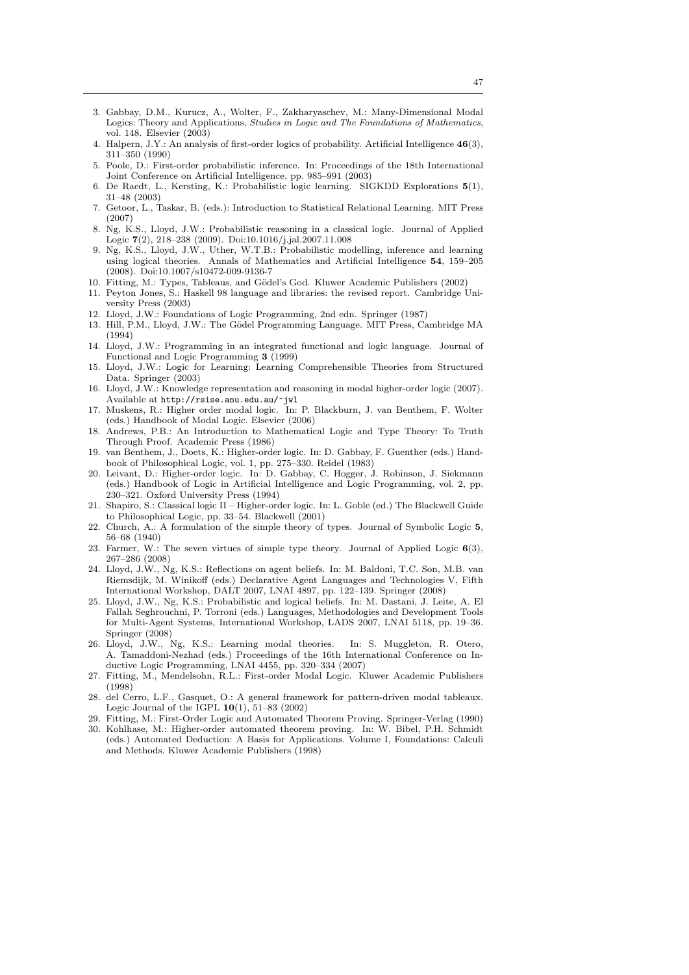- 3. Gabbay, D.M., Kurucz, A., Wolter, F., Zakharyaschev, M.: Many-Dimensional Modal Logics: Theory and Applications, Studies in Logic and The Foundations of Mathematics, vol. 148. Elsevier (2003)
- 4. Halpern, J.Y.: An analysis of first-order logics of probability. Artificial Intelligence 46(3), 311–350 (1990)
- 5. Poole, D.: First-order probabilistic inference. In: Proceedings of the 18th International Joint Conference on Artificial Intelligence, pp. 985–991 (2003)
- 6. De Raedt, L., Kersting, K.: Probabilistic logic learning. SIGKDD Explorations 5(1), 31–48 (2003)
- 7. Getoor, L., Taskar, B. (eds.): Introduction to Statistical Relational Learning. MIT Press (2007)
- 8. Ng, K.S., Lloyd, J.W.: Probabilistic reasoning in a classical logic. Journal of Applied Logic 7(2), 218–238 (2009). Doi:10.1016/j.jal.2007.11.008
- 9. Ng, K.S., Lloyd, J.W., Uther, W.T.B.: Probabilistic modelling, inference and learning using logical theories. Annals of Mathematics and Artificial Intelligence 54, 159–205 (2008). Doi:10.1007/s10472-009-9136-7
- 10. Fitting, M.: Types, Tableaus, and Gödel's God. Kluwer Academic Publishers (2002)
- 11. Peyton Jones, S.: Haskell 98 language and libraries: the revised report. Cambridge University Press (2003)
- 12. Lloyd, J.W.: Foundations of Logic Programming, 2nd edn. Springer (1987)
- 13. Hill, P.M., Lloyd, J.W.: The Gödel Programming Language. MIT Press, Cambridge MA (1994)
- 14. Lloyd, J.W.: Programming in an integrated functional and logic language. Journal of Functional and Logic Programming 3 (1999)
- 15. Lloyd, J.W.: Logic for Learning: Learning Comprehensible Theories from Structured Data. Springer (2003)
- 16. Lloyd, J.W.: Knowledge representation and reasoning in modal higher-order logic (2007). Available at http://rsise.anu.edu.au/~jwl
- 17. Muskens, R.: Higher order modal logic. In: P. Blackburn, J. van Benthem, F. Wolter (eds.) Handbook of Modal Logic. Elsevier (2006)
- 18. Andrews, P.B.: An Introduction to Mathematical Logic and Type Theory: To Truth Through Proof. Academic Press (1986)
- 19. van Benthem, J., Doets, K.: Higher-order logic. In: D. Gabbay, F. Guenther (eds.) Handbook of Philosophical Logic, vol. 1, pp. 275–330. Reidel (1983)
- 20. Leivant, D.: Higher-order logic. In: D. Gabbay, C. Hogger, J. Robinson, J. Siekmann (eds.) Handbook of Logic in Artificial Intelligence and Logic Programming, vol. 2, pp. 230–321. Oxford University Press (1994)
- 21. Shapiro, S.: Classical logic II Higher-order logic. In: L. Goble (ed.) The Blackwell Guide to Philosophical Logic, pp. 33–54. Blackwell (2001)
- 22. Church, A.: A formulation of the simple theory of types. Journal of Symbolic Logic 5, 56–68 (1940)
- 23. Farmer, W.: The seven virtues of simple type theory. Journal of Applied Logic 6(3), 267–286 (2008)
- 24. Lloyd, J.W., Ng, K.S.: Reflections on agent beliefs. In: M. Baldoni, T.C. Son, M.B. van Riemsdijk, M. Winikoff (eds.) Declarative Agent Languages and Technologies V, Fifth International Workshop, DALT 2007, LNAI 4897, pp. 122–139. Springer (2008)
- 25. Lloyd, J.W., Ng, K.S.: Probabilistic and logical beliefs. In: M. Dastani, J. Leite, A. El Fallah Seghrouchni, P. Torroni (eds.) Languages, Methodologies and Development Tools for Multi-Agent Systems, International Workshop, LADS 2007, LNAI 5118, pp. 19–36. Springer (2008)
- 26. Lloyd, J.W., Ng, K.S.: Learning modal theories. In: S. Muggleton, R. Otero, A. Tamaddoni-Nezhad (eds.) Proceedings of the 16th International Conference on Inductive Logic Programming, LNAI 4455, pp. 320–334 (2007)
- 27. Fitting, M., Mendelsohn, R.L.: First-order Modal Logic. Kluwer Academic Publishers (1998)
- 28. del Cerro, L.F., Gasquet, O.: A general framework for pattern-driven modal tableaux. Logic Journal of the IGPL  $10(1)$ ,  $51-83$  (2002)
- 29. Fitting, M.: First-Order Logic and Automated Theorem Proving. Springer-Verlag (1990) 30. Kohlhase, M.: Higher-order automated theorem proving. In: W. Bibel, P.H. Schmidt (eds.) Automated Deduction: A Basis for Applications. Volume I, Foundations: Calculi and Methods. Kluwer Academic Publishers (1998)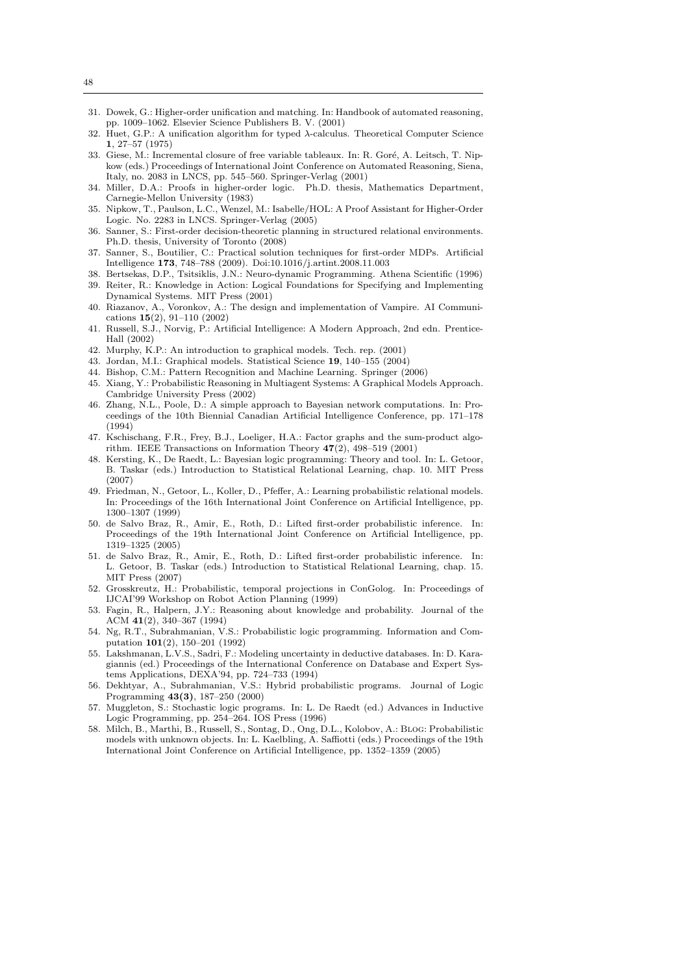- 31. Dowek, G.: Higher-order unification and matching. In: Handbook of automated reasoning, pp. 1009–1062. Elsevier Science Publishers B. V. (2001)
- 32. Huet, G.P.: A unification algorithm for typed λ-calculus. Theoretical Computer Science 1, 27–57 (1975)
- 33. Giese, M.: Incremental closure of free variable tableaux. In: R. Goré, A. Leitsch, T. Nipkow (eds.) Proceedings of International Joint Conference on Automated Reasoning, Siena, Italy, no. 2083 in LNCS, pp. 545–560. Springer-Verlag (2001)
- 34. Miller, D.A.: Proofs in higher-order logic. Ph.D. thesis, Mathematics Department, Carnegie-Mellon University (1983)
- 35. Nipkow, T., Paulson, L.C., Wenzel, M.: Isabelle/HOL: A Proof Assistant for Higher-Order Logic. No. 2283 in LNCS. Springer-Verlag (2005)
- 36. Sanner, S.: First-order decision-theoretic planning in structured relational environments. Ph.D. thesis, University of Toronto (2008)
- 37. Sanner, S., Boutilier, C.: Practical solution techniques for first-order MDPs. Artificial Intelligence 173, 748–788 (2009). Doi:10.1016/j.artint.2008.11.003
- 38. Bertsekas, D.P., Tsitsiklis, J.N.: Neuro-dynamic Programming. Athena Scientific (1996) 39. Reiter, R.: Knowledge in Action: Logical Foundations for Specifying and Implementing Dynamical Systems. MIT Press (2001)
- 40. Riazanov, A., Voronkov, A.: The design and implementation of Vampire. AI Communications 15(2), 91–110 (2002)
- 41. Russell, S.J., Norvig, P.: Artificial Intelligence: A Modern Approach, 2nd edn. Prentice-Hall (2002)
- 42. Murphy, K.P.: An introduction to graphical models. Tech. rep. (2001)
- 43. Jordan, M.I.: Graphical models. Statistical Science 19, 140–155 (2004)
- 44. Bishop, C.M.: Pattern Recognition and Machine Learning. Springer (2006)
- 45. Xiang, Y.: Probabilistic Reasoning in Multiagent Systems: A Graphical Models Approach. Cambridge University Press (2002)
- 46. Zhang, N.L., Poole, D.: A simple approach to Bayesian network computations. In: Proceedings of the 10th Biennial Canadian Artificial Intelligence Conference, pp. 171–178 (1994)
- 47. Kschischang, F.R., Frey, B.J., Loeliger, H.A.: Factor graphs and the sum-product algorithm. IEEE Transactions on Information Theory  $47(2)$ , 498-519 (2001)
- 48. Kersting, K., De Raedt, L.: Bayesian logic programming: Theory and tool. In: L. Getoor, B. Taskar (eds.) Introduction to Statistical Relational Learning, chap. 10. MIT Press (2007)
- 49. Friedman, N., Getoor, L., Koller, D., Pfeffer, A.: Learning probabilistic relational models. In: Proceedings of the 16th International Joint Conference on Artificial Intelligence, pp. 1300–1307 (1999)
- 50. de Salvo Braz, R., Amir, E., Roth, D.: Lifted first-order probabilistic inference. In: Proceedings of the 19th International Joint Conference on Artificial Intelligence, pp. 1319–1325 (2005)
- 51. de Salvo Braz, R., Amir, E., Roth, D.: Lifted first-order probabilistic inference. In: L. Getoor, B. Taskar (eds.) Introduction to Statistical Relational Learning, chap. 15. MIT Press (2007)
- 52. Grosskreutz, H.: Probabilistic, temporal projections in ConGolog. In: Proceedings of IJCAI'99 Workshop on Robot Action Planning (1999)
- 53. Fagin, R., Halpern, J.Y.: Reasoning about knowledge and probability. Journal of the ACM 41(2), 340–367 (1994)
- 54. Ng, R.T., Subrahmanian, V.S.: Probabilistic logic programming. Information and Computation 101(2), 150–201 (1992)
- 55. Lakshmanan, L.V.S., Sadri, F.: Modeling uncertainty in deductive databases. In: D. Karagiannis (ed.) Proceedings of the International Conference on Database and Expert Systems Applications, DEXA'94, pp. 724–733 (1994)
- 56. Dekhtyar, A., Subrahmanian, V.S.: Hybrid probabilistic programs. Journal of Logic Programming 43(3), 187–250 (2000)
- 57. Muggleton, S.: Stochastic logic programs. In: L. De Raedt (ed.) Advances in Inductive Logic Programming, pp. 254–264. IOS Press (1996)
- 58. Milch, B., Marthi, B., Russell, S., Sontag, D., Ong, D.L., Kolobov, A.: Blog: Probabilistic models with unknown objects. In: L. Kaelbling, A. Saffiotti (eds.) Proceedings of the 19th International Joint Conference on Artificial Intelligence, pp. 1352–1359 (2005)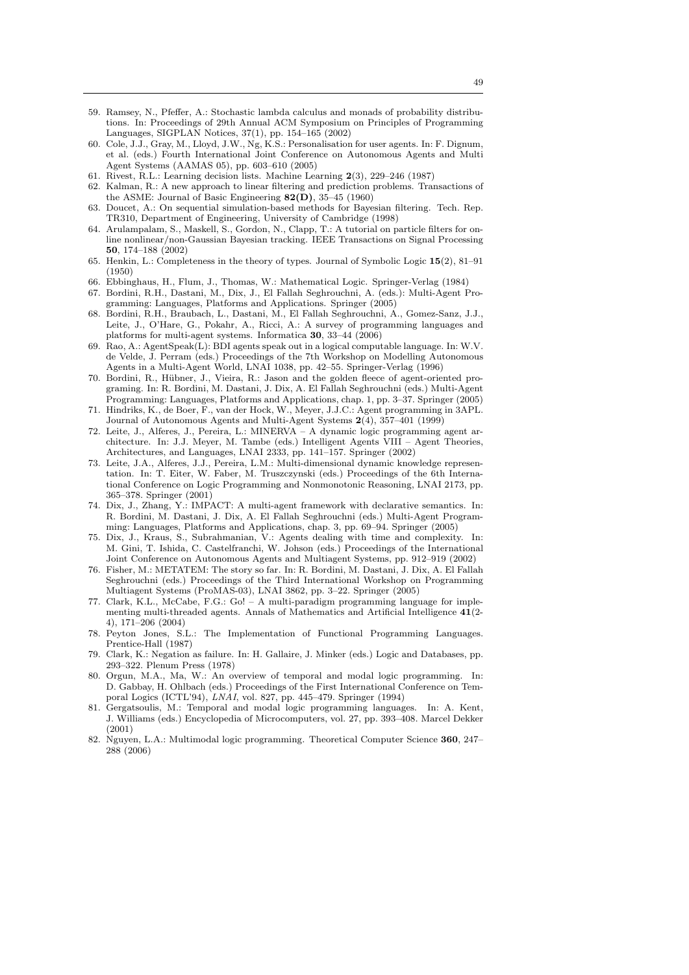- 59. Ramsey, N., Pfeffer, A.: Stochastic lambda calculus and monads of probability distributions. In: Proceedings of 29th Annual ACM Symposium on Principles of Programming Languages, SIGPLAN Notices, 37(1), pp. 154–165 (2002)
- 60. Cole, J.J., Gray, M., Lloyd, J.W., Ng, K.S.: Personalisation for user agents. In: F. Dignum, et al. (eds.) Fourth International Joint Conference on Autonomous Agents and Multi Agent Systems (AAMAS 05), pp. 603–610 (2005)
- 61. Rivest, R.L.: Learning decision lists. Machine Learning 2(3), 229–246 (1987)
- 62. Kalman, R.: A new approach to linear filtering and prediction problems. Transactions of the ASME: Journal of Basic Engineering  $82(D)$ , 35-45 (1960)
- 63. Doucet, A.: On sequential simulation-based methods for Bayesian filtering. Tech. Rep. TR310, Department of Engineering, University of Cambridge (1998)
- 64. Arulampalam, S., Maskell, S., Gordon, N., Clapp, T.: A tutorial on particle filters for online nonlinear/non-Gaussian Bayesian tracking. IEEE Transactions on Signal Processing 50, 174–188 (2002)
- 65. Henkin, L.: Completeness in the theory of types. Journal of Symbolic Logic 15(2), 81–91 (1950)
- 66. Ebbinghaus, H., Flum, J., Thomas, W.: Mathematical Logic. Springer-Verlag (1984)
- 67. Bordini, R.H., Dastani, M., Dix, J., El Fallah Seghrouchni, A. (eds.): Multi-Agent Programming: Languages, Platforms and Applications. Springer (2005)
- 68. Bordini, R.H., Braubach, L., Dastani, M., El Fallah Seghrouchni, A., Gomez-Sanz, J.J., Leite, J., O'Hare, G., Pokahr, A., Ricci, A.: A survey of programming languages and platforms for multi-agent systems. Informatica 30, 33–44 (2006)
- 69. Rao, A.: AgentSpeak(L): BDI agents speak out in a logical computable language. In: W.V. de Velde, J. Perram (eds.) Proceedings of the 7th Workshop on Modelling Autonomous Agents in a Multi-Agent World, LNAI 1038, pp. 42–55. Springer-Verlag (1996)
- 70. Bordini, R., Hübner, J., Vieira, R.: Jason and the golden fleece of agent-oriented programing. In: R. Bordini, M. Dastani, J. Dix, A. El Fallah Seghrouchni (eds.) Multi-Agent Programming: Languages, Platforms and Applications, chap. 1, pp. 3–37. Springer (2005)
- 71. Hindriks, K., de Boer, F., van der Hock, W., Meyer, J.J.C.: Agent programming in 3APL. Journal of Autonomous Agents and Multi-Agent Systems 2(4), 357–401 (1999)
- 72. Leite, J., Alferes, J., Pereira, L.: MINERVA A dynamic logic programming agent architecture. In: J.J. Meyer, M. Tambe (eds.) Intelligent Agents VIII – Agent Theories, Architectures, and Languages, LNAI 2333, pp. 141–157. Springer (2002)
- 73. Leite, J.A., Alferes, J.J., Pereira, L.M.: Multi-dimensional dynamic knowledge representation. In: T. Eiter, W. Faber, M. Truszczynski (eds.) Proceedings of the 6th International Conference on Logic Programming and Nonmonotonic Reasoning, LNAI 2173, pp. 365–378. Springer (2001)
- 74. Dix, J., Zhang, Y.: IMPACT: A multi-agent framework with declarative semantics. In: R. Bordini, M. Dastani, J. Dix, A. El Fallah Seghrouchni (eds.) Multi-Agent Programming: Languages, Platforms and Applications, chap. 3, pp. 69–94. Springer (2005)
- 75. Dix, J., Kraus, S., Subrahmanian, V.: Agents dealing with time and complexity. In: M. Gini, T. Ishida, C. Castelfranchi, W. Johson (eds.) Proceedings of the International Joint Conference on Autonomous Agents and Multiagent Systems, pp. 912–919 (2002)
- 76. Fisher, M.: METATEM: The story so far. In: R. Bordini, M. Dastani, J. Dix, A. El Fallah Seghrouchni (eds.) Proceedings of the Third International Workshop on Programming Multiagent Systems (ProMAS-03), LNAI 3862, pp. 3–22. Springer (2005)
- 77. Clark, K.L., McCabe, F.G.: Go! A multi-paradigm programming language for implementing multi-threaded agents. Annals of Mathematics and Artificial Intelligence 41(2- 4), 171–206 (2004)
- 78. Peyton Jones, S.L.: The Implementation of Functional Programming Languages. Prentice-Hall (1987)
- 79. Clark, K.: Negation as failure. In: H. Gallaire, J. Minker (eds.) Logic and Databases, pp. 293–322. Plenum Press (1978)
- 80. Orgun, M.A., Ma, W.: An overview of temporal and modal logic programming. In: D. Gabbay, H. Ohlbach (eds.) Proceedings of the First International Conference on Temporal Logics (ICTL'94), LNAI, vol. 827, pp. 445–479. Springer (1994)
- 81. Gergatsoulis, M.: Temporal and modal logic programming languages. In: A. Kent, J. Williams (eds.) Encyclopedia of Microcomputers, vol. 27, pp. 393–408. Marcel Dekker (2001)
- 82. Nguyen, L.A.: Multimodal logic programming. Theoretical Computer Science 360, 247– 288 (2006)